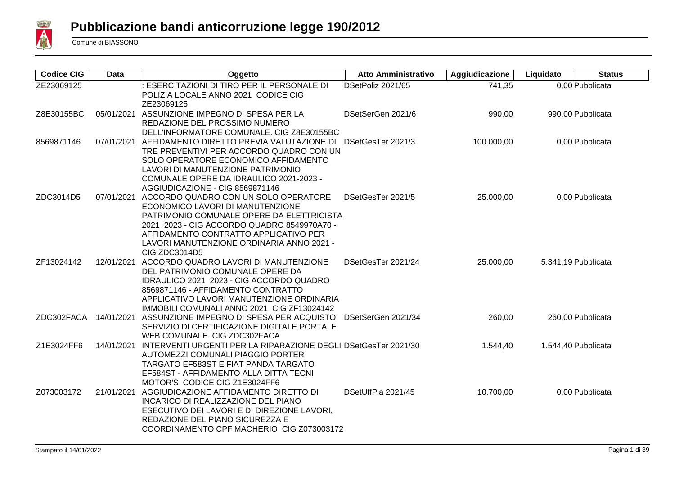

| <b>Codice CIG</b> | <b>Data</b> | Oggetto                                                                                                                                                                                                                                                                            | <b>Atto Amministrativo</b> | Aggiudicazione | Liquidato | <b>Status</b>       |
|-------------------|-------------|------------------------------------------------------------------------------------------------------------------------------------------------------------------------------------------------------------------------------------------------------------------------------------|----------------------------|----------------|-----------|---------------------|
| ZE23069125        |             | : ESERCITAZIONI DI TIRO PER IL PERSONALE DI<br>POLIZIA LOCALE ANNO 2021 CODICE CIG<br>ZE23069125                                                                                                                                                                                   | DSetPoliz 2021/65          | 741,35         |           | 0,00 Pubblicata     |
| Z8E30155BC        |             | 05/01/2021 ASSUNZIONE IMPEGNO DI SPESA PER LA<br>REDAZIONE DEL PROSSIMO NUMERO<br>DELL'INFORMATORE COMUNALE. CIG Z8E30155BC                                                                                                                                                        | DSetSerGen 2021/6          | 990,00         |           | 990,00 Pubblicata   |
| 8569871146        |             | 07/01/2021 AFFIDAMENTO DIRETTO PREVIA VALUTAZIONE DI<br>TRE PREVENTIVI PER ACCORDO QUADRO CON UN<br>SOLO OPERATORE ECONOMICO AFFIDAMENTO<br>LAVORI DI MANUTENZIONE PATRIMONIO<br>COMUNALE OPERE DA IDRAULICO 2021-2023 -<br>AGGIUDICAZIONE - CIG 8569871146                        | DSetGesTer 2021/3          | 100.000,00     |           | 0,00 Pubblicata     |
| ZDC3014D5         | 07/01/2021  | ACCORDO QUADRO CON UN SOLO OPERATORE<br>ECONOMICO LAVORI DI MANUTENZIONE<br>PATRIMONIO COMUNALE OPERE DA ELETTRICISTA<br>2021 2023 - CIG ACCORDO QUADRO 8549970A70 -<br>AFFIDAMENTO CONTRATTO APPLICATIVO PER<br>LAVORI MANUTENZIONE ORDINARIA ANNO 2021 -<br><b>CIG ZDC3014D5</b> | DSetGesTer 2021/5          | 25.000,00      |           | 0,00 Pubblicata     |
| ZF13024142        | 12/01/2021  | ACCORDO QUADRO LAVORI DI MANUTENZIONE<br>DEL PATRIMONIO COMUNALE OPERE DA<br>IDRAULICO 2021 2023 - CIG ACCORDO QUADRO<br>8569871146 - AFFIDAMENTO CONTRATTO<br>APPLICATIVO LAVORI MANUTENZIONE ORDINARIA<br>IMMOBILI COMUNALI ANNO 2021 CIG ZF13024142                             | DSetGesTer 2021/24         | 25.000,00      |           | 5.341,19 Pubblicata |
| ZDC302FACA        |             | 14/01/2021 ASSUNZIONE IMPEGNO DI SPESA PER ACQUISTO<br>SERVIZIO DI CERTIFICAZIONE DIGITALE PORTALE<br>WEB COMUNALE. CIG ZDC302FACA                                                                                                                                                 | DSetSerGen 2021/34         | 260,00         |           | 260,00 Pubblicata   |
| Z1E3024FF6        | 14/01/2021  | INTERVENTI URGENTI PER LA RIPARAZIONE DEGLI DSetGesTer 2021/30<br>AUTOMEZZI COMUNALI PIAGGIO PORTER<br><b>TARGATO EF583ST E FIAT PANDA TARGATO</b><br>EF584ST - AFFIDAMENTO ALLA DITTA TECNI<br>MOTOR'S CODICE CIG Z1E3024FF6                                                      |                            | 1.544,40       |           | 1.544,40 Pubblicata |
| Z073003172        | 21/01/2021  | AGGIUDICAZIONE AFFIDAMENTO DIRETTO DI<br>INCARICO DI REALIZZAZIONE DEL PIANO<br>ESECUTIVO DEI LAVORI E DI DIREZIONE LAVORI,<br>REDAZIONE DEL PIANO SICUREZZA E<br>COORDINAMENTO CPF MACHERIO CIG Z073003172                                                                        | DSetUffPia 2021/45         | 10.700,00      |           | 0,00 Pubblicata     |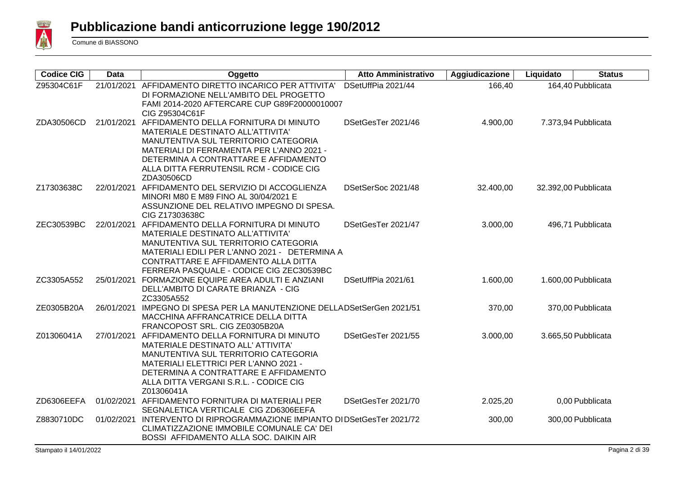

| <b>Codice CIG</b> | Data       | Oggetto                                                                                                                                                                                                                                                                      | <b>Atto Amministrativo</b> | Aggiudicazione | Liquidato | <b>Status</b>        |
|-------------------|------------|------------------------------------------------------------------------------------------------------------------------------------------------------------------------------------------------------------------------------------------------------------------------------|----------------------------|----------------|-----------|----------------------|
| Z95304C61F        | 21/01/2021 | AFFIDAMENTO DIRETTO INCARICO PER ATTIVITA'<br>DI FORMAZIONE NELL'AMBITO DEL PROGETTO<br>FAMI 2014-2020 AFTERCARE CUP G89F20000010007<br>CIG Z95304C61F                                                                                                                       | DSetUffPia 2021/44         | 166,40         |           | 164,40 Pubblicata    |
| ZDA30506CD        |            | 21/01/2021 AFFIDAMENTO DELLA FORNITURA DI MINUTO<br>MATERIALE DESTINATO ALL'ATTIVITA'<br>MANUTENTIVA SUL TERRITORIO CATEGORIA<br>MATERIALI DI FERRAMENTA PER L'ANNO 2021 -<br>DETERMINA A CONTRATTARE E AFFIDAMENTO<br>ALLA DITTA FERRUTENSIL RCM - CODICE CIG<br>ZDA30506CD | DSetGesTer 2021/46         | 4.900,00       |           | 7.373,94 Pubblicata  |
| Z17303638C        |            | 22/01/2021 AFFIDAMENTO DEL SERVIZIO DI ACCOGLIENZA<br>MINORI M80 E M89 FINO AL 30/04/2021 E<br>ASSUNZIONE DEL RELATIVO IMPEGNO DI SPESA.<br>CIG Z17303638C                                                                                                                   | DSetSerSoc 2021/48         | 32.400,00      |           | 32.392,00 Pubblicata |
| ZEC30539BC        | 22/01/2021 | AFFIDAMENTO DELLA FORNITURA DI MINUTO<br>MATERIALE DESTINATO ALL'ATTIVITA'<br>MANUTENTIVA SUL TERRITORIO CATEGORIA<br>MATERIALI EDILI PER L'ANNO 2021 - DETERMINA A<br>CONTRATTARE E AFFIDAMENTO ALLA DITTA<br>FERRERA PASQUALE - CODICE CIG ZEC30539BC                      | DSetGesTer 2021/47         | 3.000,00       |           | 496,71 Pubblicata    |
| ZC3305A552        |            | 25/01/2021 FORMAZIONE EQUIPE AREA ADULTI E ANZIANI<br>DELL'AMBITO DI CARATE BRIANZA - CIG<br>ZC3305A552                                                                                                                                                                      | DSetUffPia 2021/61         | 1.600,00       |           | 1.600,00 Pubblicata  |
| ZE0305B20A        | 26/01/2021 | IMPEGNO DI SPESA PER LA MANUTENZIONE DELLADSetSerGen 2021/51<br>MACCHINA AFFRANCATRICE DELLA DITTA<br>FRANCOPOST SRL. CIG ZE0305B20A                                                                                                                                         |                            | 370,00         |           | 370,00 Pubblicata    |
| Z01306041A        |            | 27/01/2021 AFFIDAMENTO DELLA FORNITURA DI MINUTO<br>MATERIALE DESTINATO ALL' ATTIVITA'<br>MANUTENTIVA SUL TERRITORIO CATEGORIA<br>MATERIALI ELETTRICI PER L'ANNO 2021 -<br>DETERMINA A CONTRATTARE E AFFIDAMENTO<br>ALLA DITTA VERGANI S.R.L. - CODICE CIG<br>Z01306041A     | DSetGesTer 2021/55         | 3.000,00       |           | 3.665,50 Pubblicata  |
| ZD6306EEFA        | 01/02/2021 | AFFIDAMENTO FORNITURA DI MATERIALI PER<br>SEGNALETICA VERTICALE CIG ZD6306EEFA                                                                                                                                                                                               | DSetGesTer 2021/70         | 2.025,20       |           | 0,00 Pubblicata      |
| Z8830710DC        | 01/02/2021 | INTERVENTO DI RIPROGRAMMAZIONE IMPIANTO DI DSetGesTer 2021/72<br>CLIMATIZZAZIONE IMMOBILE COMUNALE CA' DEI<br>BOSSI AFFIDAMENTO ALLA SOC. DAIKIN AIR                                                                                                                         |                            | 300,00         |           | 300,00 Pubblicata    |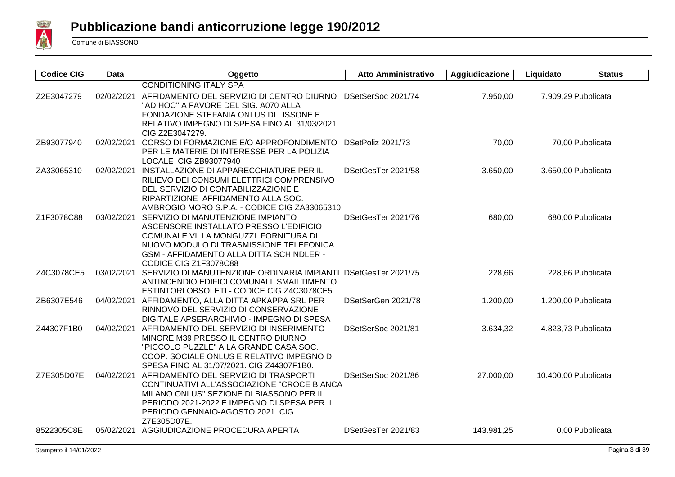

| <b>Codice CIG</b> | <b>Data</b> | Oggetto                                                                                                                | <b>Atto Amministrativo</b> | Aggiudicazione | Liquidato            | <b>Status</b> |
|-------------------|-------------|------------------------------------------------------------------------------------------------------------------------|----------------------------|----------------|----------------------|---------------|
|                   |             | <b>CONDITIONING ITALY SPA</b>                                                                                          |                            |                |                      |               |
| Z2E3047279        | 02/02/2021  | AFFIDAMENTO DEL SERVIZIO DI CENTRO DIURNO DSetSerSoc 2021/74                                                           |                            | 7.950,00       | 7.909,29 Pubblicata  |               |
|                   |             | "AD HOC" A FAVORE DEL SIG. A070 ALLA                                                                                   |                            |                |                      |               |
|                   |             | FONDAZIONE STEFANIA ONLUS DI LISSONE E                                                                                 |                            |                |                      |               |
|                   |             | RELATIVO IMPEGNO DI SPESA FINO AL 31/03/2021.                                                                          |                            |                |                      |               |
|                   |             | CIG Z2E3047279.                                                                                                        |                            |                |                      |               |
| ZB93077940        |             | 02/02/2021 CORSO DI FORMAZIONE E/O APPROFONDIMENTO                                                                     | DSetPoliz 2021/73          | 70,00          | 70,00 Pubblicata     |               |
|                   |             | PER LE MATERIE DI INTERESSE PER LA POLIZIA                                                                             |                            |                |                      |               |
|                   | 02/02/2021  | LOCALE CIG ZB93077940<br>INSTALLAZIONE DI APPARECCHIATURE PER IL                                                       | DSetGesTer 2021/58         |                |                      |               |
| ZA33065310        |             | RILIEVO DEI CONSUMI ELETTRICI COMPRENSIVO                                                                              |                            | 3.650,00       | 3.650,00 Pubblicata  |               |
|                   |             | DEL SERVIZIO DI CONTABILIZZAZIONE E                                                                                    |                            |                |                      |               |
|                   |             | RIPARTIZIONE AFFIDAMENTO ALLA SOC.                                                                                     |                            |                |                      |               |
|                   |             | AMBROGIO MORO S.P.A. - CODICE CIG ZA33065310                                                                           |                            |                |                      |               |
| Z1F3078C88        |             | 03/02/2021 SERVIZIO DI MANUTENZIONE IMPIANTO                                                                           | DSetGesTer 2021/76         | 680,00         | 680,00 Pubblicata    |               |
|                   |             | ASCENSORE INSTALLATO PRESSO L'EDIFICIO                                                                                 |                            |                |                      |               |
|                   |             | COMUNALE VILLA MONGUZZI FORNITURA DI                                                                                   |                            |                |                      |               |
|                   |             | NUOVO MODULO DI TRASMISSIONE TELEFONICA                                                                                |                            |                |                      |               |
|                   |             | GSM - AFFIDAMENTO ALLA DITTA SCHINDLER -                                                                               |                            |                |                      |               |
|                   |             | CODICE CIG Z1F3078C88                                                                                                  |                            |                |                      |               |
| Z4C3078CE5        |             | 03/02/2021 SERVIZIO DI MANUTENZIONE ORDINARIA IMPIANTI DSetGesTer 2021/75<br>ANTINCENDIO EDIFICI COMUNALI SMAILTIMENTO |                            | 228,66         | 228,66 Pubblicata    |               |
|                   |             | ESTINTORI OBSOLETI - CODICE CIG Z4C3078CE5                                                                             |                            |                |                      |               |
| ZB6307E546        |             | 04/02/2021 AFFIDAMENTO, ALLA DITTA APKAPPA SRL PER                                                                     | DSetSerGen 2021/78         | 1.200,00       | 1.200,00 Pubblicata  |               |
|                   |             | RINNOVO DEL SERVIZIO DI CONSERVAZIONE                                                                                  |                            |                |                      |               |
|                   |             | DIGITALE APSERARCHIVIO - IMPEGNO DI SPESA                                                                              |                            |                |                      |               |
| Z44307F1B0        | 04/02/2021  | AFFIDAMENTO DEL SERVIZIO DI INSERIMENTO                                                                                | DSetSerSoc 2021/81         | 3.634,32       | 4.823,73 Pubblicata  |               |
|                   |             | MINORE M39 PRESSO IL CENTRO DIURNO                                                                                     |                            |                |                      |               |
|                   |             | "PICCOLO PUZZLE" A LA GRANDE CASA SOC.                                                                                 |                            |                |                      |               |
|                   |             | COOP. SOCIALE ONLUS E RELATIVO IMPEGNO DI                                                                              |                            |                |                      |               |
|                   |             | SPESA FINO AL 31/07/2021. CIG Z44307F1B0.                                                                              |                            |                |                      |               |
| Z7E305D07E        |             | 04/02/2021 AFFIDAMENTO DEL SERVIZIO DI TRASPORTI                                                                       | DSetSerSoc 2021/86         | 27.000,00      | 10.400,00 Pubblicata |               |
|                   |             | CONTINUATIVI ALL'ASSOCIAZIONE "CROCE BIANCA                                                                            |                            |                |                      |               |
|                   |             | MILANO ONLUS" SEZIONE DI BIASSONO PER IL<br>PERIODO 2021-2022 E IMPEGNO DI SPESA PER IL                                |                            |                |                      |               |
|                   |             | PERIODO GENNAIO-AGOSTO 2021. CIG                                                                                       |                            |                |                      |               |
|                   |             | Z7E305D07E.                                                                                                            |                            |                |                      |               |
| 8522305C8E        |             | 05/02/2021 AGGIUDICAZIONE PROCEDURA APERTA                                                                             | DSetGesTer 2021/83         | 143.981,25     | 0,00 Pubblicata      |               |
|                   |             |                                                                                                                        |                            |                |                      |               |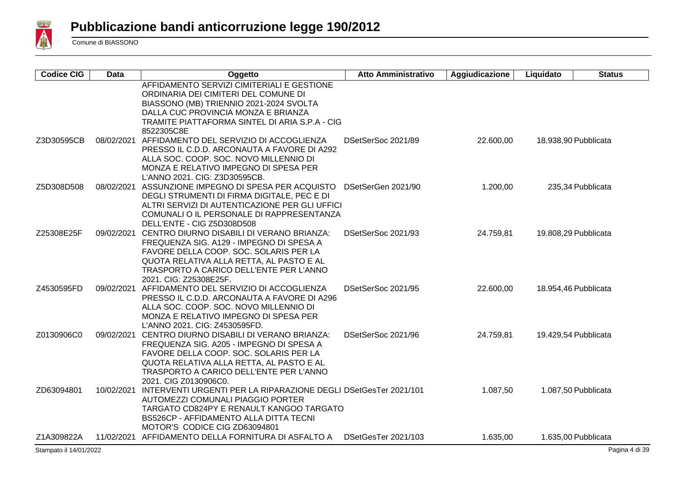

| <b>Codice CIG</b> | <b>Data</b> | Oggetto                                                                                                                                                                                                                                                     | <b>Atto Amministrativo</b> | Aggiudicazione | Liquidato | <b>Status</b>        |
|-------------------|-------------|-------------------------------------------------------------------------------------------------------------------------------------------------------------------------------------------------------------------------------------------------------------|----------------------------|----------------|-----------|----------------------|
|                   |             | AFFIDAMENTO SERVIZI CIMITERIALI E GESTIONE<br>ORDINARIA DEI CIMITERI DEL COMUNE DI<br>BIASSONO (MB) TRIENNIO 2021-2024 SVOLTA<br>DALLA CUC PROVINCIA MONZA E BRIANZA<br>TRAMITE PIATTAFORMA SINTEL DI ARIA S.P.A - CIG<br>8522305C8E                        |                            |                |           |                      |
| Z3D30595CB        | 08/02/2021  | AFFIDAMENTO DEL SERVIZIO DI ACCOGLIENZA<br>PRESSO IL C.D.D. ARCONAUTA A FAVORE DI A292<br>ALLA SOC. COOP. SOC. NOVO MILLENNIO DI<br>MONZA E RELATIVO IMPEGNO DI SPESA PER<br>L'ANNO 2021. CIG: Z3D30595CB.                                                  | DSetSerSoc 2021/89         | 22.600,00      |           | 18.938,90 Pubblicata |
| Z5D308D508        |             | 08/02/2021 ASSUNZIONE IMPEGNO DI SPESA PER ACQUISTO<br>DEGLI STRUMENTI DI FIRMA DIGITALE, PEC E DI<br>ALTRI SERVIZI DI AUTENTICAZIONE PER GLI UFFICI<br>COMUNALI O IL PERSONALE DI RAPPRESENTANZA<br>DELL'ENTE - CIG Z5D308D508                             | DSetSerGen 2021/90         | 1.200,00       |           | 235,34 Pubblicata    |
| Z25308E25F        |             | 09/02/2021 CENTRO DIURNO DISABILI DI VERANO BRIANZA:<br>FREQUENZA SIG. A129 - IMPEGNO DI SPESA A<br>FAVORE DELLA COOP. SOC. SOLARIS PER LA<br>QUOTA RELATIVA ALLA RETTA, AL PASTO E AL<br>TRASPORTO A CARICO DELL'ENTE PER L'ANNO<br>2021. CIG: Z25308E25F. | DSetSerSoc 2021/93         | 24.759,81      |           | 19.808,29 Pubblicata |
| Z4530595FD        |             | 09/02/2021 AFFIDAMENTO DEL SERVIZIO DI ACCOGLIENZA<br>PRESSO IL C.D.D. ARCONAUTA A FAVORE DI A296<br>ALLA SOC. COOP. SOC. NOVO MILLENNIO DI<br>MONZA E RELATIVO IMPEGNO DI SPESA PER<br>L'ANNO 2021. CIG: Z4530595FD.                                       | DSetSerSoc 2021/95         | 22.600,00      |           | 18.954,46 Pubblicata |
| Z0130906C0        |             | 09/02/2021 CENTRO DIURNO DISABILI DI VERANO BRIANZA:<br>FREQUENZA SIG. A205 - IMPEGNO DI SPESA A<br>FAVORE DELLA COOP. SOC. SOLARIS PER LA<br>QUOTA RELATIVA ALLA RETTA, AL PASTO E AL<br>TRASPORTO A CARICO DELL'ENTE PER L'ANNO<br>2021. CIG Z0130906C0.  | DSetSerSoc 2021/96         | 24.759,81      |           | 19.429,54 Pubblicata |
| ZD63094801        |             | 10/02/2021 INTERVENTI URGENTI PER LA RIPARAZIONE DEGLI DSetGesTer 2021/101<br>AUTOMEZZI COMUNALI PIAGGIO PORTER<br>TARGATO CD824PY E RENAULT KANGOO TARGATO<br><b>BS526CP - AFFIDAMENTO ALLA DITTA TECNI</b><br>MOTOR'S CODICE CIG ZD63094801               |                            | 1.087,50       |           | 1.087,50 Pubblicata  |
| Z1A309822A        |             | 11/02/2021 AFFIDAMENTO DELLA FORNITURA DI ASFALTO A                                                                                                                                                                                                         | DSetGesTer 2021/103        | 1.635,00       |           | 1.635,00 Pubblicata  |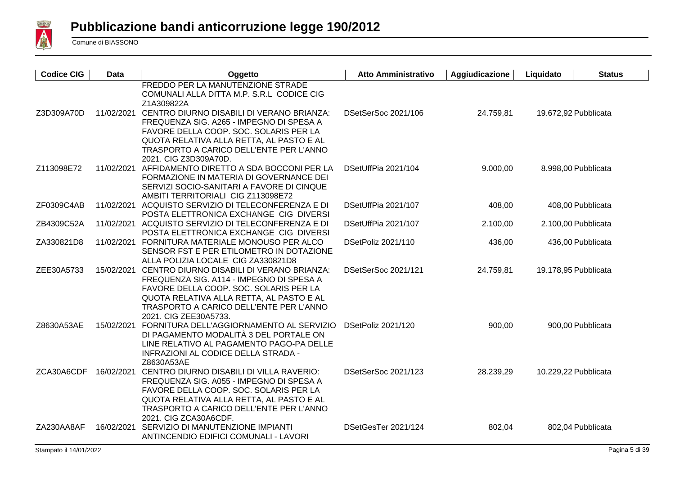

| <b>Codice CIG</b> | <b>Data</b> | Oggetto                                                                                                                                                                                                                                                    | <b>Atto Amministrativo</b> | Aggiudicazione | Liquidato | <b>Status</b>        |
|-------------------|-------------|------------------------------------------------------------------------------------------------------------------------------------------------------------------------------------------------------------------------------------------------------------|----------------------------|----------------|-----------|----------------------|
|                   |             | FREDDO PER LA MANUTENZIONE STRADE<br>COMUNALI ALLA DITTA M.P. S.R.L CODICE CIG<br>Z1A309822A                                                                                                                                                               |                            |                |           |                      |
| Z3D309A70D        |             | 11/02/2021 CENTRO DIURNO DISABILI DI VERANO BRIANZA:<br>FREQUENZA SIG. A265 - IMPEGNO DI SPESA A<br>FAVORE DELLA COOP. SOC. SOLARIS PER LA<br>QUOTA RELATIVA ALLA RETTA, AL PASTO E AL<br>TRASPORTO A CARICO DELL'ENTE PER L'ANNO<br>2021. CIG Z3D309A70D. | DSetSerSoc 2021/106        | 24.759,81      |           | 19.672,92 Pubblicata |
| Z113098E72        | 11/02/2021  | AFFIDAMENTO DIRETTO A SDA BOCCONI PER LA<br>FORMAZIONE IN MATERIA DI GOVERNANCE DEI<br>SERVIZI SOCIO-SANITARI A FAVORE DI CINQUE<br>AMBITI TERRITORIALI CIG Z113098E72                                                                                     | DSetUffPia 2021/104        | 9.000,00       |           | 8.998,00 Pubblicata  |
| ZF0309C4AB        | 11/02/2021  | ACQUISTO SERVIZIO DI TELECONFERENZA E DI<br>POSTA ELETTRONICA EXCHANGE CIG DIVERSI                                                                                                                                                                         | DSetUffPia 2021/107        | 408,00         |           | 408,00 Pubblicata    |
| ZB4309C52A        |             | 11/02/2021 ACQUISTO SERVIZIO DI TELECONFERENZA E DI<br>POSTA ELETTRONICA EXCHANGE CIG DIVERSI                                                                                                                                                              | DSetUffPia 2021/107        | 2.100,00       |           | 2.100,00 Pubblicata  |
| ZA330821D8        |             | 11/02/2021 FORNITURA MATERIALE MONOUSO PER ALCO<br>SENSOR FST E PER ETILOMETRO IN DOTAZIONE<br>ALLA POLIZIA LOCALE CIG ZA330821D8                                                                                                                          | DSetPoliz 2021/110         | 436,00         |           | 436,00 Pubblicata    |
| ZEE30A5733        | 15/02/2021  | CENTRO DIURNO DISABILI DI VERANO BRIANZA:<br>FREQUENZA SIG. A114 - IMPEGNO DI SPESA A<br>FAVORE DELLA COOP. SOC. SOLARIS PER LA<br>QUOTA RELATIVA ALLA RETTA, AL PASTO E AL<br>TRASPORTO A CARICO DELL'ENTE PER L'ANNO<br>2021. CIG ZEE30A5733.            | DSetSerSoc 2021/121        | 24.759,81      |           | 19.178,95 Pubblicata |
| Z8630A53AE        | 15/02/2021  | FORNITURA DELL'AGGIORNAMENTO AL SERVIZIO<br>DI PAGAMENTO MODALITÀ 3 DEL PORTALE ON<br>LINE RELATIVO AL PAGAMENTO PAGO-PA DELLE<br>INFRAZIONI AL CODICE DELLA STRADA -<br>Z8630A53AE                                                                        | DSetPoliz 2021/120         | 900,00         |           | 900,00 Pubblicata    |
| ZCA30A6CDF        | 16/02/2021  | CENTRO DIURNO DISABILI DI VILLA RAVERIO:<br>FREQUENZA SIG. A055 - IMPEGNO DI SPESA A<br>FAVORE DELLA COOP. SOC. SOLARIS PER LA<br>QUOTA RELATIVA ALLA RETTA, AL PASTO E AL<br>TRASPORTO A CARICO DELL'ENTE PER L'ANNO<br>2021. CIG ZCA30A6CDF.             | DSetSerSoc 2021/123        | 28.239,29      |           | 10.229,22 Pubblicata |
| ZA230AA8AF        | 16/02/2021  | SERVIZIO DI MANUTENZIONE IMPIANTI<br>ANTINCENDIO EDIFICI COMUNALI - LAVORI                                                                                                                                                                                 | DSetGesTer 2021/124        | 802,04         |           | 802,04 Pubblicata    |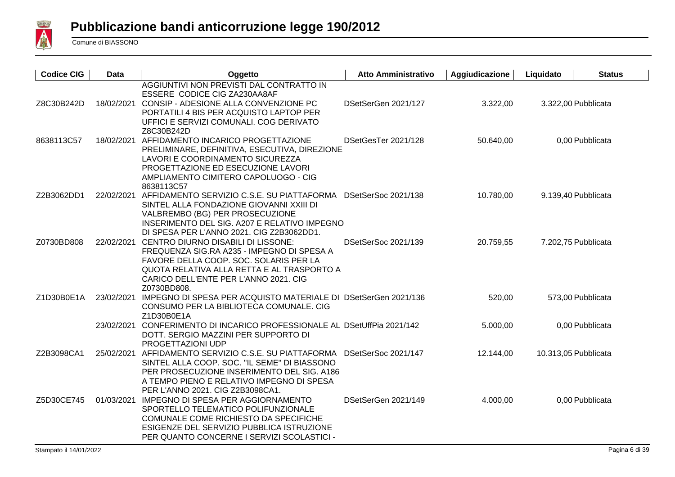

| <b>Codice CIG</b> | <b>Data</b> | Oggetto                                                                                                                                                                                                                                     | <b>Atto Amministrativo</b> | Aggiudicazione | Liquidato | <b>Status</b>        |
|-------------------|-------------|---------------------------------------------------------------------------------------------------------------------------------------------------------------------------------------------------------------------------------------------|----------------------------|----------------|-----------|----------------------|
| Z8C30B242D        |             | AGGIUNTIVI NON PREVISTI DAL CONTRATTO IN<br>ESSERE CODICE CIG ZA230AA8AF<br>18/02/2021 CONSIP - ADESIONE ALLA CONVENZIONE PC<br>PORTATILI 4 BIS PER ACQUISTO LAPTOP PER<br>UFFICI E SERVIZI COMUNALI. COG DERIVATO<br>Z8C30B242D            | DSetSerGen 2021/127        | 3.322,00       |           | 3.322,00 Pubblicata  |
| 8638113C57        |             | 18/02/2021 AFFIDAMENTO INCARICO PROGETTAZIONE<br>PRELIMINARE, DEFINITIVA, ESECUTIVA, DIREZIONE<br>LAVORI E COORDINAMENTO SICUREZZA<br>PROGETTAZIONE ED ESECUZIONE LAVORI<br>AMPLIAMENTO CIMITERO CAPOLUOGO - CIG<br>8638113C57              | DSetGesTer 2021/128        | 50.640,00      |           | 0,00 Pubblicata      |
| Z2B3062DD1        | 22/02/2021  | AFFIDAMENTO SERVIZIO C.S.E. SU PIATTAFORMA<br>SINTEL ALLA FONDAZIONE GIOVANNI XXIII DI<br>VALBREMBO (BG) PER PROSECUZIONE<br>INSERIMENTO DEL SIG. A207 E RELATIVO IMPEGNO<br>DI SPESA PER L'ANNO 2021. CIG Z2B3062DD1.                      | DSetSerSoc 2021/138        | 10.780,00      |           | 9.139,40 Pubblicata  |
| Z0730BD808        |             | 22/02/2021 CENTRO DIURNO DISABILI DI LISSONE:<br>FREQUENZA SIG.RA A235 - IMPEGNO DI SPESA A<br>FAVORE DELLA COOP. SOC. SOLARIS PER LA<br>QUOTA RELATIVA ALLA RETTA E AL TRASPORTO A<br>CARICO DELL'ENTE PER L'ANNO 2021. CIG<br>Z0730BD808. | DSetSerSoc 2021/139        | 20.759,55      |           | 7.202,75 Pubblicata  |
| Z1D30B0E1A        | 23/02/2021  | IMPEGNO DI SPESA PER ACQUISTO MATERIALE DI DSetSerGen 2021/136<br>CONSUMO PER LA BIBLIOTECA COMUNALE. CIG<br>Z1D30B0E1A                                                                                                                     |                            | 520,00         |           | 573,00 Pubblicata    |
|                   |             | 23/02/2021 CONFERIMENTO DI INCARICO PROFESSIONALE AL DSetUffPia 2021/142<br>DOTT. SERGIO MAZZINI PER SUPPORTO DI<br>PROGETTAZIONI UDP                                                                                                       |                            | 5.000,00       |           | 0.00 Pubblicata      |
| Z2B3098CA1        |             | 25/02/2021 AFFIDAMENTO SERVIZIO C.S.E. SU PIATTAFORMA<br>SINTEL ALLA COOP. SOC. "IL SEME" DI BIASSONO<br>PER PROSECUZIONE INSERIMENTO DEL SIG. A186<br>A TEMPO PIENO E RELATIVO IMPEGNO DI SPESA<br>PER L'ANNO 2021. CIG Z2B3098CA1.        | DSetSerSoc 2021/147        | 12.144,00      |           | 10.313,05 Pubblicata |
| Z5D30CE745        | 01/03/2021  | IMPEGNO DI SPESA PER AGGIORNAMENTO<br>SPORTELLO TELEMATICO POLIFUNZIONALE<br>COMUNALE COME RICHIESTO DA SPECIFICHE<br>ESIGENZE DEL SERVIZIO PUBBLICA ISTRUZIONE<br>PER QUANTO CONCERNE I SERVIZI SCOLASTICI -                               | DSetSerGen 2021/149        | 4.000,00       |           | 0,00 Pubblicata      |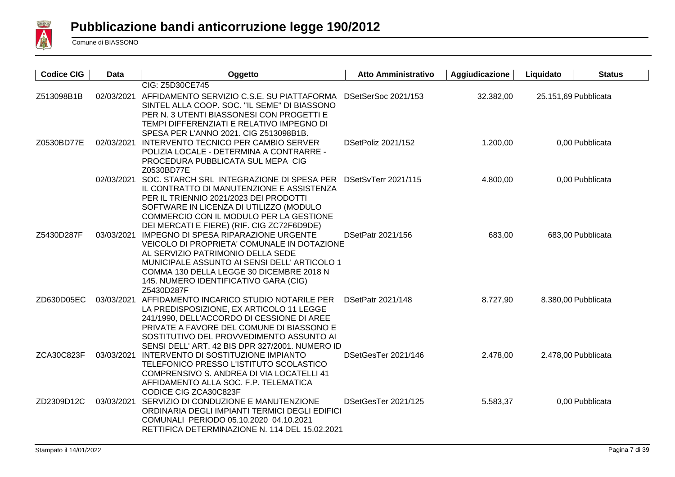

| <b>Codice CIG</b> | Data       | Oggetto                                                                                  | <b>Atto Amministrativo</b> | Aggiudicazione | Liquidato | <b>Status</b>        |
|-------------------|------------|------------------------------------------------------------------------------------------|----------------------------|----------------|-----------|----------------------|
|                   |            | CIG: Z5D30CE745                                                                          |                            |                |           |                      |
| Z513098B1B        |            | 02/03/2021 AFFIDAMENTO SERVIZIO C.S.E. SU PIATTAFORMA                                    | DSetSerSoc 2021/153        | 32.382,00      |           | 25.151,69 Pubblicata |
|                   |            | SINTEL ALLA COOP. SOC. "IL SEME" DI BIASSONO                                             |                            |                |           |                      |
|                   |            | PER N. 3 UTENTI BIASSONESI CON PROGETTI E                                                |                            |                |           |                      |
|                   |            | TEMPI DIFFERENZIATI E RELATIVO IMPEGNO DI                                                |                            |                |           |                      |
|                   |            | SPESA PER L'ANNO 2021. CIG Z513098B1B.                                                   |                            |                |           |                      |
| Z0530BD77E        |            | 02/03/2021 INTERVENTO TECNICO PER CAMBIO SERVER                                          | DSetPoliz 2021/152         | 1.200,00       |           | 0,00 Pubblicata      |
|                   |            | POLIZIA LOCALE - DETERMINA A CONTRARRE -                                                 |                            |                |           |                      |
|                   |            | PROCEDURA PUBBLICATA SUL MEPA CIG<br>Z0530BD77E                                          |                            |                |           |                      |
|                   |            | 02/03/2021 SOC. STARCH SRL INTEGRAZIONE DI SPESA PER DSetSvTerr 2021/115                 |                            | 4.800,00       |           | 0,00 Pubblicata      |
|                   |            | IL CONTRATTO DI MANUTENZIONE E ASSISTENZA                                                |                            |                |           |                      |
|                   |            | PER IL TRIENNIO 2021/2023 DEI PRODOTTI                                                   |                            |                |           |                      |
|                   |            | SOFTWARE IN LICENZA DI UTILIZZO (MODULO                                                  |                            |                |           |                      |
|                   |            | COMMERCIO CON IL MODULO PER LA GESTIONE                                                  |                            |                |           |                      |
|                   |            | DEI MERCATI E FIERE) (RIF. CIG ZC72F6D9DE)                                               |                            |                |           |                      |
| Z5430D287F        |            | 03/03/2021 IMPEGNO DI SPESA RIPARAZIONE URGENTE                                          | DSetPatr 2021/156          | 683,00         |           | 683,00 Pubblicata    |
|                   |            | VEICOLO DI PROPRIETA' COMUNALE IN DOTAZIONE                                              |                            |                |           |                      |
|                   |            | AL SERVIZIO PATRIMONIO DELLA SEDE                                                        |                            |                |           |                      |
|                   |            | MUNICIPALE ASSUNTO AI SENSI DELL' ARTICOLO 1                                             |                            |                |           |                      |
|                   |            | COMMA 130 DELLA LEGGE 30 DICEMBRE 2018 N                                                 |                            |                |           |                      |
|                   |            | 145. NUMERO IDENTIFICATIVO GARA (CIG)                                                    |                            |                |           |                      |
| ZD630D05EC        |            | Z5430D287F<br>03/03/2021 AFFIDAMENTO INCARICO STUDIO NOTARILE PER                        | DSetPatr 2021/148          | 8.727,90       |           | 8.380,00 Pubblicata  |
|                   |            | LA PREDISPOSIZIONE, EX ARTICOLO 11 LEGGE                                                 |                            |                |           |                      |
|                   |            | 241/1990, DELL'ACCORDO DI CESSIONE DI AREE                                               |                            |                |           |                      |
|                   |            | PRIVATE A FAVORE DEL COMUNE DI BIASSONO E                                                |                            |                |           |                      |
|                   |            | SOSTITUTIVO DEL PROVVEDIMENTO ASSUNTO AI                                                 |                            |                |           |                      |
|                   |            | SENSI DELL' ART. 42 BIS DPR 327/2001. NUMERO ID                                          |                            |                |           |                      |
| ZCA30C823F        | 03/03/2021 | INTERVENTO DI SOSTITUZIONE IMPIANTO                                                      | DSetGesTer 2021/146        | 2.478,00       |           | 2.478,00 Pubblicata  |
|                   |            | TELEFONICO PRESSO L'ISTITUTO SCOLASTICO                                                  |                            |                |           |                      |
|                   |            | COMPRENSIVO S. ANDREA DI VIA LOCATELLI 41                                                |                            |                |           |                      |
|                   |            | AFFIDAMENTO ALLA SOC. F.P. TELEMATICA                                                    |                            |                |           |                      |
|                   |            | CODICE CIG ZCA30C823F                                                                    |                            |                |           |                      |
| ZD2309D12C        |            | 03/03/2021 SERVIZIO DI CONDUZIONE E MANUTENZIONE                                         | DSetGesTer 2021/125        | 5.583,37       |           | 0,00 Pubblicata      |
|                   |            | ORDINARIA DEGLI IMPIANTI TERMICI DEGLI EDIFICI                                           |                            |                |           |                      |
|                   |            | COMUNALI PERIODO 05.10.2020 04.10.2021<br>RETTIFICA DETERMINAZIONE N. 114 DEL 15.02.2021 |                            |                |           |                      |
|                   |            |                                                                                          |                            |                |           |                      |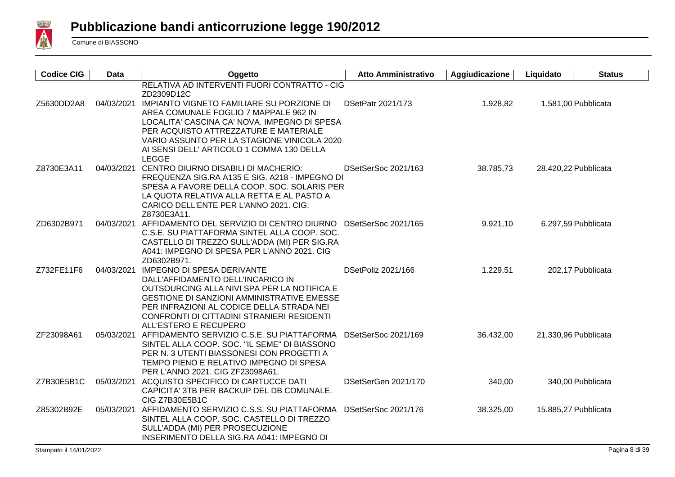

| <b>Codice CIG</b> | Data       | Oggetto                                                                                                                                                                                                                                                                                                                                                          | <b>Atto Amministrativo</b> | Aggiudicazione | Liquidato | <b>Status</b>        |
|-------------------|------------|------------------------------------------------------------------------------------------------------------------------------------------------------------------------------------------------------------------------------------------------------------------------------------------------------------------------------------------------------------------|----------------------------|----------------|-----------|----------------------|
| Z5630DD2A8        |            | RELATIVA AD INTERVENTI FUORI CONTRATTO - CIG<br>ZD2309D12C<br>04/03/2021 IMPIANTO VIGNETO FAMILIARE SU PORZIONE DI<br>AREA COMUNALE FOGLIO 7 MAPPALE 962 IN<br>LOCALITA' CASCINA CA' NOVA. IMPEGNO DI SPESA<br>PER ACQUISTO ATTREZZATURE E MATERIALE<br>VARIO ASSUNTO PER LA STAGIONE VINICOLA 2020<br>AI SENSI DELL' ARTICOLO 1 COMMA 130 DELLA<br><b>LEGGE</b> | DSetPatr 2021/173          | 1.928,82       |           | 1.581,00 Pubblicata  |
| Z8730E3A11        |            | 04/03/2021 CENTRO DIURNO DISABILI DI MACHERIO:<br>FREQUENZA SIG.RA A135 E SIG. A218 - IMPEGNO DI<br>SPESA A FAVORE DELLA COOP. SOC. SOLARIS PER<br>LA QUOTA RELATIVA ALLA RETTA E AL PASTO A<br>CARICO DELL'ENTE PER L'ANNO 2021. CIG:<br>Z8730E3A11.                                                                                                            | DSetSerSoc 2021/163        | 38.785,73      |           | 28.420,22 Pubblicata |
| ZD6302B971        |            | 04/03/2021 AFFIDAMENTO DEL SERVIZIO DI CENTRO DIURNO DSetSerSoc 2021/165<br>C.S.E. SU PIATTAFORMA SINTEL ALLA COOP. SOC.<br>CASTELLO DI TREZZO SULL'ADDA (MI) PER SIG.RA<br>A041: IMPEGNO DI SPESA PER L'ANNO 2021. CIG<br>ZD6302B971.                                                                                                                           |                            | 9.921,10       |           | 6.297,59 Pubblicata  |
| Z732FE11F6        |            | 04/03/2021 IMPEGNO DI SPESA DERIVANTE<br>DALL'AFFIDAMENTO DELL'INCARICO IN<br>OUTSOURCING ALLA NIVI SPA PER LA NOTIFICA E<br><b>GESTIONE DI SANZIONI AMMINISTRATIVE EMESSE</b><br>PER INFRAZIONI AL CODICE DELLA STRADA NEI<br>CONFRONTI DI CITTADINI STRANIERI RESIDENTI<br>ALL'ESTERO E RECUPERO                                                               | DSetPoliz 2021/166         | 1.229,51       |           | 202,17 Pubblicata    |
| ZF23098A61        |            | 05/03/2021 AFFIDAMENTO SERVIZIO C.S.E. SU PIATTAFORMA<br>SINTEL ALLA COOP. SOC. "IL SEME" DI BIASSONO<br>PER N. 3 UTENTI BIASSONESI CON PROGETTI A<br>TEMPO PIENO E RELATIVO IMPEGNO DI SPESA<br>PER L'ANNO 2021. CIG ZF23098A61.                                                                                                                                | DSetSerSoc 2021/169        | 36.432,00      |           | 21.330,96 Pubblicata |
| Z7B30E5B1C        | 05/03/2021 | ACQUISTO SPECIFICO DI CARTUCCE DATI<br>CAPICITA' 3TB PER BACKUP DEL DB COMUNALE.<br>CIG Z7B30E5B1C                                                                                                                                                                                                                                                               | DSetSerGen 2021/170        | 340,00         |           | 340,00 Pubblicata    |
| Z85302B92E        |            | 05/03/2021 AFFIDAMENTO SERVIZIO C.S.S. SU PIATTAFORMA<br>SINTEL ALLA COOP. SOC. CASTELLO DI TREZZO<br>SULL'ADDA (MI) PER PROSECUZIONE<br>INSERIMENTO DELLA SIG.RA A041: IMPEGNO DI                                                                                                                                                                               | DSetSerSoc 2021/176        | 38.325,00      |           | 15.885,27 Pubblicata |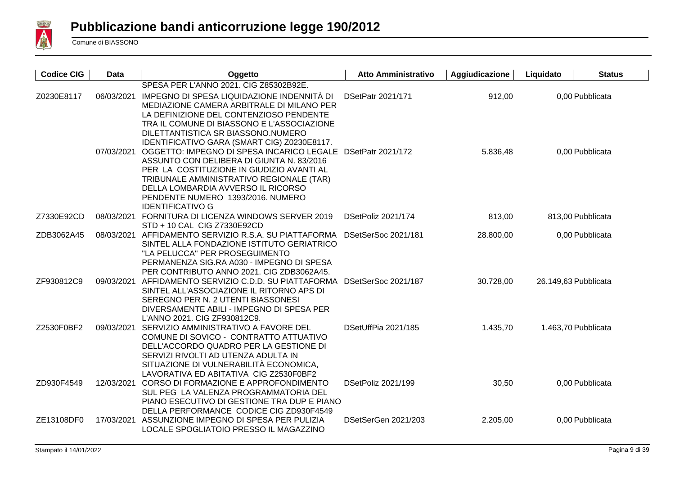

| <b>Codice CIG</b> | Data       | Oggetto                                                                              | <b>Atto Amministrativo</b> | Aggiudicazione | Liquidato            | <b>Status</b>       |
|-------------------|------------|--------------------------------------------------------------------------------------|----------------------------|----------------|----------------------|---------------------|
|                   |            | SPESA PER L'ANNO 2021. CIG Z85302B92E.                                               |                            |                |                      |                     |
| Z0230E8117        | 06/03/2021 | IMPEGNO DI SPESA LIQUIDAZIONE INDENNITÀ DI                                           | DSetPatr 2021/171          | 912,00         |                      | 0,00 Pubblicata     |
|                   |            | MEDIAZIONE CAMERA ARBITRALE DI MILANO PER                                            |                            |                |                      |                     |
|                   |            | LA DEFINIZIONE DEL CONTENZIOSO PENDENTE                                              |                            |                |                      |                     |
|                   |            | TRA IL COMUNE DI BIASSONO E L'ASSOCIAZIONE                                           |                            |                |                      |                     |
|                   |            | DILETTANTISTICA SR BIASSONO.NUMERO<br>IDENTIFICATIVO GARA (SMART CIG) Z0230E8117.    |                            |                |                      |                     |
|                   |            | 07/03/2021 OGGETTO: IMPEGNO DI SPESA INCARICO LEGALE DSetPatr 2021/172               |                            | 5.836,48       |                      | 0,00 Pubblicata     |
|                   |            | ASSUNTO CON DELIBERA DI GIUNTA N. 83/2016                                            |                            |                |                      |                     |
|                   |            | PER LA COSTITUZIONE IN GIUDIZIO AVANTI AL                                            |                            |                |                      |                     |
|                   |            | TRIBUNALE AMMINISTRATIVO REGIONALE (TAR)                                             |                            |                |                      |                     |
|                   |            | DELLA LOMBARDIA AVVERSO IL RICORSO                                                   |                            |                |                      |                     |
|                   |            | PENDENTE NUMERO 1393/2016. NUMERO                                                    |                            |                |                      |                     |
|                   |            | <b>IDENTIFICATIVO G</b>                                                              |                            |                |                      |                     |
| Z7330E92CD        | 08/03/2021 | FORNITURA DI LICENZA WINDOWS SERVER 2019<br>STD + 10 CAL CIG Z7330E92CD              | DSetPoliz 2021/174         | 813,00         |                      | 813,00 Pubblicata   |
| ZDB3062A45        |            | 08/03/2021 AFFIDAMENTO SERVIZIO R.S.A. SU PIATTAFORMA                                | DSetSerSoc 2021/181        | 28.800,00      |                      | 0,00 Pubblicata     |
|                   |            | SINTEL ALLA FONDAZIONE ISTITUTO GERIATRICO                                           |                            |                |                      |                     |
|                   |            | "LA PELUCCA" PER PROSEGUIMENTO                                                       |                            |                |                      |                     |
|                   |            | PERMANENZA SIG.RA A030 - IMPEGNO DI SPESA                                            |                            |                |                      |                     |
|                   |            | PER CONTRIBUTO ANNO 2021. CIG ZDB3062A45.                                            |                            |                |                      |                     |
| ZF930812C9        | 09/03/2021 | AFFIDAMENTO SERVIZIO C.D.D. SU PIATTAFORMA                                           | DSetSerSoc 2021/187        | 30.728,00      | 26.149,63 Pubblicata |                     |
|                   |            | SINTEL ALL'ASSOCIAZIONE IL RITORNO APS DI                                            |                            |                |                      |                     |
|                   |            | SEREGNO PER N. 2 UTENTI BIASSONESI                                                   |                            |                |                      |                     |
|                   |            | DIVERSAMENTE ABILI - IMPEGNO DI SPESA PER<br>L'ANNO 2021. CIG ZF930812C9.            |                            |                |                      |                     |
| Z2530F0BF2        |            | 09/03/2021 SERVIZIO AMMINISTRATIVO A FAVORE DEL                                      | DSetUffPia 2021/185        | 1.435,70       |                      | 1.463,70 Pubblicata |
|                   |            | COMUNE DI SOVICO - CONTRATTO ATTUATIVO                                               |                            |                |                      |                     |
|                   |            | DELL'ACCORDO QUADRO PER LA GESTIONE DI                                               |                            |                |                      |                     |
|                   |            | SERVIZI RIVOLTI AD UTENZA ADULTA IN                                                  |                            |                |                      |                     |
|                   |            | SITUAZIONE DI VULNERABILITÀ ECONOMICA,                                               |                            |                |                      |                     |
|                   |            | LAVORATIVA ED ABITATIVA CIG Z2530F0BF2                                               |                            |                |                      |                     |
| ZD930F4549        |            | 12/03/2021 CORSO DI FORMAZIONE E APPROFONDIMENTO                                     | DSetPoliz 2021/199         | 30,50          |                      | 0,00 Pubblicata     |
|                   |            | SUL PEG LA VALENZA PROGRAMMATORIA DEL<br>PIANO ESECUTIVO DI GESTIONE TRA DUP E PIANO |                            |                |                      |                     |
|                   |            | DELLA PERFORMANCE CODICE CIG ZD930F4549                                              |                            |                |                      |                     |
| ZE13108DF0        | 17/03/2021 | ASSUNZIONE IMPEGNO DI SPESA PER PULIZIA                                              | DSetSerGen 2021/203        | 2.205,00       |                      | 0,00 Pubblicata     |
|                   |            | LOCALE SPOGLIATOIO PRESSO IL MAGAZZINO                                               |                            |                |                      |                     |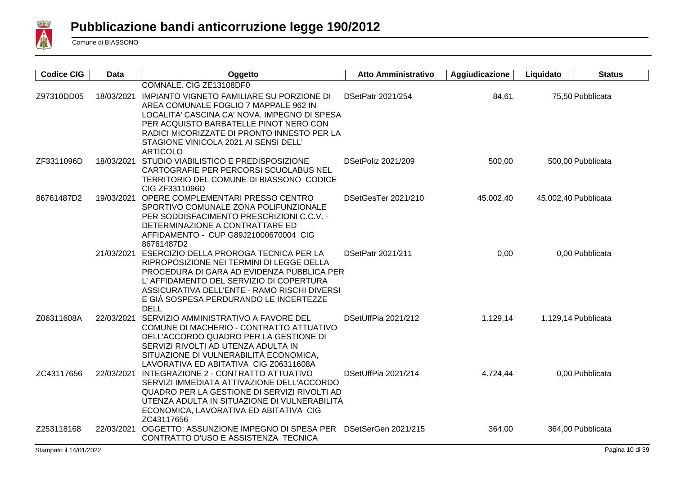

| <b>Codice CIG</b> | <b>Data</b> | Oggetto                                                                            | <b>Atto Amministrativo</b> | Aggiudicazione | Liquidato | <b>Status</b>        |
|-------------------|-------------|------------------------------------------------------------------------------------|----------------------------|----------------|-----------|----------------------|
|                   |             | COMNALE. CIG ZE13108DF0                                                            |                            |                |           |                      |
| Z97310DD05        | 18/03/2021  | IMPIANTO VIGNETO FAMILIARE SU PORZIONE DI                                          | DSetPatr 2021/254          | 84,61          |           | 75,50 Pubblicata     |
|                   |             | AREA COMUNALE FOGLIO 7 MAPPALE 962 IN                                              |                            |                |           |                      |
|                   |             | LOCALITA' CASCINA CA' NOVA. IMPEGNO DI SPESA                                       |                            |                |           |                      |
|                   |             | PER ACQUISTO BARBATELLE PINOT NERO CON                                             |                            |                |           |                      |
|                   |             | RADICI MICORIZZATE DI PRONTO INNESTO PER LA                                        |                            |                |           |                      |
|                   |             | STAGIONE VINICOLA 2021 AI SENSI DELL'                                              |                            |                |           |                      |
|                   |             | <b>ARTICOLO</b>                                                                    |                            |                |           |                      |
| ZF3311096D        | 18/03/2021  | STUDIO VIABILISTICO E PREDISPOSIZIONE                                              | DSetPoliz 2021/209         | 500,00         |           | 500,00 Pubblicata    |
|                   |             | CARTOGRAFIE PER PERCORSI SCUOLABUS NEL                                             |                            |                |           |                      |
|                   |             | TERRITORIO DEL COMUNE DI BIASSONO CODICE                                           |                            |                |           |                      |
| 86761487D2        |             | CIG ZF3311096D<br>19/03/2021 OPERE COMPLEMENTARI PRESSO CENTRO                     | DSetGesTer 2021/210        | 45.002,40      |           | 45.002,40 Pubblicata |
|                   |             | SPORTIVO COMUNALE ZONA POLIFUNZIONALE                                              |                            |                |           |                      |
|                   |             | PER SODDISFACIMENTO PRESCRIZIONI C.C.V. -                                          |                            |                |           |                      |
|                   |             | DETERMINAZIONE A CONTRATTARE ED                                                    |                            |                |           |                      |
|                   |             | AFFIDAMENTO - CUP G89J21000670004 CIG                                              |                            |                |           |                      |
|                   |             | 86761487D2                                                                         |                            |                |           |                      |
|                   |             | 21/03/2021 ESERCIZIO DELLA PROROGA TECNICA PER LA                                  | DSetPatr 2021/211          | 0,00           |           | 0,00 Pubblicata      |
|                   |             | RIPROPOSIZIONE NEI TERMINI DI LEGGE DELLA                                          |                            |                |           |                      |
|                   |             | PROCEDURA DI GARA AD EVIDENZA PUBBLICA PER                                         |                            |                |           |                      |
|                   |             | L' AFFIDAMENTO DEL SERVIZIO DI COPERTURA                                           |                            |                |           |                      |
|                   |             | ASSICURATIVA DELL'ENTE - RAMO RISCHI DIVERSI                                       |                            |                |           |                      |
|                   |             | E GIÀ SOSPESA PERDURANDO LE INCERTEZZE                                             |                            |                |           |                      |
|                   |             | <b>DELL</b>                                                                        |                            |                |           |                      |
| Z06311608A        |             | 22/03/2021 SERVIZIO AMMINISTRATIVO A FAVORE DEL                                    | DSetUffPia 2021/212        | 1.129,14       |           | 1.129,14 Pubblicata  |
|                   |             | COMUNE DI MACHERIO - CONTRATTO ATTUATIVO<br>DELL'ACCORDO QUADRO PER LA GESTIONE DI |                            |                |           |                      |
|                   |             | SERVIZI RIVOLTI AD UTENZA ADULTA IN                                                |                            |                |           |                      |
|                   |             | SITUAZIONE DI VULNERABILITÀ ECONOMICA,                                             |                            |                |           |                      |
|                   |             | LAVORATIVA ED ABITATIVA CIG Z06311608A                                             |                            |                |           |                      |
| ZC43117656        |             | 22/03/2021 INTEGRAZIONE 2 - CONTRATTO ATTUATIVO                                    | DSetUffPia 2021/214        | 4.724,44       |           | 0,00 Pubblicata      |
|                   |             | SERVIZI IMMEDIATA ATTIVAZIONE DELL'ACCORDO                                         |                            |                |           |                      |
|                   |             | QUADRO PER LA GESTIONE DI SERVIZI RIVOLTI AD                                       |                            |                |           |                      |
|                   |             | UTENZA ADULTA IN SITUAZIONE DI VULNERABILITÀ                                       |                            |                |           |                      |
|                   |             | ECONOMICA, LAVORATIVA ED ABITATIVA CIG                                             |                            |                |           |                      |
|                   |             | ZC43117656                                                                         |                            |                |           |                      |
| Z253118168        | 22/03/2021  | OGGETTO: ASSUNZIONE IMPEGNO DI SPESA PER DSetSerGen 2021/215                       |                            | 364,00         |           | 364,00 Pubblicata    |
|                   |             | CONTRATTO D'USO E ASSISTENZA TECNICA                                               |                            |                |           |                      |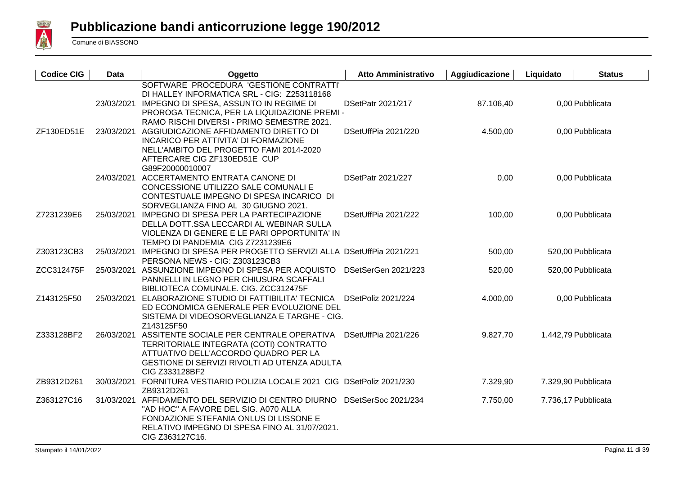

| <b>Codice CIG</b> | <b>Data</b> | Oggetto                                                                                                                                                                                                                   | <b>Atto Amministrativo</b> | Aggiudicazione | Liquidato | <b>Status</b>       |
|-------------------|-------------|---------------------------------------------------------------------------------------------------------------------------------------------------------------------------------------------------------------------------|----------------------------|----------------|-----------|---------------------|
|                   | 23/03/2021  | SOFTWARE PROCEDURA 'GESTIONE CONTRATTI'<br>DI HALLEY INFORMATICA SRL - CIG: Z253118168<br>IMPEGNO DI SPESA, ASSUNTO IN REGIME DI<br>PROROGA TECNICA, PER LA LIQUIDAZIONE PREMI -                                          | DSetPatr 2021/217          | 87.106,40      |           | 0,00 Pubblicata     |
| ZF130ED51E        | 23/03/2021  | RAMO RISCHI DIVERSI - PRIMO SEMESTRE 2021.<br>AGGIUDICAZIONE AFFIDAMENTO DIRETTO DI<br>INCARICO PER ATTIVITA' DI FORMAZIONE<br>NELL'AMBITO DEL PROGETTO FAMI 2014-2020<br>AFTERCARE CIG ZF130ED51E CUP<br>G89F20000010007 | DSetUffPia 2021/220        | 4.500,00       |           | 0,00 Pubblicata     |
|                   | 24/03/2021  | ACCERTAMENTO ENTRATA CANONE DI<br>CONCESSIONE UTILIZZO SALE COMUNALI E<br>CONTESTUALE IMPEGNO DI SPESA INCARICO DI<br>SORVEGLIANZA FINO AL 30 GIUGNO 2021.                                                                | <b>DSetPatr 2021/227</b>   | 0,00           |           | 0.00 Pubblicata     |
| Z7231239E6        | 25/03/2021  | IMPEGNO DI SPESA PER LA PARTECIPAZIONE<br>DELLA DOTT.SSA LECCARDI AL WEBINAR SULLA<br>VIOLENZA DI GENERE E LE PARI OPPORTUNITA' IN<br>TEMPO DI PANDEMIA CIG Z7231239E6                                                    | DSetUffPia 2021/222        | 100,00         |           | 0,00 Pubblicata     |
| Z303123CB3        |             | 25/03/2021 IMPEGNO DI SPESA PER PROGETTO SERVIZI ALLA DSetUffPia 2021/221<br>PERSONA NEWS - CIG: Z303123CB3                                                                                                               |                            | 500,00         |           | 520,00 Pubblicata   |
| ZCC312475F        |             | 25/03/2021 ASSUNZIONE IMPEGNO DI SPESA PER ACQUISTO<br>PANNELLI IN LEGNO PER CHIUSURA SCAFFALI<br>BIBLIOTECA COMUNALE. CIG. ZCC312475F                                                                                    | DSetSerGen 2021/223        | 520,00         |           | 520,00 Pubblicata   |
| Z143125F50        | 25/03/2021  | ELABORAZIONE STUDIO DI FATTIBILITA' TECNICA<br>ED ECONOMICA GENERALE PER EVOLUZIONE DEL<br>SISTEMA DI VIDEOSORVEGLIANZA E TARGHE - CIG.<br>Z143125F50                                                                     | DSetPoliz 2021/224         | 4.000,00       |           | 0,00 Pubblicata     |
| Z333128BF2        | 26/03/2021  | ASSITENTE SOCIALE PER CENTRALE OPERATIVA<br>TERRITORIALE INTEGRATA (COTI) CONTRATTO<br>ATTUATIVO DELL'ACCORDO QUADRO PER LA<br>GESTIONE DI SERVIZI RIVOLTI AD UTENZA ADULTA<br>CIG Z333128BF2                             | DSetUffPia 2021/226        | 9.827,70       |           | 1.442,79 Pubblicata |
| ZB9312D261        |             | 30/03/2021 FORNITURA VESTIARIO POLIZIA LOCALE 2021 CIG DSetPoliz 2021/230<br>ZB9312D261                                                                                                                                   |                            | 7.329,90       |           | 7.329,90 Pubblicata |
| Z363127C16        |             | 31/03/2021 AFFIDAMENTO DEL SERVIZIO DI CENTRO DIURNO<br>"AD HOC" A FAVORE DEL SIG. A070 ALLA<br>FONDAZIONE STEFANIA ONLUS DI LISSONE E<br>RELATIVO IMPEGNO DI SPESA FINO AL 31/07/2021.<br>CIG Z363127C16.                | DSetSerSoc 2021/234        | 7.750,00       |           | 7.736,17 Pubblicata |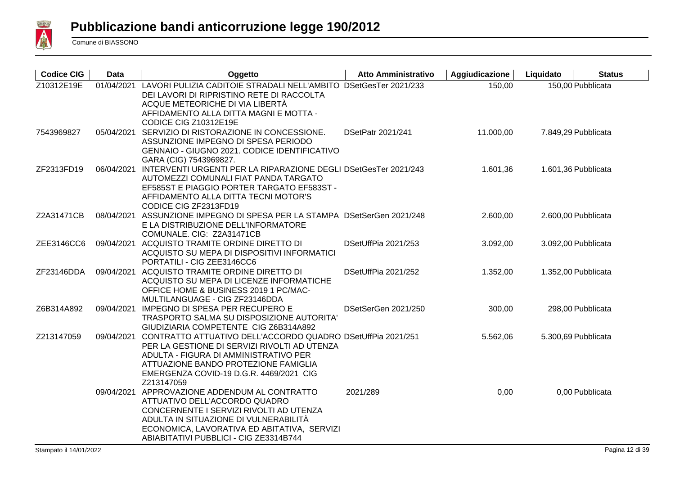

| <b>Codice CIG</b> | <b>Data</b> | Oggetto                                                                                                                                                                                                                                                          | <b>Atto Amministrativo</b> | Aggiudicazione | Liquidato | <b>Status</b>       |
|-------------------|-------------|------------------------------------------------------------------------------------------------------------------------------------------------------------------------------------------------------------------------------------------------------------------|----------------------------|----------------|-----------|---------------------|
| Z10312E19E        | 01/04/2021  | LAVORI PULIZIA CADITOIE STRADALI NELL'AMBITO DSetGesTer 2021/233<br>DEI LAVORI DI RIPRISTINO RETE DI RACCOLTA<br>ACQUE METEORICHE DI VIA LIBERTÀ<br>AFFIDAMENTO ALLA DITTA MAGNI E MOTTA -                                                                       |                            | 150,00         |           | 150,00 Pubblicata   |
| 7543969827        |             | CODICE CIG Z10312E19E<br>05/04/2021 SERVIZIO DI RISTORAZIONE IN CONCESSIONE.<br>ASSUNZIONE IMPEGNO DI SPESA PERIODO<br>GENNAIO - GIUGNO 2021. CODICE IDENTIFICATIVO<br>GARA (CIG) 7543969827.                                                                    | DSetPatr 2021/241          | 11.000,00      |           | 7.849,29 Pubblicata |
| ZF2313FD19        | 06/04/2021  | INTERVENTI URGENTI PER LA RIPARAZIONE DEGLI DSetGesTer 2021/243<br>AUTOMEZZI COMUNALI FIAT PANDA TARGATO<br>EF585ST E PIAGGIO PORTER TARGATO EF583ST -<br>AFFIDAMENTO ALLA DITTA TECNI MOTOR'S<br>CODICE CIG ZF2313FD19                                          |                            | 1.601,36       |           | 1.601,36 Pubblicata |
| Z2A31471CB        | 08/04/2021  | ASSUNZIONE IMPEGNO DI SPESA PER LA STAMPA DSetSerGen 2021/248<br>E LA DISTRIBUZIONE DELL'INFORMATORE<br>COMUNALE. CIG: Z2A31471CB                                                                                                                                |                            | 2.600,00       |           | 2.600,00 Pubblicata |
| ZEE3146CC6        |             | 09/04/2021 ACQUISTO TRAMITE ORDINE DIRETTO DI<br>ACQUISTO SU MEPA DI DISPOSITIVI INFORMATICI<br>PORTATILI - CIG ZEE3146CC6                                                                                                                                       | DSetUffPia 2021/253        | 3.092,00       |           | 3.092,00 Pubblicata |
| ZF23146DDA        |             | 09/04/2021 ACQUISTO TRAMITE ORDINE DIRETTO DI<br>ACQUISTO SU MEPA DI LICENZE INFORMATICHE<br>OFFICE HOME & BUSINESS 2019 1 PC/MAC-<br>MULTILANGUAGE - CIG ZF23146DDA                                                                                             | DSetUffPia 2021/252        | 1.352,00       |           | 1.352,00 Pubblicata |
| Z6B314A892        |             | 09/04/2021 IMPEGNO DI SPESA PER RECUPERO E<br>TRASPORTO SALMA SU DISPOSIZIONE AUTORITA'<br>GIUDIZIARIA COMPETENTE CIG Z6B314A892                                                                                                                                 | DSetSerGen 2021/250        | 300,00         |           | 298,00 Pubblicata   |
| Z213147059        |             | 09/04/2021 CONTRATTO ATTUATIVO DELL'ACCORDO QUADRO DSetUffPia 2021/251<br>PER LA GESTIONE DI SERVIZI RIVOLTI AD UTENZA<br>ADULTA - FIGURA DI AMMINISTRATIVO PER<br>ATTUAZIONE BANDO PROTEZIONE FAMIGLIA<br>EMERGENZA COVID-19 D.G.R. 4469/2021 CIG<br>Z213147059 |                            | 5.562,06       |           | 5.300,69 Pubblicata |
|                   |             | 09/04/2021 APPROVAZIONE ADDENDUM AL CONTRATTO<br>ATTUATIVO DELL'ACCORDO QUADRO<br>CONCERNENTE I SERVIZI RIVOLTI AD UTENZA<br>ADULTA IN SITUAZIONE DI VULNERABILITÀ<br>ECONOMICA, LAVORATIVA ED ABITATIVA, SERVIZI<br>ABIABITATIVI PUBBLICI - CIG ZE3314B744      | 2021/289                   | 0,00           |           | 0,00 Pubblicata     |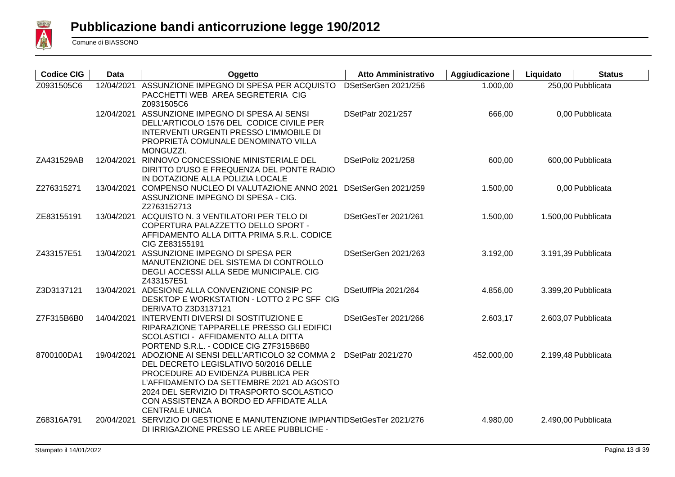

| <b>Codice CIG</b> | <b>Data</b> | Oggetto                                                                                                                                                                                                                                                                                 | <b>Atto Amministrativo</b> | Aggiudicazione | Liquidato | <b>Status</b>       |
|-------------------|-------------|-----------------------------------------------------------------------------------------------------------------------------------------------------------------------------------------------------------------------------------------------------------------------------------------|----------------------------|----------------|-----------|---------------------|
| Z0931505C6        | 12/04/2021  | ASSUNZIONE IMPEGNO DI SPESA PER ACQUISTO<br>PACCHETTI WEB AREA SEGRETERIA CIG<br>Z0931505C6                                                                                                                                                                                             | DSetSerGen 2021/256        | 1.000,00       |           | 250,00 Pubblicata   |
|                   |             | 12/04/2021 ASSUNZIONE IMPEGNO DI SPESA AI SENSI<br>DELL'ARTICOLO 1576 DEL CODICE CIVILE PER<br>INTERVENTI URGENTI PRESSO L'IMMOBILE DI<br>PROPRIETÀ COMUNALE DENOMINATO VILLA<br>MONGUZZI.                                                                                              | DSetPatr 2021/257          | 666,00         |           | 0,00 Pubblicata     |
| ZA431529AB        | 12/04/2021  | RINNOVO CONCESSIONE MINISTERIALE DEL<br>DIRITTO D'USO E FREQUENZA DEL PONTE RADIO<br>IN DOTAZIONE ALLA POLIZIA LOCALE                                                                                                                                                                   | DSetPoliz 2021/258         | 600,00         |           | 600,00 Pubblicata   |
| Z276315271        | 13/04/2021  | COMPENSO NUCLEO DI VALUTAZIONE ANNO 2021<br>ASSUNZIONE IMPEGNO DI SPESA - CIG.<br>Z2763152713                                                                                                                                                                                           | DSetSerGen 2021/259        | 1.500,00       |           | 0,00 Pubblicata     |
| ZE83155191        |             | 13/04/2021 ACQUISTO N. 3 VENTILATORI PER TELO DI<br>COPERTURA PALAZZETTO DELLO SPORT -<br>AFFIDAMENTO ALLA DITTA PRIMA S.R.L. CODICE<br>CIG ZE83155191                                                                                                                                  | DSetGesTer 2021/261        | 1.500,00       |           | 1.500,00 Pubblicata |
| Z433157E51        | 13/04/2021  | ASSUNZIONE IMPEGNO DI SPESA PER<br>MANUTENZIONE DEL SISTEMA DI CONTROLLO<br>DEGLI ACCESSI ALLA SEDE MUNICIPALE. CIG<br>Z433157E51                                                                                                                                                       | DSetSerGen 2021/263        | 3.192,00       |           | 3.191,39 Pubblicata |
| Z3D3137121        |             | 13/04/2021 ADESIONE ALLA CONVENZIONE CONSIP PC<br>DESKTOP E WORKSTATION - LOTTO 2 PC SFF CIG<br><b>DERIVATO Z3D3137121</b>                                                                                                                                                              | DSetUffPia 2021/264        | 4.856,00       |           | 3.399,20 Pubblicata |
| Z7F315B6B0        |             | 14/04/2021 INTERVENTI DIVERSI DI SOSTITUZIONE E<br>RIPARAZIONE TAPPARELLE PRESSO GLI EDIFICI<br>SCOLASTICI - AFFIDAMENTO ALLA DITTA<br>PORTEND S.R.L. - CODICE CIG Z7F315B6B0                                                                                                           | DSetGesTer 2021/266        | 2.603,17       |           | 2.603,07 Pubblicata |
| 8700100DA1        | 19/04/2021  | ADOZIONE AI SENSI DELL'ARTICOLO 32 COMMA 2<br>DEL DECRETO LEGISLATIVO 50/2016 DELLE<br>PROCEDURE AD EVIDENZA PUBBLICA PER<br>L'AFFIDAMENTO DA SETTEMBRE 2021 AD AGOSTO<br>2024 DEL SERVIZIO DI TRASPORTO SCOLASTICO<br>CON ASSISTENZA A BORDO ED AFFIDATE ALLA<br><b>CENTRALE UNICA</b> | DSetPatr 2021/270          | 452.000,00     |           | 2.199,48 Pubblicata |
| Z68316A791        | 20/04/2021  | SERVIZIO DI GESTIONE E MANUTENZIONE IMPIANTIDSetGesTer 2021/276<br>DI IRRIGAZIONE PRESSO LE AREE PUBBLICHE -                                                                                                                                                                            |                            | 4.980,00       |           | 2.490,00 Pubblicata |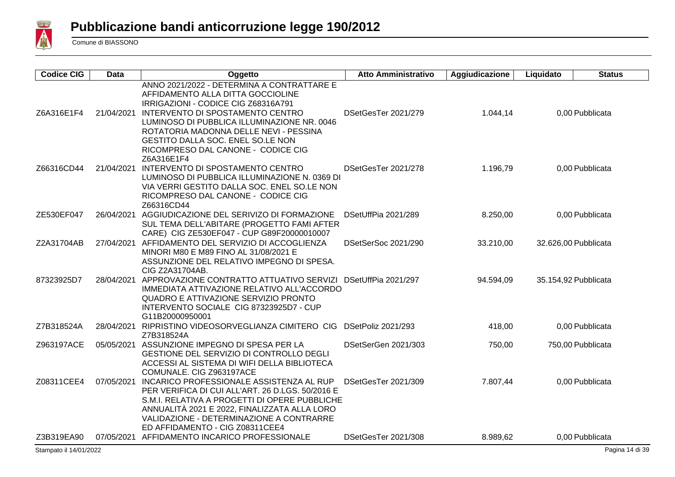

| <b>Codice CIG</b> | <b>Data</b> | Oggetto                                                                                                                                                                                                                                                                                                                                      | <b>Atto Amministrativo</b> | Aggiudicazione | Liquidato | <b>Status</b>        |
|-------------------|-------------|----------------------------------------------------------------------------------------------------------------------------------------------------------------------------------------------------------------------------------------------------------------------------------------------------------------------------------------------|----------------------------|----------------|-----------|----------------------|
| Z6A316E1F4        | 21/04/2021  | ANNO 2021/2022 - DETERMINA A CONTRATTARE E<br>AFFIDAMENTO ALLA DITTA GOCCIOLINE<br>IRRIGAZIONI - CODICE CIG Z68316A791<br>INTERVENTO DI SPOSTAMENTO CENTRO<br>LUMINOSO DI PUBBLICA ILLUMINAZIONE NR. 0046<br>ROTATORIA MADONNA DELLE NEVI - PESSINA<br>GESTITO DALLA SOC. ENEL SO.LE NON<br>RICOMPRESO DAL CANONE - CODICE CIG<br>Z6A316E1F4 | DSetGesTer 2021/279        | 1.044,14       |           | 0,00 Pubblicata      |
| Z66316CD44        |             | 21/04/2021 INTERVENTO DI SPOSTAMENTO CENTRO<br>LUMINOSO DI PUBBLICA ILLUMINAZIONE N. 0369 DI<br>VIA VERRI GESTITO DALLA SOC. ENEL SO.LE NON<br>RICOMPRESO DAL CANONE - CODICE CIG<br>Z66316CD44                                                                                                                                              | DSetGesTer 2021/278        | 1.196,79       |           | 0,00 Pubblicata      |
| ZE530EF047        |             | 26/04/2021 AGGIUDICAZIONE DEL SERIVIZO DI FORMAZIONE<br>SUL TEMA DELL'ABITARE (PROGETTO FAMI AFTER<br>CARE) CIG ZE530EF047 - CUP G89F20000010007                                                                                                                                                                                             | DSetUffPia 2021/289        | 8.250,00       |           | 0,00 Pubblicata      |
| Z2A31704AB        |             | 27/04/2021 AFFIDAMENTO DEL SERVIZIO DI ACCOGLIENZA<br>MINORI M80 E M89 FINO AL 31/08/2021 E<br>ASSUNZIONE DEL RELATIVO IMPEGNO DI SPESA.<br>CIG Z2A31704AB.                                                                                                                                                                                  | DSetSerSoc 2021/290        | 33.210,00      |           | 32.626,00 Pubblicata |
| 87323925D7        |             | 28/04/2021 APPROVAZIONE CONTRATTO ATTUATIVO SERVIZI<br>IMMEDIATA ATTIVAZIONE RELATIVO ALL'ACCORDO<br>QUADRO E ATTIVAZIONE SERVIZIO PRONTO<br>INTERVENTO SOCIALE CIG 87323925D7 - CUP<br>G11B20000950001                                                                                                                                      | DSetUffPia 2021/297        | 94.594,09      |           | 35.154,92 Pubblicata |
| Z7B318524A        | 28/04/2021  | RIPRISTINO VIDEOSORVEGLIANZA CIMITERO CIG DSetPoliz 2021/293<br>Z7B318524A                                                                                                                                                                                                                                                                   |                            | 418,00         |           | 0,00 Pubblicata      |
| Z963197ACE        |             | 05/05/2021 ASSUNZIONE IMPEGNO DI SPESA PER LA<br>GESTIONE DEL SERVIZIO DI CONTROLLO DEGLI<br>ACCESSI AL SISTEMA DI WIFI DELLA BIBLIOTECA<br>COMUNALE. CIG Z963197ACE                                                                                                                                                                         | DSetSerGen 2021/303        | 750,00         |           | 750,00 Pubblicata    |
| Z08311CEE4        |             | 07/05/2021 INCARICO PROFESSIONALE ASSISTENZA AL RUP<br>PER VERIFICA DI CUI ALL'ART. 26 D.LGS. 50/2016 E<br>S.M.I. RELATIVA A PROGETTI DI OPERE PUBBLICHE<br>ANNUALITÀ 2021 E 2022, FINALIZZATA ALLA LORO<br>VALIDAZIONE - DETERMINAZIONE A CONTRARRE<br>ED AFFIDAMENTO - CIG Z08311CEE4                                                      | DSetGesTer 2021/309        | 7.807,44       |           | 0,00 Pubblicata      |
| Z3B319EA90        |             | 07/05/2021 AFFIDAMENTO INCARICO PROFESSIONALE                                                                                                                                                                                                                                                                                                | DSetGesTer 2021/308        | 8.989,62       |           | 0,00 Pubblicata      |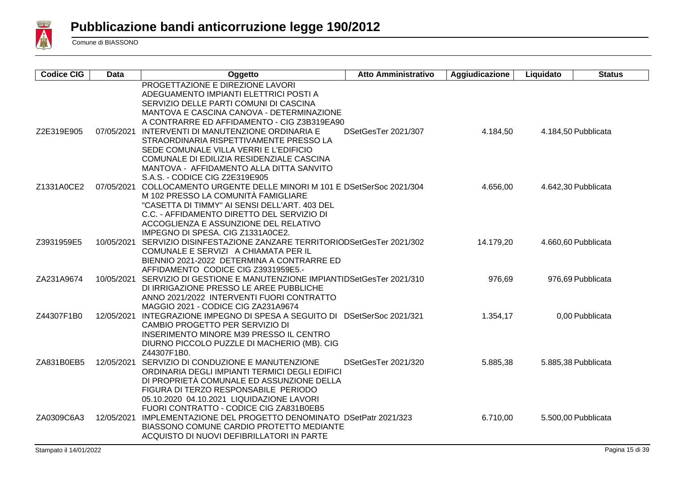

| <b>Codice CIG</b> | <b>Data</b> | Oggetto                                                                              | <b>Atto Amministrativo</b> | Aggiudicazione | Liquidato | <b>Status</b>       |
|-------------------|-------------|--------------------------------------------------------------------------------------|----------------------------|----------------|-----------|---------------------|
|                   |             | PROGETTAZIONE E DIREZIONE LAVORI                                                     |                            |                |           |                     |
|                   |             | ADEGUAMENTO IMPIANTI ELETTRICI POSTI A                                               |                            |                |           |                     |
|                   |             | SERVIZIO DELLE PARTI COMUNI DI CASCINA                                               |                            |                |           |                     |
|                   |             | MANTOVA E CASCINA CANOVA - DETERMINAZIONE                                            |                            |                |           |                     |
|                   |             | A CONTRARRE ED AFFIDAMENTO - CIG Z3B319EA90                                          |                            |                |           |                     |
| Z2E319E905        |             | 07/05/2021 INTERVENTI DI MANUTENZIONE ORDINARIA E                                    | DSetGesTer 2021/307        | 4.184,50       |           | 4.184,50 Pubblicata |
|                   |             | STRAORDINARIA RISPETTIVAMENTE PRESSO LA                                              |                            |                |           |                     |
|                   |             | SEDE COMUNALE VILLA VERRI E L'EDIFICIO                                               |                            |                |           |                     |
|                   |             | COMUNALE DI EDILIZIA RESIDENZIALE CASCINA                                            |                            |                |           |                     |
|                   |             | MANTOVA - AFFIDAMENTO ALLA DITTA SANVITO                                             |                            |                |           |                     |
|                   |             | S.A.S. - CODICE CIG Z2E319E905                                                       |                            |                |           |                     |
| Z1331A0CE2        |             | 07/05/2021 COLLOCAMENTO URGENTE DELLE MINORI M 101 E DSetSerSoc 2021/304             |                            | 4.656,00       |           | 4.642,30 Pubblicata |
|                   |             | M 102 PRESSO LA COMUNITÀ FAMIGLIARE                                                  |                            |                |           |                     |
|                   |             | "CASETTA DI TIMMY" AI SENSI DELL'ART. 403 DEL                                        |                            |                |           |                     |
|                   |             | C.C. - AFFIDAMENTO DIRETTO DEL SERVIZIO DI                                           |                            |                |           |                     |
|                   |             | ACCOGLIENZA E ASSUNZIONE DEL RELATIVO                                                |                            |                |           |                     |
|                   |             | IMPEGNO DI SPESA. CIG Z1331A0CE2.                                                    |                            |                |           |                     |
| Z3931959E5        |             | 10/05/2021 SERVIZIO DISINFESTAZIONE ZANZARE TERRITORIODSetGesTer 2021/302            |                            | 14.179,20      |           | 4.660,60 Pubblicata |
|                   |             | COMUNALE E SERVIZI A CHIAMATA PER IL                                                 |                            |                |           |                     |
|                   |             | BIENNIO 2021-2022 DETERMINA A CONTRARRE ED                                           |                            |                |           |                     |
|                   |             | AFFIDAMENTO CODICE CIG Z3931959E5.-                                                  |                            |                |           |                     |
| ZA231A9674        |             | 10/05/2021 SERVIZIO DI GESTIONE E MANUTENZIONE IMPIANTIDSetGesTer 2021/310           |                            | 976,69         |           | 976,69 Pubblicata   |
|                   |             | DI IRRIGAZIONE PRESSO LE AREE PUBBLICHE                                              |                            |                |           |                     |
|                   |             | ANNO 2021/2022 INTERVENTI FUORI CONTRATTO                                            |                            |                |           |                     |
|                   |             | MAGGIO 2021 - CODICE CIG ZA231A9674                                                  |                            |                |           |                     |
| Z44307F1B0        |             | 12/05/2021 INTEGRAZIONE IMPEGNO DI SPESA A SEGUITO DI DSetSerSoc 2021/321            |                            | 1.354,17       |           | 0,00 Pubblicata     |
|                   |             | CAMBIO PROGETTO PER SERVIZIO DI                                                      |                            |                |           |                     |
|                   |             | <b>INSERIMENTO MINORE M39 PRESSO IL CENTRO</b>                                       |                            |                |           |                     |
|                   |             | DIURNO PICCOLO PUZZLE DI MACHERIO (MB). CIG                                          |                            |                |           |                     |
|                   |             | Z44307F1B0.                                                                          |                            |                |           |                     |
| ZA831B0EB5        | 12/05/2021  | SERVIZIO DI CONDUZIONE E MANUTENZIONE                                                | DSetGesTer 2021/320        | 5.885,38       |           | 5.885,38 Pubblicata |
|                   |             | ORDINARIA DEGLI IMPIANTI TERMICI DEGLI EDIFICI                                       |                            |                |           |                     |
|                   |             | DI PROPRIETÀ COMUNALE ED ASSUNZIONE DELLA                                            |                            |                |           |                     |
|                   |             | FIGURA DI TERZO RESPONSABILE PERIODO                                                 |                            |                |           |                     |
|                   |             | 05.10.2020 04.10.2021 LIQUIDAZIONE LAVORI<br>FUORI CONTRATTO - CODICE CIG ZA831B0EB5 |                            |                |           |                     |
| ZA0309C6A3        |             | 12/05/2021 IMPLEMENTAZIONE DEL PROGETTO DENOMINATO DSetPatr 2021/323                 |                            | 6.710,00       |           | 5.500,00 Pubblicata |
|                   |             | <b>BIASSONO COMUNE CARDIO PROTETTO MEDIANTE</b>                                      |                            |                |           |                     |
|                   |             | ACQUISTO DI NUOVI DEFIBRILLATORI IN PARTE                                            |                            |                |           |                     |
|                   |             |                                                                                      |                            |                |           |                     |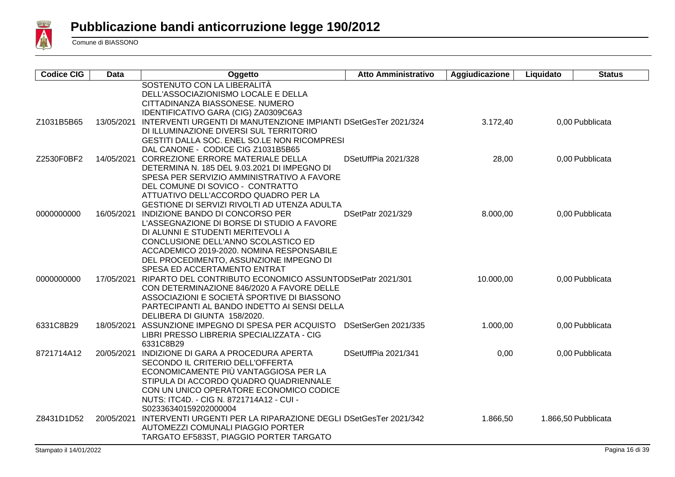

| <b>Codice CIG</b> | Data       | Oggetto                                                              | <b>Atto Amministrativo</b> | Aggiudicazione | Liquidato | <b>Status</b>       |
|-------------------|------------|----------------------------------------------------------------------|----------------------------|----------------|-----------|---------------------|
|                   |            | SOSTENUTO CON LA LIBERALITÀ                                          |                            |                |           |                     |
|                   |            | DELL'ASSOCIAZIONISMO LOCALE E DELLA                                  |                            |                |           |                     |
|                   |            | CITTADINANZA BIASSONESE. NUMERO                                      |                            |                |           |                     |
|                   |            | IDENTIFICATIVO GARA (CIG) ZA0309C6A3                                 |                            |                |           |                     |
| Z1031B5B65        | 13/05/2021 | INTERVENTI URGENTI DI MANUTENZIONE IMPIANTI DSetGesTer 2021/324      |                            | 3.172,40       |           | 0,00 Pubblicata     |
|                   |            | DI ILLUMINAZIONE DIVERSI SUL TERRITORIO                              |                            |                |           |                     |
|                   |            | GESTITI DALLA SOC. ENEL SO.LE NON RICOMPRESI                         |                            |                |           |                     |
|                   |            | DAL CANONE - CODICE CIG Z1031B5B65                                   |                            |                |           |                     |
| Z2530F0BF2        |            | 14/05/2021 CORREZIONE ERRORE MATERIALE DELLA                         | DSetUffPia 2021/328        | 28,00          |           | 0,00 Pubblicata     |
|                   |            | DETERMINA N. 185 DEL 9.03.2021 DI IMPEGNO DI                         |                            |                |           |                     |
|                   |            | SPESA PER SERVIZIO AMMINISTRATIVO A FAVORE                           |                            |                |           |                     |
|                   |            | DEL COMUNE DI SOVICO - CONTRATTO                                     |                            |                |           |                     |
|                   |            | ATTUATIVO DELL'ACCORDO QUADRO PER LA                                 |                            |                |           |                     |
|                   |            | GESTIONE DI SERVIZI RIVOLTI AD UTENZA ADULTA                         |                            |                |           |                     |
| 0000000000        |            | 16/05/2021 INDIZIONE BANDO DI CONCORSO PER                           | DSetPatr 2021/329          | 8.000,00       |           | 0,00 Pubblicata     |
|                   |            | L'ASSEGNAZIONE DI BORSE DI STUDIO A FAVORE                           |                            |                |           |                     |
|                   |            | DI ALUNNI E STUDENTI MERITEVOLI A                                    |                            |                |           |                     |
|                   |            | CONCLUSIONE DELL'ANNO SCOLASTICO ED                                  |                            |                |           |                     |
|                   |            | ACCADEMICO 2019-2020. NOMINA RESPONSABILE                            |                            |                |           |                     |
|                   |            | DEL PROCEDIMENTO, ASSUNZIONE IMPEGNO DI                              |                            |                |           |                     |
|                   |            | SPESA ED ACCERTAMENTO ENTRAT                                         |                            |                |           |                     |
| 0000000000        |            | 17/05/2021 RIPARTO DEL CONTRIBUTO ECONOMICO ASSUNTODSetPatr 2021/301 |                            | 10.000,00      |           | 0,00 Pubblicata     |
|                   |            | CON DETERMINAZIONE 846/2020 A FAVORE DELLE                           |                            |                |           |                     |
|                   |            | ASSOCIAZIONI E SOCIETÀ SPORTIVE DI BIASSONO                          |                            |                |           |                     |
|                   |            | PARTECIPANTI AL BANDO INDETTO AI SENSI DELLA                         |                            |                |           |                     |
|                   |            | DELIBERA DI GIUNTA 158/2020.                                         |                            |                |           |                     |
| 6331C8B29         |            | 18/05/2021 ASSUNZIONE IMPEGNO DI SPESA PER ACQUISTO                  | DSetSerGen 2021/335        | 1.000,00       |           | 0,00 Pubblicata     |
|                   |            | LIBRI PRESSO LIBRERIA SPECIALIZZATA - CIG                            |                            |                |           |                     |
|                   |            | 6331C8B29                                                            |                            |                |           |                     |
| 8721714A12        |            | 20/05/2021 INDIZIONE DI GARA A PROCEDURA APERTA                      | DSetUffPia 2021/341        | 0,00           |           | 0,00 Pubblicata     |
|                   |            | SECONDO IL CRITERIO DELL'OFFERTA                                     |                            |                |           |                     |
|                   |            | ECONOMICAMENTE PIÙ VANTAGGIOSA PER LA                                |                            |                |           |                     |
|                   |            | STIPULA DI ACCORDO QUADRO QUADRIENNALE                               |                            |                |           |                     |
|                   |            | CON UN UNICO OPERATORE ECONOMICO CODICE                              |                            |                |           |                     |
|                   |            | NUTS: ITC4D. - CIG N. 8721714A12 - CUI -                             |                            |                |           |                     |
|                   |            | S02336340159202000004                                                |                            |                |           |                     |
| Z8431D1D52        | 20/05/2021 | INTERVENTI URGENTI PER LA RIPARAZIONE DEGLI DSetGesTer 2021/342      |                            | 1.866,50       |           | 1.866,50 Pubblicata |
|                   |            | AUTOMEZZI COMUNALI PIAGGIO PORTER                                    |                            |                |           |                     |
|                   |            | TARGATO EF583ST, PIAGGIO PORTER TARGATO                              |                            |                |           |                     |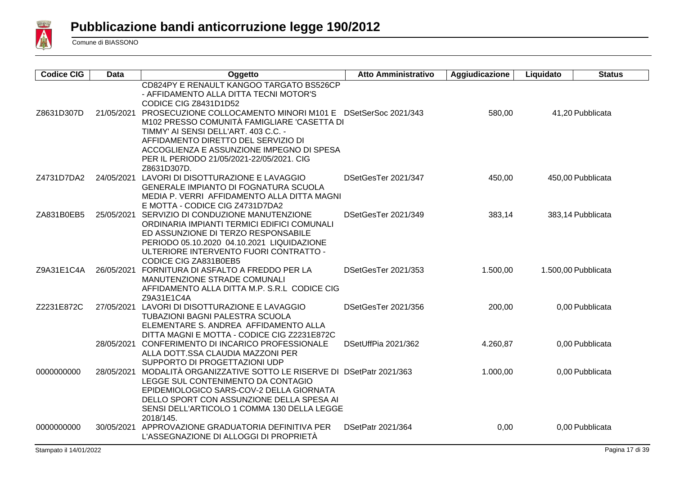

| <b>Codice CIG</b> | Data       | Oggetto                                                                                                                                                                                                                                                                                                                                                                                                       | <b>Atto Amministrativo</b> | Aggiudicazione | Liquidato | <b>Status</b>       |
|-------------------|------------|---------------------------------------------------------------------------------------------------------------------------------------------------------------------------------------------------------------------------------------------------------------------------------------------------------------------------------------------------------------------------------------------------------------|----------------------------|----------------|-----------|---------------------|
| Z8631D307D        |            | CD824PY E RENAULT KANGOO TARGATO BS526CP<br>- AFFIDAMENTO ALLA DITTA TECNI MOTOR'S<br>CODICE CIG Z8431D1D52<br>21/05/2021 PROSECUZIONE COLLOCAMENTO MINORI M101 E DSetSerSoc 2021/343<br>M102 PRESSO COMUNITÀ FAMIGLIARE 'CASETTA DI<br>TIMMY' AI SENSI DELL'ART. 403 C.C. -<br>AFFIDAMENTO DIRETTO DEL SERVIZIO DI<br>ACCOGLIENZA E ASSUNZIONE IMPEGNO DI SPESA<br>PER IL PERIODO 21/05/2021-22/05/2021. CIG |                            | 580,00         |           | 41,20 Pubblicata    |
| Z4731D7DA2        |            | Z8631D307D.<br>24/05/2021 LAVORI DI DISOTTURAZIONE E LAVAGGIO<br><b>GENERALE IMPIANTO DI FOGNATURA SCUOLA</b><br>MEDIA P. VERRI AFFIDAMENTO ALLA DITTA MAGNI<br>E MOTTA - CODICE CIG Z4731D7DA2                                                                                                                                                                                                               | DSetGesTer 2021/347        | 450,00         |           | 450,00 Pubblicata   |
| ZA831B0EB5        |            | 25/05/2021 SERVIZIO DI CONDUZIONE MANUTENZIONE<br>ORDINARIA IMPIANTI TERMICI EDIFICI COMUNALI<br>ED ASSUNZIONE DI TERZO RESPONSABILE<br>PERIODO 05.10.2020 04.10.2021 LIQUIDAZIONE<br>ULTERIORE INTERVENTO FUORI CONTRATTO -<br>CODICE CIG ZA831B0EB5                                                                                                                                                         | DSetGesTer 2021/349        | 383,14         |           | 383,14 Pubblicata   |
| Z9A31E1C4A        |            | 26/05/2021 FORNITURA DI ASFALTO A FREDDO PER LA<br>MANUTENZIONE STRADE COMUNALI<br>AFFIDAMENTO ALLA DITTA M.P. S.R.L CODICE CIG<br>Z9A31E1C4A                                                                                                                                                                                                                                                                 | DSetGesTer 2021/353        | 1.500,00       |           | 1.500,00 Pubblicata |
| Z2231E872C        |            | 27/05/2021 LAVORI DI DISOTTURAZIONE E LAVAGGIO<br><b>TUBAZIONI BAGNI PALESTRA SCUOLA</b><br>ELEMENTARE S. ANDREA AFFIDAMENTO ALLA<br>DITTA MAGNI E MOTTA - CODICE CIG Z2231E872C                                                                                                                                                                                                                              | DSetGesTer 2021/356        | 200,00         |           | 0,00 Pubblicata     |
|                   |            | 28/05/2021 CONFERIMENTO DI INCARICO PROFESSIONALE<br>ALLA DOTT.SSA CLAUDIA MAZZONI PER<br>SUPPORTO DI PROGETTAZIONI UDP                                                                                                                                                                                                                                                                                       | DSetUffPia 2021/362        | 4.260,87       |           | 0,00 Pubblicata     |
| 0000000000        | 28/05/2021 | MODALITÀ ORGANIZZATIVE SOTTO LE RISERVE DI DSetPatr 2021/363<br>LEGGE SUL CONTENIMENTO DA CONTAGIO<br>EPIDEMIOLOGICO SARS-COV-2 DELLA GIORNATA<br>DELLO SPORT CON ASSUNZIONE DELLA SPESA AI<br>SENSI DELL'ARTICOLO 1 COMMA 130 DELLA LEGGE<br>2018/145.                                                                                                                                                       |                            | 1.000,00       |           | 0,00 Pubblicata     |
| 0000000000        | 30/05/2021 | APPROVAZIONE GRADUATORIA DEFINITIVA PER<br>L'ASSEGNAZIONE DI ALLOGGI DI PROPRIETÀ                                                                                                                                                                                                                                                                                                                             | DSetPatr 2021/364          | 0,00           |           | 0,00 Pubblicata     |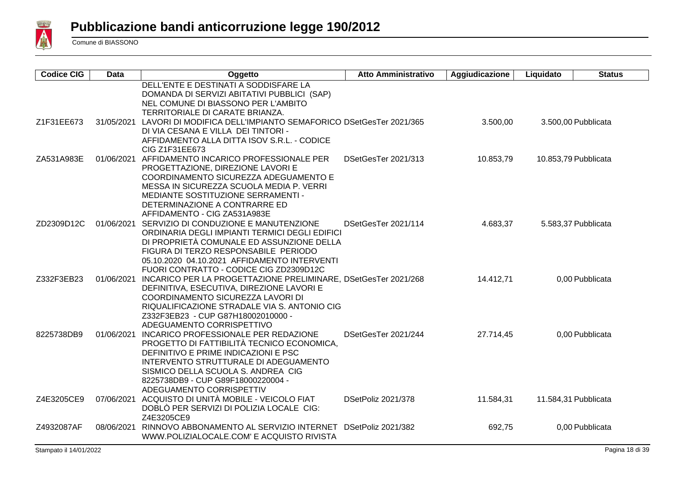

| <b>Codice CIG</b> | Data       | Oggetto                                                                            | <b>Atto Amministrativo</b> | Aggiudicazione | Liquidato | <b>Status</b>        |
|-------------------|------------|------------------------------------------------------------------------------------|----------------------------|----------------|-----------|----------------------|
|                   |            | DELL'ENTE E DESTINATI A SODDISFARE LA                                              |                            |                |           |                      |
|                   |            | DOMANDA DI SERVIZI ABITATIVI PUBBLICI (SAP)<br>NEL COMUNE DI BIASSONO PER L'AMBITO |                            |                |           |                      |
|                   |            | TERRITORIALE DI CARATE BRIANZA.                                                    |                            |                |           |                      |
| Z1F31EE673        |            | 31/05/2021 LAVORI DI MODIFICA DELL'IMPIANTO SEMAFORICO DSetGesTer 2021/365         |                            | 3.500,00       |           | 3.500,00 Pubblicata  |
|                   |            | DI VIA CESANA E VILLA DEI TINTORI -                                                |                            |                |           |                      |
|                   |            | AFFIDAMENTO ALLA DITTA ISOV S.R.L. - CODICE                                        |                            |                |           |                      |
|                   |            | CIG Z1F31EE673                                                                     |                            |                |           |                      |
| ZA531A983E        |            | 01/06/2021 AFFIDAMENTO INCARICO PROFESSIONALE PER                                  | DSetGesTer 2021/313        | 10.853,79      |           | 10.853,79 Pubblicata |
|                   |            | PROGETTAZIONE, DIREZIONE LAVORI E                                                  |                            |                |           |                      |
|                   |            | COORDINAMENTO SICUREZZA ADEGUAMENTO E                                              |                            |                |           |                      |
|                   |            | MESSA IN SICUREZZA SCUOLA MEDIA P. VERRI                                           |                            |                |           |                      |
|                   |            | MEDIANTE SOSTITUZIONE SERRAMENTI -                                                 |                            |                |           |                      |
|                   |            | DETERMINAZIONE A CONTRARRE ED                                                      |                            |                |           |                      |
|                   |            | AFFIDAMENTO - CIG ZA531A983E                                                       |                            |                |           |                      |
| ZD2309D12C        |            | 01/06/2021 SERVIZIO DI CONDUZIONE E MANUTENZIONE                                   | DSetGesTer 2021/114        | 4.683,37       |           | 5.583,37 Pubblicata  |
|                   |            | ORDINARIA DEGLI IMPIANTI TERMICI DEGLI EDIFICI                                     |                            |                |           |                      |
|                   |            | DI PROPRIETÀ COMUNALE ED ASSUNZIONE DELLA<br>FIGURA DI TERZO RESPONSABILE PERIODO  |                            |                |           |                      |
|                   |            | 05.10.2020 04.10.2021 AFFIDAMENTO INTERVENTI                                       |                            |                |           |                      |
|                   |            | FUORI CONTRATTO - CODICE CIG ZD2309D12C                                            |                            |                |           |                      |
| Z332F3EB23        |            | 01/06/2021 INCARICO PER LA PROGETTAZIONE PRELIMINARE, DSetGesTer 2021/268          |                            | 14.412,71      |           | 0,00 Pubblicata      |
|                   |            | DEFINITIVA, ESECUTIVA, DIREZIONE LAVORI E                                          |                            |                |           |                      |
|                   |            | COORDINAMENTO SICUREZZA LAVORI DI                                                  |                            |                |           |                      |
|                   |            | RIQUALIFICAZIONE STRADALE VIA S. ANTONIO CIG                                       |                            |                |           |                      |
|                   |            | Z332F3EB23 - CUP G87H18002010000 -                                                 |                            |                |           |                      |
|                   |            | ADEGUAMENTO CORRISPETTIVO                                                          |                            |                |           |                      |
| 8225738DB9        |            | 01/06/2021 INCARICO PROFESSIONALE PER REDAZIONE                                    | DSetGesTer 2021/244        | 27.714,45      |           | 0,00 Pubblicata      |
|                   |            | PROGETTO DI FATTIBILITÀ TECNICO ECONOMICA,                                         |                            |                |           |                      |
|                   |            | DEFINITIVO E PRIME INDICAZIONI E PSC                                               |                            |                |           |                      |
|                   |            | INTERVENTO STRUTTURALE DI ADEGUAMENTO                                              |                            |                |           |                      |
|                   |            | SISMICO DELLA SCUOLA S. ANDREA CIG<br>8225738DB9 - CUP G89F18000220004 -           |                            |                |           |                      |
|                   |            | ADEGUAMENTO CORRISPETTIV                                                           |                            |                |           |                      |
| Z4E3205CE9        |            | 07/06/2021 ACQUISTO DI UNITÀ MOBILE - VEICOLO FIAT                                 | DSetPoliz 2021/378         | 11.584,31      |           | 11.584,31 Pubblicata |
|                   |            | DOBLÒ PER SERVIZI DI POLIZIA LOCALE CIG:                                           |                            |                |           |                      |
|                   |            | Z4E3205CE9                                                                         |                            |                |           |                      |
| Z4932087AF        | 08/06/2021 | RINNOVO ABBONAMENTO AL SERVIZIO INTERNET                                           | DSetPoliz 2021/382         | 692,75         |           | 0,00 Pubblicata      |
|                   |            | WWW.POLIZIALOCALE.COM' E ACQUISTO RIVISTA                                          |                            |                |           |                      |
|                   |            |                                                                                    |                            |                |           |                      |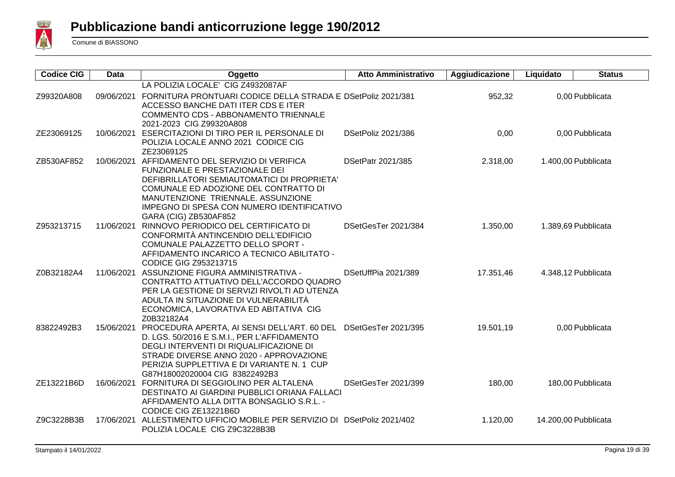

| <b>Codice CIG</b> | <b>Data</b> | Oggetto                                                                               | <b>Atto Amministrativo</b> | Aggiudicazione | Liquidato            | <b>Status</b>       |
|-------------------|-------------|---------------------------------------------------------------------------------------|----------------------------|----------------|----------------------|---------------------|
|                   |             | LA POLIZIA LOCALE' CIG Z4932087AF                                                     |                            |                |                      |                     |
| Z99320A808        |             | 09/06/2021 FORNITURA PRONTUARI CODICE DELLA STRADA E DSetPoliz 2021/381               |                            | 952,32         |                      | 0,00 Pubblicata     |
|                   |             | ACCESSO BANCHE DATI ITER CDS E ITER                                                   |                            |                |                      |                     |
|                   |             | COMMENTO CDS - ABBONAMENTO TRIENNALE<br>2021-2023 CIG Z99320A808                      |                            |                |                      |                     |
| ZE23069125        |             | 10/06/2021 ESERCITAZIONI DI TIRO PER IL PERSONALE DI                                  | DSetPoliz 2021/386         | 0,00           |                      | 0,00 Pubblicata     |
|                   |             | POLIZIA LOCALE ANNO 2021 CODICE CIG                                                   |                            |                |                      |                     |
|                   |             | ZE23069125                                                                            |                            |                |                      |                     |
| ZB530AF852        |             | 10/06/2021 AFFIDAMENTO DEL SERVIZIO DI VERIFICA                                       | DSetPatr 2021/385          | 2.318,00       |                      | 1.400,00 Pubblicata |
|                   |             | FUNZIONALE E PRESTAZIONALE DEI<br>DEFIBRILLATORI SEMIAUTOMATICI DI PROPRIETA'         |                            |                |                      |                     |
|                   |             | COMUNALE ED ADOZIONE DEL CONTRATTO DI                                                 |                            |                |                      |                     |
|                   |             | MANUTENZIONE TRIENNALE. ASSUNZIONE                                                    |                            |                |                      |                     |
|                   |             | IMPEGNO DI SPESA CON NUMERO IDENTIFICATIVO                                            |                            |                |                      |                     |
|                   |             | GARA (CIG) ZB530AF852                                                                 |                            |                |                      |                     |
| Z953213715        |             | 11/06/2021 RINNOVO PERIODICO DEL CERTIFICATO DI                                       | DSetGesTer 2021/384        | 1.350,00       |                      | 1.389,69 Pubblicata |
|                   |             | CONFORMITÀ ANTINCENDIO DELL'EDIFICIO<br>COMUNALE PALAZZETTO DELLO SPORT -             |                            |                |                      |                     |
|                   |             | AFFIDAMENTO INCARICO A TECNICO ABILITATO -                                            |                            |                |                      |                     |
|                   |             | <b>CODICE GIG Z953213715</b>                                                          |                            |                |                      |                     |
| Z0B32182A4        |             | 11/06/2021 ASSUNZIONE FIGURA AMMINISTRATIVA -                                         | DSetUffPia 2021/389        | 17.351,46      |                      | 4.348,12 Pubblicata |
|                   |             | CONTRATTO ATTUATIVO DELL'ACCORDO QUADRO                                               |                            |                |                      |                     |
|                   |             | PER LA GESTIONE DI SERVIZI RIVOLTI AD UTENZA<br>ADULTA IN SITUAZIONE DI VULNERABILITÀ |                            |                |                      |                     |
|                   |             | ECONOMICA, LAVORATIVA ED ABITATIVA CIG                                                |                            |                |                      |                     |
|                   |             | Z0B32182A4                                                                            |                            |                |                      |                     |
| 83822492B3        |             | 15/06/2021 PROCEDURA APERTA, AI SENSI DELL'ART. 60 DEL                                | DSetGesTer 2021/395        | 19.501,19      |                      | 0,00 Pubblicata     |
|                   |             | D. LGS. 50/2016 E S.M.I., PER L'AFFIDAMENTO                                           |                            |                |                      |                     |
|                   |             | DEGLI INTERVENTI DI RIQUALIFICAZIONE DI<br>STRADE DIVERSE ANNO 2020 - APPROVAZIONE    |                            |                |                      |                     |
|                   |             | PERIZIA SUPPLETTIVA E DI VARIANTE N. 1 CUP                                            |                            |                |                      |                     |
|                   |             | G87H18002020004 CIG 83822492B3                                                        |                            |                |                      |                     |
| ZE13221B6D        |             | 16/06/2021 FORNITURA DI SEGGIOLINO PER ALTALENA                                       | DSetGesTer 2021/399        | 180,00         |                      | 180,00 Pubblicata   |
|                   |             | DESTINATO AI GIARDINI PUBBLICI ORIANA FALLACI                                         |                            |                |                      |                     |
|                   |             | AFFIDAMENTO ALLA DITTA BONSAGLIO S.R.L. -<br>CODICE CIG ZE13221B6D                    |                            |                |                      |                     |
| Z9C3228B3B        | 17/06/2021  | ALLESTIMENTO UFFICIO MOBILE PER SERVIZIO DI DSetPoliz 2021/402                        |                            | 1.120,00       | 14.200,00 Pubblicata |                     |
|                   |             | POLIZIA LOCALE CIG Z9C3228B3B                                                         |                            |                |                      |                     |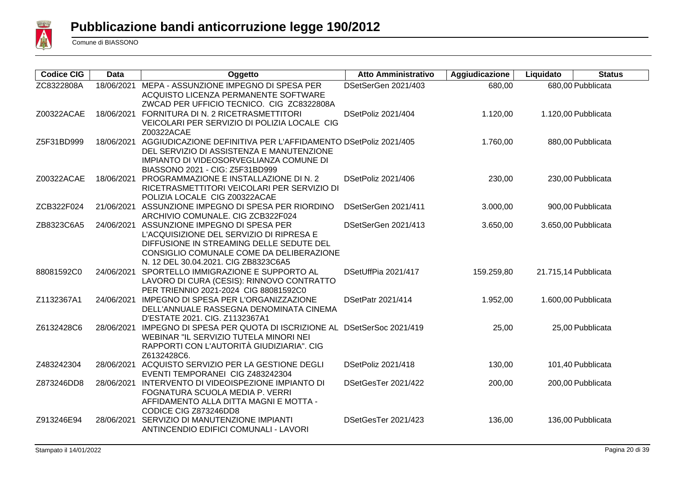

| <b>Codice CIG</b> | Data       | Oggetto                                                                        | <b>Atto Amministrativo</b> | Aggiudicazione | Liquidato | <b>Status</b>        |
|-------------------|------------|--------------------------------------------------------------------------------|----------------------------|----------------|-----------|----------------------|
| ZC8322808A        | 18/06/2021 | MEPA - ASSUNZIONE IMPEGNO DI SPESA PER                                         | DSetSerGen 2021/403        | 680,00         |           | 680,00 Pubblicata    |
|                   |            | ACQUISTO LICENZA PERMANENTE SOFTWARE                                           |                            |                |           |                      |
|                   |            | ZWCAD PER UFFICIO TECNICO. CIG ZC8322808A                                      |                            |                |           |                      |
| Z00322ACAE        |            | 18/06/2021 FORNITURA DI N. 2 RICETRASMETTITORI                                 | DSetPoliz 2021/404         | 1.120,00       |           | 1.120,00 Pubblicata  |
|                   |            | VEICOLARI PER SERVIZIO DI POLIZIA LOCALE CIG                                   |                            |                |           |                      |
|                   |            | Z00322ACAE                                                                     |                            |                |           |                      |
| Z5F31BD999        |            | 18/06/2021 AGGIUDICAZIONE DEFINITIVA PER L'AFFIDAMENTO DSetPoliz 2021/405      |                            | 1.760,00       |           | 880,00 Pubblicata    |
|                   |            | DEL SERVIZIO DI ASSISTENZA E MANUTENZIONE                                      |                            |                |           |                      |
|                   |            | IMPIANTO DI VIDEOSORVEGLIANZA COMUNE DI                                        |                            |                |           |                      |
|                   |            | BIASSONO 2021 - CIG: Z5F31BD999                                                |                            |                |           |                      |
| Z00322ACAE        | 18/06/2021 | PROGRAMMAZIONE E INSTALLAZIONE DI N. 2                                         | DSetPoliz 2021/406         | 230,00         |           | 230,00 Pubblicata    |
|                   |            | RICETRASMETTITORI VEICOLARI PER SERVIZIO DI                                    |                            |                |           |                      |
|                   |            | POLIZIA LOCALE CIG Z00322ACAE                                                  |                            |                |           |                      |
| ZCB322F024        | 21/06/2021 | ASSUNZIONE IMPEGNO DI SPESA PER RIORDINO                                       | DSetSerGen 2021/411        | 3.000,00       |           | 900,00 Pubblicata    |
|                   |            | ARCHIVIO COMUNALE. CIG ZCB322F024                                              |                            |                |           |                      |
| ZB8323C6A5        |            | 24/06/2021 ASSUNZIONE IMPEGNO DI SPESA PER                                     | DSetSerGen 2021/413        | 3.650,00       |           | 3.650,00 Pubblicata  |
|                   |            | L'ACQUISIZIONE DEL SERVIZIO DI RIPRESA E                                       |                            |                |           |                      |
|                   |            | DIFFUSIONE IN STREAMING DELLE SEDUTE DEL                                       |                            |                |           |                      |
|                   |            | CONSIGLIO COMUNALE COME DA DELIBERAZIONE                                       |                            |                |           |                      |
|                   |            | N. 12 DEL 30.04.2021. CIG ZB8323C6A5                                           |                            |                |           |                      |
| 88081592C0        | 24/06/2021 | SPORTELLO IMMIGRAZIONE E SUPPORTO AL                                           | DSetUffPia 2021/417        | 159.259,80     |           | 21.715,14 Pubblicata |
|                   |            | LAVORO DI CURA (CESIS): RINNOVO CONTRATTO                                      |                            |                |           |                      |
|                   |            | PER TRIENNIO 2021-2024 CIG 88081592C0<br>IMPEGNO DI SPESA PER L'ORGANIZZAZIONE |                            |                |           |                      |
| Z1132367A1        | 24/06/2021 |                                                                                | DSetPatr 2021/414          | 1.952,00       |           | 1.600,00 Pubblicata  |
|                   |            | DELL'ANNUALE RASSEGNA DENOMINATA CINEMA<br>D'ESTATE 2021. CIG. Z1132367A1      |                            |                |           |                      |
| Z6132428C6        |            | 28/06/2021 IMPEGNO DI SPESA PER QUOTA DI ISCRIZIONE AL DSetSerSoc 2021/419     |                            | 25,00          |           | 25,00 Pubblicata     |
|                   |            | WEBINAR "IL SERVIZIO TUTELA MINORI NEI                                         |                            |                |           |                      |
|                   |            | RAPPORTI CON L'AUTORITÀ GIUDIZIARIA". CIG                                      |                            |                |           |                      |
|                   |            | Z6132428C6.                                                                    |                            |                |           |                      |
| Z483242304        | 28/06/2021 | ACQUISTO SERVIZIO PER LA GESTIONE DEGLI                                        | DSetPoliz 2021/418         | 130,00         |           | 101,40 Pubblicata    |
|                   |            | EVENTI TEMPORANEI CIG Z483242304                                               |                            |                |           |                      |
| Z873246DD8        | 28/06/2021 | INTERVENTO DI VIDEOISPEZIONE IMPIANTO DI                                       | DSetGesTer 2021/422        | 200,00         |           | 200,00 Pubblicata    |
|                   |            | FOGNATURA SCUOLA MEDIA P. VERRI                                                |                            |                |           |                      |
|                   |            | AFFIDAMENTO ALLA DITTA MAGNI E MOTTA -                                         |                            |                |           |                      |
|                   |            | CODICE CIG Z873246DD8                                                          |                            |                |           |                      |
| Z913246E94        | 28/06/2021 | SERVIZIO DI MANUTENZIONE IMPIANTI                                              | DSetGesTer 2021/423        | 136,00         |           | 136,00 Pubblicata    |
|                   |            | ANTINCENDIO EDIFICI COMUNALI - LAVORI                                          |                            |                |           |                      |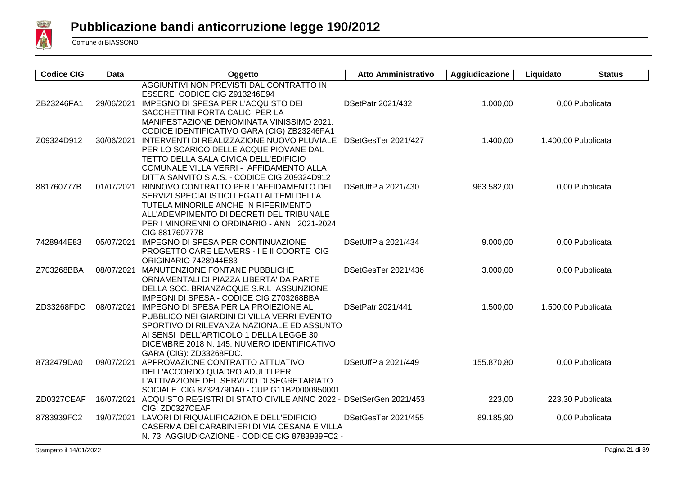

| <b>Codice CIG</b> | <b>Data</b> | Oggetto                                                                                                                                                                                                                                                              | <b>Atto Amministrativo</b> | Aggiudicazione | Liquidato | <b>Status</b>       |
|-------------------|-------------|----------------------------------------------------------------------------------------------------------------------------------------------------------------------------------------------------------------------------------------------------------------------|----------------------------|----------------|-----------|---------------------|
| ZB23246FA1        |             | AGGIUNTIVI NON PREVISTI DAL CONTRATTO IN<br>ESSERE CODICE CIG Z913246E94<br>29/06/2021 IMPEGNO DI SPESA PER L'ACQUISTO DEI<br>SACCHETTINI PORTA CALICI PER LA                                                                                                        | DSetPatr 2021/432          | 1.000,00       |           | 0,00 Pubblicata     |
| Z09324D912        | 30/06/2021  | MANIFESTAZIONE DENOMINATA VINISSIMO 2021.<br>CODICE IDENTIFICATIVO GARA (CIG) ZB23246FA1<br>INTERVENTI DI REALIZZAZIONE NUOVO PLUVIALE<br>PER LO SCARICO DELLE ACQUE PIOVANE DAL<br>TETTO DELLA SALA CIVICA DELL'EDIFICIO                                            | DSetGesTer 2021/427        | 1.400,00       |           | 1.400,00 Pubblicata |
| 881760777B        | 01/07/2021  | COMUNALE VILLA VERRI - AFFIDAMENTO ALLA<br>DITTA SANVITO S.A.S. - CODICE CIG Z09324D912<br>RINNOVO CONTRATTO PER L'AFFIDAMENTO DEI<br>SERVIZI SPECIALISTICI LEGATI AI TEMI DELLA<br>TUTELA MINORILE ANCHE IN RIFERIMENTO<br>ALL'ADEMPIMENTO DI DECRETI DEL TRIBUNALE | DSetUffPia 2021/430        | 963.582,00     |           | 0,00 Pubblicata     |
| 7428944E83        |             | PER I MINORENNI O ORDINARIO - ANNI 2021-2024<br>CIG 881760777B<br>05/07/2021 IMPEGNO DI SPESA PER CONTINUAZIONE<br>PROGETTO CARE LEAVERS - I E II COORTE CIG<br><b>ORIGINARIO 7428944E83</b>                                                                         | DSetUffPia 2021/434        | 9.000,00       |           | 0,00 Pubblicata     |
| Z703268BBA        |             | 08/07/2021 MANUTENZIONE FONTANE PUBBLICHE<br>ORNAMENTALI DI PIAZZA LIBERTA' DA PARTE<br>DELLA SOC. BRIANZACQUE S.R.L ASSUNZIONE<br>IMPEGNI DI SPESA - CODICE CIG Z703268BBA                                                                                          | DSetGesTer 2021/436        | 3.000,00       |           | 0,00 Pubblicata     |
| ZD33268FDC        |             | 08/07/2021 IMPEGNO DI SPESA PER LA PROIEZIONE AL<br>PUBBLICO NEI GIARDINI DI VILLA VERRI EVENTO<br>SPORTIVO DI RILEVANZA NAZIONALE ED ASSUNTO<br>AI SENSI DELL'ARTICOLO 1 DELLA LEGGE 30<br>DICEMBRE 2018 N. 145. NUMERO IDENTIFICATIVO<br>GARA (CIG): ZD33268FDC.   | <b>DSetPatr 2021/441</b>   | 1.500,00       |           | 1.500,00 Pubblicata |
| 8732479DA0        |             | 09/07/2021 APPROVAZIONE CONTRATTO ATTUATIVO<br>DELL'ACCORDO QUADRO ADULTI PER<br>L'ATTIVAZIONE DEL SERVIZIO DI SEGRETARIATO<br>SOCIALE CIG 8732479DA0 - CUP G11B20000950001                                                                                          | DSetUffPia 2021/449        | 155.870,80     |           | 0,00 Pubblicata     |
| ZD0327CEAF        |             | 16/07/2021 ACQUISTO REGISTRI DI STATO CIVILE ANNO 2022 - DSetSerGen 2021/453<br>CIG: ZD0327CEAF                                                                                                                                                                      |                            | 223,00         |           | 223,30 Pubblicata   |
| 8783939FC2        |             | 19/07/2021 LAVORI DI RIQUALIFICAZIONE DELL'EDIFICIO<br>CASERMA DEI CARABINIERI DI VIA CESANA E VILLA<br>N. 73 AGGIUDICAZIONE - CODICE CIG 8783939FC2 -                                                                                                               | DSetGesTer 2021/455        | 89.185,90      |           | 0,00 Pubblicata     |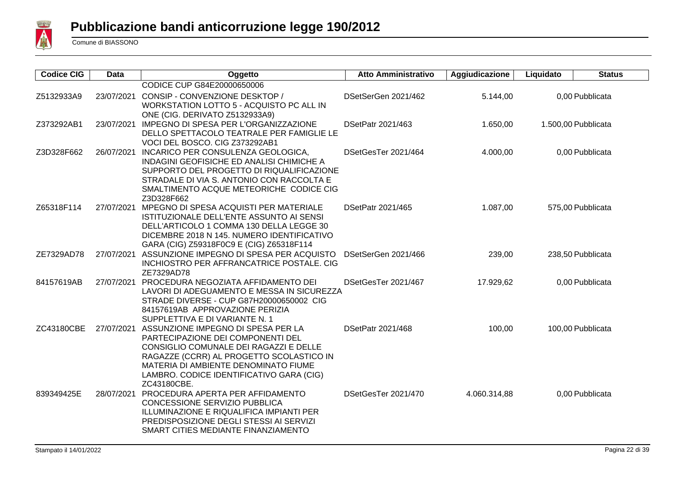

| <b>Codice CIG</b> | <b>Data</b> | Oggetto                                                                              | <b>Atto Amministrativo</b> | Aggiudicazione | Liquidato | <b>Status</b>       |
|-------------------|-------------|--------------------------------------------------------------------------------------|----------------------------|----------------|-----------|---------------------|
|                   |             | CODICE CUP G84E20000650006                                                           |                            |                |           |                     |
| Z5132933A9        | 23/07/2021  | CONSIP - CONVENZIONE DESKTOP /                                                       | DSetSerGen 2021/462        | 5.144,00       |           | 0,00 Pubblicata     |
|                   |             | WORKSTATION LOTTO 5 - ACQUISTO PC ALL IN                                             |                            |                |           |                     |
|                   |             | ONE (CIG. DERIVATO Z5132933A9)                                                       |                            |                |           |                     |
| Z373292AB1        |             | 23/07/2021 IMPEGNO DI SPESA PER L'ORGANIZZAZIONE                                     | DSetPatr 2021/463          | 1.650,00       |           | 1.500,00 Pubblicata |
|                   |             | DELLO SPETTACOLO TEATRALE PER FAMIGLIE LE                                            |                            |                |           |                     |
|                   |             | VOCI DEL BOSCO. CIG Z373292AB1                                                       |                            |                |           |                     |
| Z3D328F662        |             | 26/07/2021 INCARICO PER CONSULENZA GEOLOGICA,                                        | DSetGesTer 2021/464        | 4.000,00       |           | 0,00 Pubblicata     |
|                   |             | INDAGINI GEOFISICHE ED ANALISI CHIMICHE A                                            |                            |                |           |                     |
|                   |             | SUPPORTO DEL PROGETTO DI RIQUALIFICAZIONE                                            |                            |                |           |                     |
|                   |             | STRADALE DI VIA S. ANTONIO CON RACCOLTA E<br>SMALTIMENTO ACQUE METEORICHE CODICE CIG |                            |                |           |                     |
|                   |             | Z3D328F662                                                                           |                            |                |           |                     |
| Z65318F114        |             | 27/07/2021 MPEGNO DI SPESA ACQUISTI PER MATERIALE                                    | DSetPatr 2021/465          | 1.087,00       |           | 575,00 Pubblicata   |
|                   |             | ISTITUZIONALE DELL'ENTE ASSUNTO AI SENSI                                             |                            |                |           |                     |
|                   |             | DELL'ARTICOLO 1 COMMA 130 DELLA LEGGE 30                                             |                            |                |           |                     |
|                   |             | DICEMBRE 2018 N 145. NUMERO IDENTIFICATIVO                                           |                            |                |           |                     |
|                   |             | GARA (CIG) Z59318F0C9 E (CIG) Z65318F114                                             |                            |                |           |                     |
| ZE7329AD78        | 27/07/2021  | ASSUNZIONE IMPEGNO DI SPESA PER ACQUISTO                                             | DSetSerGen 2021/466        | 239,00         |           | 238,50 Pubblicata   |
|                   |             | INCHIOSTRO PER AFFRANCATRICE POSTALE. CIG                                            |                            |                |           |                     |
|                   |             | ZE7329AD78                                                                           |                            |                |           |                     |
| 84157619AB        |             | 27/07/2021 PROCEDURA NEGOZIATA AFFIDAMENTO DEI                                       | DSetGesTer 2021/467        | 17.929,62      |           | 0,00 Pubblicata     |
|                   |             | LAVORI DI ADEGUAMENTO E MESSA IN SICUREZZA                                           |                            |                |           |                     |
|                   |             | STRADE DIVERSE - CUP G87H20000650002 CIG                                             |                            |                |           |                     |
|                   |             | 84157619AB APPROVAZIONE PERIZIA<br>SUPPLETTIVA E DI VARIANTE N. 1                    |                            |                |           |                     |
| ZC43180CBE        |             | 27/07/2021 ASSUNZIONE IMPEGNO DI SPESA PER LA                                        | DSetPatr 2021/468          | 100,00         |           | 100,00 Pubblicata   |
|                   |             | PARTECIPAZIONE DEI COMPONENTI DEL                                                    |                            |                |           |                     |
|                   |             | CONSIGLIO COMUNALE DEI RAGAZZI E DELLE                                               |                            |                |           |                     |
|                   |             | RAGAZZE (CCRR) AL PROGETTO SCOLASTICO IN                                             |                            |                |           |                     |
|                   |             | MATERIA DI AMBIENTE DENOMINATO FIUME                                                 |                            |                |           |                     |
|                   |             | LAMBRO. CODICE IDENTIFICATIVO GARA (CIG)                                             |                            |                |           |                     |
|                   |             | ZC43180CBE.                                                                          |                            |                |           |                     |
| 839349425E        |             | 28/07/2021 PROCEDURA APERTA PER AFFIDAMENTO                                          | DSetGesTer 2021/470        | 4.060.314,88   |           | 0,00 Pubblicata     |
|                   |             | <b>CONCESSIONE SERVIZIO PUBBLICA</b>                                                 |                            |                |           |                     |
|                   |             | ILLUMINAZIONE E RIQUALIFICA IMPIANTI PER                                             |                            |                |           |                     |
|                   |             | PREDISPOSIZIONE DEGLI STESSI AI SERVIZI                                              |                            |                |           |                     |
|                   |             | SMART CITIES MEDIANTE FINANZIAMENTO                                                  |                            |                |           |                     |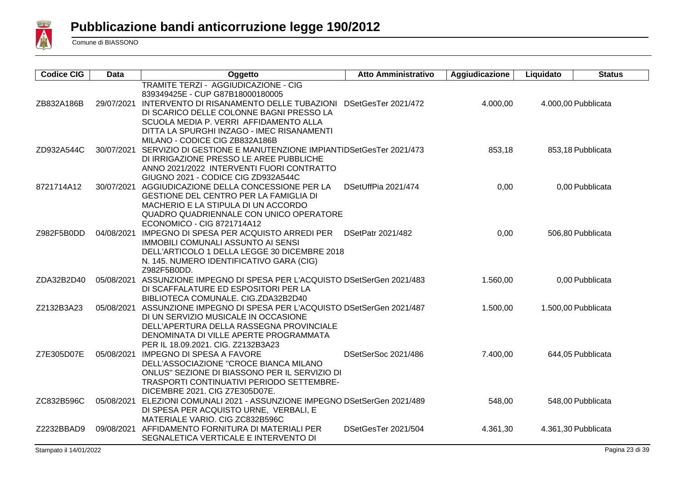

| <b>Codice CIG</b> | <b>Data</b> | Oggetto                                                                    | <b>Atto Amministrativo</b> | Aggiudicazione | Liquidato | <b>Status</b>       |
|-------------------|-------------|----------------------------------------------------------------------------|----------------------------|----------------|-----------|---------------------|
|                   |             | TRAMITE TERZI - AGGIUDICAZIONE - CIG                                       |                            |                |           |                     |
|                   |             | 839349425E - CUP G87B18000180005                                           |                            |                |           |                     |
| ZB832A186B        |             | 29/07/2021 INTERVENTO DI RISANAMENTO DELLE TUBAZIONI                       | DSetGesTer 2021/472        | 4.000,00       |           | 4.000,00 Pubblicata |
|                   |             | DI SCARICO DELLE COLONNE BAGNI PRESSO LA                                   |                            |                |           |                     |
|                   |             | SCUOLA MEDIA P. VERRI AFFIDAMENTO ALLA                                     |                            |                |           |                     |
|                   |             | DITTA LA SPURGHI INZAGO - IMEC RISANAMENTI                                 |                            |                |           |                     |
|                   |             | MILANO - CODICE CIG ZB832A186B                                             |                            |                |           |                     |
| ZD932A544C        |             | 30/07/2021 SERVIZIO DI GESTIONE E MANUTENZIONE IMPIANTIDSetGesTer 2021/473 |                            | 853,18         |           | 853,18 Pubblicata   |
|                   |             | DI IRRIGAZIONE PRESSO LE AREE PUBBLICHE                                    |                            |                |           |                     |
|                   |             | ANNO 2021/2022 INTERVENTI FUORI CONTRATTO                                  |                            |                |           |                     |
|                   |             | GIUGNO 2021 - CODICE CIG ZD932A544C                                        |                            |                |           |                     |
| 8721714A12        |             | 30/07/2021 AGGIUDICAZIONE DELLA CONCESSIONE PER LA                         | DSetUffPia 2021/474        | 0,00           |           | 0,00 Pubblicata     |
|                   |             | <b>GESTIONE DEL CENTRO PER LA FAMIGLIA DI</b>                              |                            |                |           |                     |
|                   |             | MACHERIO E LA STIPULA DI UN ACCORDO                                        |                            |                |           |                     |
|                   |             | QUADRO QUADRIENNALE CON UNICO OPERATORE                                    |                            |                |           |                     |
|                   |             | ECONOMICO - CIG 8721714A12                                                 |                            |                |           |                     |
| Z982F5B0DD        |             | 04/08/2021 IMPEGNO DI SPESA PER ACQUISTO ARREDI PER                        | <b>DSetPatr 2021/482</b>   | 0,00           |           | 506,80 Pubblicata   |
|                   |             | IMMOBILI COMUNALI ASSUNTO AI SENSI                                         |                            |                |           |                     |
|                   |             | DELL'ARTICOLO 1 DELLA LEGGE 30 DICEMBRE 2018                               |                            |                |           |                     |
|                   |             | N. 145. NUMERO IDENTIFICATIVO GARA (CIG)<br>Z982F5B0DD.                    |                            |                |           |                     |
| ZDA32B2D40        |             | 05/08/2021 ASSUNZIONE IMPEGNO DI SPESA PER L'ACQUISTO DSetSerGen 2021/483  |                            | 1.560,00       |           | 0,00 Pubblicata     |
|                   |             | DI SCAFFALATURE ED ESPOSITORI PER LA                                       |                            |                |           |                     |
|                   |             | BIBLIOTECA COMUNALE. CIG.ZDA32B2D40                                        |                            |                |           |                     |
| Z2132B3A23        |             | 05/08/2021 ASSUNZIONE IMPEGNO DI SPESA PER L'ACQUISTO DSetSerGen 2021/487  |                            | 1.500,00       |           | 1.500,00 Pubblicata |
|                   |             | DI UN SERVIZIO MUSICALE IN OCCASIONE                                       |                            |                |           |                     |
|                   |             | DELL'APERTURA DELLA RASSEGNA PROVINCIALE                                   |                            |                |           |                     |
|                   |             | DENOMINATA DI VILLE APERTE PROGRAMMATA                                     |                            |                |           |                     |
|                   |             | PER IL 18.09.2021. CIG. Z2132B3A23                                         |                            |                |           |                     |
| Z7E305D07E        |             | 05/08/2021 IMPEGNO DI SPESA A FAVORE                                       | DSetSerSoc 2021/486        | 7.400,00       |           | 644,05 Pubblicata   |
|                   |             | DELL'ASSOCIAZIONE "CROCE BIANCA MILANO                                     |                            |                |           |                     |
|                   |             | ONLUS" SEZIONE DI BIASSONO PER IL SERVIZIO DI                              |                            |                |           |                     |
|                   |             | TRASPORTI CONTINUATIVI PERIODO SETTEMBRE-                                  |                            |                |           |                     |
|                   |             | DICEMBRE 2021. CIG Z7E305D07E.                                             |                            |                |           |                     |
| ZC832B596C        |             | 05/08/2021 ELEZIONI COMUNALI 2021 - ASSUNZIONE IMPEGNO DSetSerGen 2021/489 |                            | 548,00         |           | 548,00 Pubblicata   |
|                   |             | DI SPESA PER ACQUISTO URNE, VERBALI, E                                     |                            |                |           |                     |
|                   |             | MATERIALE VARIO. CIG ZC832B596C                                            |                            |                |           |                     |
| Z2232BBAD9        | 09/08/2021  | AFFIDAMENTO FORNITURA DI MATERIALI PER                                     | DSetGesTer 2021/504        | 4.361,30       |           | 4.361,30 Pubblicata |
|                   |             | SEGNALETICA VERTICALE E INTERVENTO DI                                      |                            |                |           |                     |
|                   |             |                                                                            |                            |                |           |                     |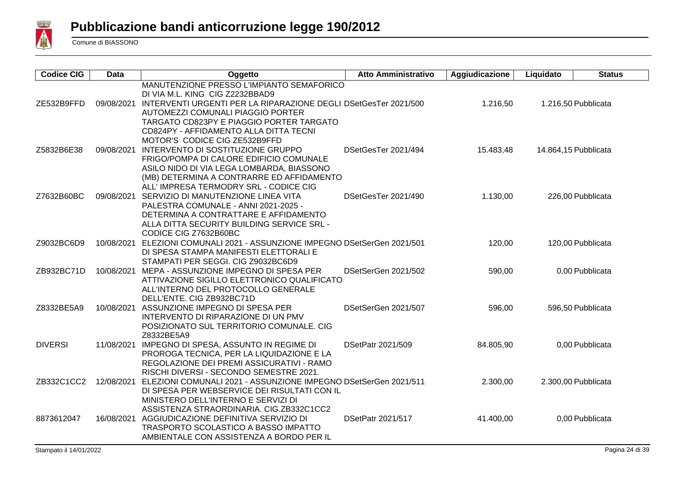

| <b>Codice CIG</b> | <b>Data</b> | Oggetto                                                                                                                                                                                                                                                      | <b>Atto Amministrativo</b> | Aggiudicazione | Liquidato | <b>Status</b>        |
|-------------------|-------------|--------------------------------------------------------------------------------------------------------------------------------------------------------------------------------------------------------------------------------------------------------------|----------------------------|----------------|-----------|----------------------|
| ZE532B9FFD        |             | MANUTENZIONE PRESSO L'IMPIANTO SEMAFORICO<br>DI VIA M.L. KING CIG Z2232BBAD9<br>09/08/2021 INTERVENTI URGENTI PER LA RIPARAZIONE DEGLI DSetGesTer 2021/500<br>AUTOMEZZI COMUNALI PIAGGIO PORTER<br>TARGATO CD823PY E PIAGGIO PORTER TARGATO                  |                            | 1.216,50       |           | 1.216,50 Pubblicata  |
| Z5832B6E38        |             | CD824PY - AFFIDAMENTO ALLA DITTA TECNI<br>MOTOR'S CODICE CIG ZE532B9FFD<br>09/08/2021 INTERVENTO DI SOSTITUZIONE GRUPPO<br>FRIGO/POMPA DI CALORE EDIFICIO COMUNALE<br>ASILO NIDO DI VIA LEGA LOMBARDA, BIASSONO<br>(MB) DETERMINA A CONTRARRE ED AFFIDAMENTO | DSetGesTer 2021/494        | 15.483,48      |           | 14.864,15 Pubblicata |
| Z7632B60BC        | 09/08/2021  | ALL' IMPRESA TERMODRY SRL - CODICE CIG<br>SERVIZIO DI MANUTENZIONE LINEA VITA<br>PALESTRA COMUNALE - ANNI 2021-2025 -<br>DETERMINA A CONTRATTARE E AFFIDAMENTO<br>ALLA DITTA SECURITY BUILDING SERVICE SRL -                                                 | DSetGesTer 2021/490        | 1.130,00       |           | 226,00 Pubblicata    |
| Z9032BC6D9        |             | CODICE CIG Z7632B60BC<br>10/08/2021 ELEZIONI COMUNALI 2021 - ASSUNZIONE IMPEGNO DSetSerGen 2021/501<br>DI SPESA STAMPA MANIFESTI ELETTORALI E<br>STAMPATI PER SEGGI. CIG Z9032BC6D9                                                                          |                            | 120,00         |           | 120,00 Pubblicata    |
| ZB932BC71D        |             | 10/08/2021 MEPA - ASSUNZIONE IMPEGNO DI SPESA PER<br>ATTIVAZIONE SIGILLO ELETTRONICO QUALIFICATO<br>ALL'INTERNO DEL PROTOCOLLO GENERALE                                                                                                                      | DSetSerGen 2021/502        | 590,00         |           | 0,00 Pubblicata      |
| Z8332BE5A9        |             | DELL'ENTE. CIG ZB932BC71D<br>10/08/2021 ASSUNZIONE IMPEGNO DI SPESA PER<br>INTERVENTO DI RIPARAZIONE DI UN PMV<br>POSIZIONATO SUL TERRITORIO COMUNALE. CIG                                                                                                   | DSetSerGen 2021/507        | 596,00         |           | 596,50 Pubblicata    |
| <b>DIVERSI</b>    |             | Z8332BE5A9<br>11/08/2021 IMPEGNO DI SPESA, ASSUNTO IN REGIME DI<br>PROROGA TECNICA, PER LA LIQUIDAZIONE E LA<br>REGOLAZIONE DEI PREMI ASSICURATIVI - RAMO                                                                                                    | DSetPatr 2021/509          | 84.805,90      |           | 0,00 Pubblicata      |
| ZB332C1CC2        | 12/08/2021  | RISCHI DIVERSI - SECONDO SEMESTRE 2021.<br>ELEZIONI COMUNALI 2021 - ASSUNZIONE IMPEGNO DSetSerGen 2021/511<br>DI SPESA PER WEBSERVICE DEI RISULTATI CON IL<br>MINISTERO DELL'INTERNO E SERVIZI DI                                                            |                            | 2.300,00       |           | 2.300,00 Pubblicata  |
| 8873612047        |             | ASSISTENZA STRAORDINARIA. CIG.ZB332C1CC2<br>16/08/2021 AGGIUDICAZIONE DEFINITIVA SERVIZIO DI<br><b>TRASPORTO SCOLASTICO A BASSO IMPATTO</b><br>AMBIENTALE CON ASSISTENZA A BORDO PER IL                                                                      | <b>DSetPatr 2021/517</b>   | 41.400,00      |           | 0,00 Pubblicata      |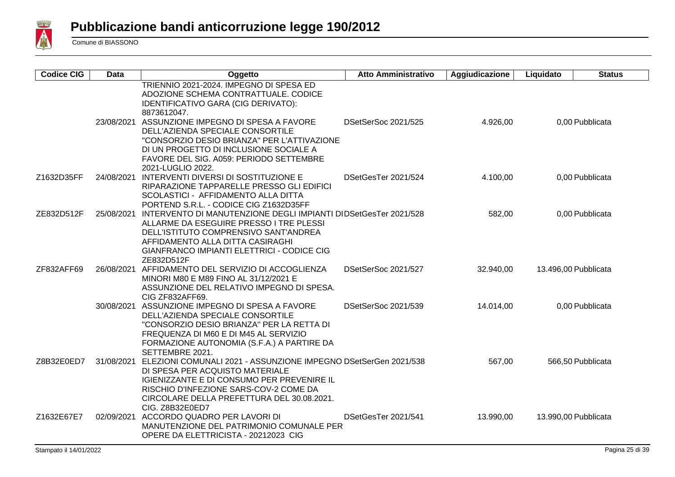

| <b>Codice CIG</b> | <b>Data</b> | Oggetto                                                                                                                                                                                                                                                                                                                                                                               | <b>Atto Amministrativo</b> | Aggiudicazione | Liquidato | <b>Status</b>        |
|-------------------|-------------|---------------------------------------------------------------------------------------------------------------------------------------------------------------------------------------------------------------------------------------------------------------------------------------------------------------------------------------------------------------------------------------|----------------------------|----------------|-----------|----------------------|
|                   |             | TRIENNIO 2021-2024. IMPEGNO DI SPESA ED<br>ADOZIONE SCHEMA CONTRATTUALE. CODICE<br>IDENTIFICATIVO GARA (CIG DERIVATO):<br>8873612047.<br>23/08/2021 ASSUNZIONE IMPEGNO DI SPESA A FAVORE<br>DELL'AZIENDA SPECIALE CONSORTILE<br>"CONSORZIO DESIO BRIANZA" PER L'ATTIVAZIONE<br>DI UN PROGETTO DI INCLUSIONE SOCIALE A<br>FAVORE DEL SIG. A059: PERIODO SETTEMBRE<br>2021-LUGLIO 2022. | DSetSerSoc 2021/525        | 4.926,00       |           | 0,00 Pubblicata      |
| Z1632D35FF        |             | 24/08/2021 INTERVENTI DIVERSI DI SOSTITUZIONE E<br>RIPARAZIONE TAPPARELLE PRESSO GLI EDIFICI<br>SCOLASTICI - AFFIDAMENTO ALLA DITTA<br>PORTEND S.R.L. - CODICE CIG Z1632D35FF                                                                                                                                                                                                         | DSetGesTer 2021/524        | 4.100,00       |           | 0,00 Pubblicata      |
| ZE832D512F        | 25/08/2021  | INTERVENTO DI MANUTENZIONE DEGLI IMPIANTI DIDSetGesTer 2021/528<br>ALLARME DA ESEGUIRE PRESSO I TRE PLESSI<br>DELL'ISTITUTO COMPRENSIVO SANT'ANDREA<br>AFFIDAMENTO ALLA DITTA CASIRAGHI<br>GIANFRANCO IMPIANTI ELETTRICI - CODICE CIG<br>ZE832D512F                                                                                                                                   |                            | 582,00         |           | 0,00 Pubblicata      |
| ZF832AFF69        |             | 26/08/2021 AFFIDAMENTO DEL SERVIZIO DI ACCOGLIENZA<br>MINORI M80 E M89 FINO AL 31/12/2021 E<br>ASSUNZIONE DEL RELATIVO IMPEGNO DI SPESA.<br>CIG ZF832AFF69.                                                                                                                                                                                                                           | DSetSerSoc 2021/527        | 32.940,00      |           | 13.496,00 Pubblicata |
|                   |             | 30/08/2021 ASSUNZIONE IMPEGNO DI SPESA A FAVORE<br>DELL'AZIENDA SPECIALE CONSORTILE<br>"CONSORZIO DESIO BRIANZA" PER LA RETTA DI<br>FREQUENZA DI M60 E DI M45 AL SERVIZIO<br>FORMAZIONE AUTONOMIA (S.F.A.) A PARTIRE DA<br>SETTEMBRE 2021.                                                                                                                                            | DSetSerSoc 2021/539        | 14.014,00      |           | 0,00 Pubblicata      |
| Z8B32E0ED7        |             | 31/08/2021 ELEZIONI COMUNALI 2021 - ASSUNZIONE IMPEGNO DSetSerGen 2021/538<br>DI SPESA PER ACQUISTO MATERIALE<br>IGIENIZZANTE E DI CONSUMO PER PREVENIRE IL<br>RISCHIO D'INFEZIONE SARS-COV-2 COME DA<br>CIRCOLARE DELLA PREFETTURA DEL 30.08.2021.<br>CIG. Z8B32E0ED7                                                                                                                |                            | 567,00         |           | 566,50 Pubblicata    |
| Z1632E67E7        |             | 02/09/2021 ACCORDO QUADRO PER LAVORI DI<br>MANUTENZIONE DEL PATRIMONIO COMUNALE PER<br>OPERE DA ELETTRICISTA - 20212023 CIG                                                                                                                                                                                                                                                           | DSetGesTer 2021/541        | 13.990,00      |           | 13.990,00 Pubblicata |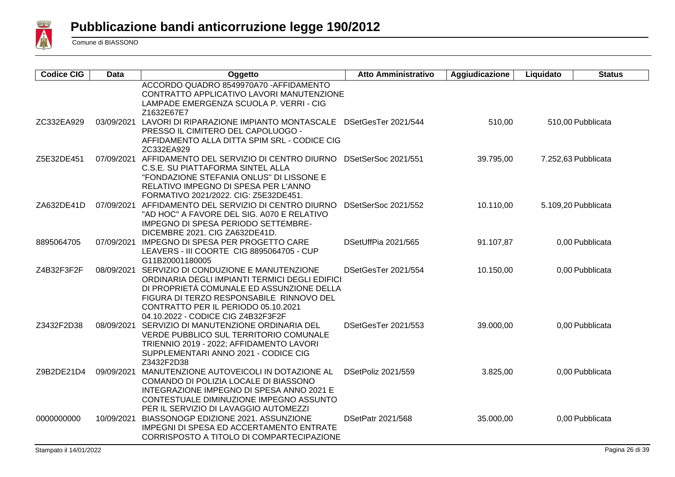

| <b>Codice CIG</b> | Data       | Oggetto                                                                                                                                                                                                                                                                  | <b>Atto Amministrativo</b> | Aggiudicazione | Liquidato | <b>Status</b>       |
|-------------------|------------|--------------------------------------------------------------------------------------------------------------------------------------------------------------------------------------------------------------------------------------------------------------------------|----------------------------|----------------|-----------|---------------------|
|                   |            | ACCORDO QUADRO 8549970A70 - AFFIDAMENTO<br>CONTRATTO APPLICATIVO LAVORI MANUTENZIONE<br>LAMPADE EMERGENZA SCUOLA P. VERRI - CIG<br>Z1632E67E7                                                                                                                            |                            |                |           |                     |
| ZC332EA929        |            | 03/09/2021 LAVORI DI RIPARAZIONE IMPIANTO MONTASCALE<br>PRESSO IL CIMITERO DEL CAPOLUOGO -<br>AFFIDAMENTO ALLA DITTA SPIM SRL - CODICE CIG<br>ZC332EA929                                                                                                                 | DSetGesTer 2021/544        | 510,00         |           | 510,00 Pubblicata   |
| Z5E32DE451        |            | 07/09/2021 AFFIDAMENTO DEL SERVIZIO DI CENTRO DIURNO<br>C.S.E. SU PIATTAFORMA SINTEL ALLA<br>"FONDAZIONE STEFANIA ONLUS" DI LISSONE E<br>RELATIVO IMPEGNO DI SPESA PER L'ANNO<br>FORMATIVO 2021/2022. CIG: Z5E32DE451.                                                   | DSetSerSoc 2021/551        | 39.795,00      |           | 7.252,63 Pubblicata |
| ZA632DE41D        |            | 07/09/2021 AFFIDAMENTO DEL SERVIZIO DI CENTRO DIURNO<br>"AD HOC" A FAVORE DEL SIG. A070 E RELATIVO<br>IMPEGNO DI SPESA PERIODO SETTEMBRE-<br>DICEMBRE 2021. CIG ZA632DE41D.                                                                                              | DSetSerSoc 2021/552        | 10.110,00      |           | 5.109,20 Pubblicata |
| 8895064705        |            | 07/09/2021 IMPEGNO DI SPESA PER PROGETTO CARE<br>LEAVERS - III COORTE CIG 8895064705 - CUP<br>G11B20001180005                                                                                                                                                            | DSetUffPia 2021/565        | 91.107,87      |           | 0,00 Pubblicata     |
| Z4B32F3F2F        |            | 08/09/2021 SERVIZIO DI CONDUZIONE E MANUTENZIONE<br>ORDINARIA DEGLI IMPIANTI TERMICI DEGLI EDIFICI<br>DI PROPRIETÀ COMUNALE ED ASSUNZIONE DELLA<br>FIGURA DI TERZO RESPONSABILE RINNOVO DEL<br>CONTRATTO PER IL PERIODO 05.10.2021<br>04.10.2022 - CODICE CIG Z4B32F3F2F | DSetGesTer 2021/554        | 10.150,00      |           | 0,00 Pubblicata     |
| Z3432F2D38        | 08/09/2021 | SERVIZIO DI MANUTENZIONE ORDINARIA DEL<br>VERDE PUBBLICO SUL TERRITORIO COMUNALE<br>TRIENNIO 2019 - 2022; AFFIDAMENTO LAVORI<br>SUPPLEMENTARI ANNO 2021 - CODICE CIG<br>Z3432F2D38                                                                                       | DSetGesTer 2021/553        | 39.000,00      |           | 0,00 Pubblicata     |
| Z9B2DE21D4        | 09/09/2021 | MANUTENZIONE AUTOVEICOLI IN DOTAZIONE AL<br>COMANDO DI POLIZIA LOCALE DI BIASSONO<br>INTEGRAZIONE IMPEGNO DI SPESA ANNO 2021 E<br>CONTESTUALE DIMINUZIONE IMPEGNO ASSUNTO<br>PER IL SERVIZIO DI LAVAGGIO AUTOMEZZI                                                       | DSetPoliz 2021/559         | 3.825,00       |           | 0,00 Pubblicata     |
| 0000000000        |            | 10/09/2021 BIASSONOGP EDIZIONE 2021. ASSUNZIONE<br>IMPEGNI DI SPESA ED ACCERTAMENTO ENTRATE<br>CORRISPOSTO A TITOLO DI COMPARTECIPAZIONE                                                                                                                                 | DSetPatr 2021/568          | 35.000,00      |           | 0,00 Pubblicata     |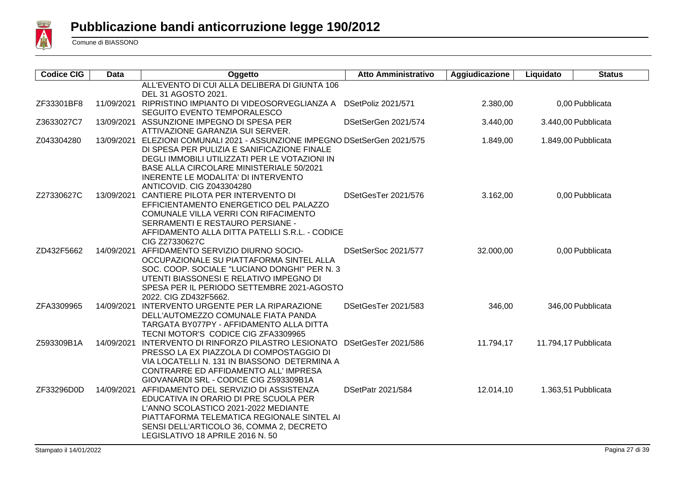

| <b>Codice CIG</b> | Data       | Oggetto                                                                                 | <b>Atto Amministrativo</b> | Aggiudicazione | Liquidato            | <b>Status</b>       |
|-------------------|------------|-----------------------------------------------------------------------------------------|----------------------------|----------------|----------------------|---------------------|
|                   |            | ALL'EVENTO DI CUI ALLA DELIBERA DI GIUNTA 106                                           |                            |                |                      |                     |
|                   |            | DEL 31 AGOSTO 2021.                                                                     |                            |                |                      |                     |
| ZF33301BF8        |            | 11/09/2021 RIPRISTINO IMPIANTO DI VIDEOSORVEGLIANZA A                                   | DSetPoliz 2021/571         | 2.380,00       |                      | 0,00 Pubblicata     |
|                   |            | SEGUITO EVENTO TEMPORALESCO                                                             |                            |                |                      |                     |
| Z3633027C7        |            | 13/09/2021 ASSUNZIONE IMPEGNO DI SPESA PER                                              | DSetSerGen 2021/574        | 3.440,00       |                      | 3.440,00 Pubblicata |
|                   |            | ATTIVAZIONE GARANZIA SUI SERVER.                                                        |                            |                |                      |                     |
| Z043304280        |            | 13/09/2021 ELEZIONI COMUNALI 2021 - ASSUNZIONE IMPEGNO DSetSerGen 2021/575              |                            | 1.849,00       |                      | 1.849,00 Pubblicata |
|                   |            | DI SPESA PER PULIZIA E SANIFICAZIONE FINALE                                             |                            |                |                      |                     |
|                   |            | DEGLI IMMOBILI UTILIZZATI PER LE VOTAZIONI IN                                           |                            |                |                      |                     |
|                   |            | <b>BASE ALLA CIRCOLARE MINISTERIALE 50/2021</b>                                         |                            |                |                      |                     |
|                   |            | INERENTE LE MODALITA' DI INTERVENTO                                                     |                            |                |                      |                     |
|                   |            | ANTICOVID. CIG Z043304280                                                               |                            |                |                      |                     |
| Z27330627C        |            | 13/09/2021 CANTIERE PILOTA PER INTERVENTO DI                                            | DSetGesTer 2021/576        | 3.162,00       |                      | 0,00 Pubblicata     |
|                   |            | EFFICIENTAMENTO ENERGETICO DEL PALAZZO                                                  |                            |                |                      |                     |
|                   |            | COMUNALE VILLA VERRI CON RIFACIMENTO                                                    |                            |                |                      |                     |
|                   |            | SERRAMENTI E RESTAURO PERSIANE -                                                        |                            |                |                      |                     |
|                   |            | AFFIDAMENTO ALLA DITTA PATELLI S.R.L. - CODICE                                          |                            |                |                      |                     |
|                   |            | CIG Z27330627C                                                                          |                            |                |                      |                     |
| ZD432F5662        |            | 14/09/2021 AFFIDAMENTO SERVIZIO DIURNO SOCIO-                                           | DSetSerSoc 2021/577        | 32.000,00      |                      | 0,00 Pubblicata     |
|                   |            | OCCUPAZIONALE SU PIATTAFORMA SINTEL ALLA                                                |                            |                |                      |                     |
|                   |            | SOC. COOP. SOCIALE "LUCIANO DONGHI" PER N. 3<br>UTENTI BIASSONESI E RELATIVO IMPEGNO DI |                            |                |                      |                     |
|                   |            | SPESA PER IL PERIODO SETTEMBRE 2021-AGOSTO                                              |                            |                |                      |                     |
|                   |            | 2022. CIG ZD432F5662.                                                                   |                            |                |                      |                     |
| ZFA3309965        |            | 14/09/2021 INTERVENTO URGENTE PER LA RIPARAZIONE                                        | DSetGesTer 2021/583        | 346,00         |                      | 346,00 Pubblicata   |
|                   |            | DELL'AUTOMEZZO COMUNALE FIATA PANDA                                                     |                            |                |                      |                     |
|                   |            | TARGATA BY077PY - AFFIDAMENTO ALLA DITTA                                                |                            |                |                      |                     |
|                   |            | TECNI MOTOR'S CODICE CIG ZFA3309965                                                     |                            |                |                      |                     |
| Z593309B1A        | 14/09/2021 | INTERVENTO DI RINFORZO PILASTRO LESIONATO DSetGesTer 2021/586                           |                            | 11.794,17      | 11.794,17 Pubblicata |                     |
|                   |            | PRESSO LA EX PIAZZOLA DI COMPOSTAGGIO DI                                                |                            |                |                      |                     |
|                   |            | VIA LOCATELLI N. 131 IN BIASSONO DETERMINA A                                            |                            |                |                      |                     |
|                   |            | CONTRARRE ED AFFIDAMENTO ALL' IMPRESA                                                   |                            |                |                      |                     |
|                   |            | GIOVANARDI SRL - CODICE CIG Z593309B1A                                                  |                            |                |                      |                     |
| ZF33296D0D        | 14/09/2021 | AFFIDAMENTO DEL SERVIZIO DI ASSISTENZA                                                  | <b>DSetPatr 2021/584</b>   | 12.014,10      |                      | 1.363,51 Pubblicata |
|                   |            | EDUCATIVA IN ORARIO DI PRE SCUOLA PER                                                   |                            |                |                      |                     |
|                   |            | L'ANNO SCOLASTICO 2021-2022 MEDIANTE                                                    |                            |                |                      |                     |
|                   |            | PIATTAFORMA TELEMATICA REGIONALE SINTEL AI                                              |                            |                |                      |                     |
|                   |            | SENSI DELL'ARTICOLO 36, COMMA 2, DECRETO                                                |                            |                |                      |                     |
|                   |            | LEGISLATIVO 18 APRILE 2016 N. 50                                                        |                            |                |                      |                     |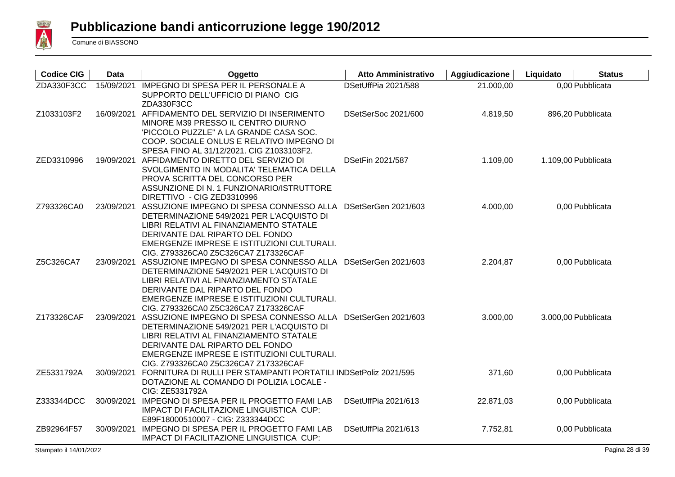

| <b>Codice CIG</b> | <b>Data</b> | Oggetto                                                                                                                                                                                                                                                                       | <b>Atto Amministrativo</b> | Aggiudicazione | Liquidato | <b>Status</b>       |
|-------------------|-------------|-------------------------------------------------------------------------------------------------------------------------------------------------------------------------------------------------------------------------------------------------------------------------------|----------------------------|----------------|-----------|---------------------|
| ZDA330F3CC        | 15/09/2021  | IMPEGNO DI SPESA PER IL PERSONALE A<br>SUPPORTO DELL'UFFICIO DI PIANO CIG<br>ZDA330F3CC                                                                                                                                                                                       | DSetUffPia 2021/588        | 21.000,00      |           | 0,00 Pubblicata     |
| Z1033103F2        |             | 16/09/2021 AFFIDAMENTO DEL SERVIZIO DI INSERIMENTO<br>MINORE M39 PRESSO IL CENTRO DIURNO<br>'PICCOLO PUZZLE" A LA GRANDE CASA SOC.<br>COOP. SOCIALE ONLUS E RELATIVO IMPEGNO DI<br>SPESA FINO AL 31/12/2021. CIG Z1033103F2.                                                  | DSetSerSoc 2021/600        | 4.819,50       |           | 896,20 Pubblicata   |
| ZED3310996        | 19/09/2021  | AFFIDAMENTO DIRETTO DEL SERVIZIO DI<br>SVOLGIMENTO IN MODALITA' TELEMATICA DELLA<br>PROVA SCRITTA DEL CONCORSO PER<br>ASSUNZIONE DI N. 1 FUNZIONARIO/ISTRUTTORE<br>DIRETTIVO - CIG ZED3310996                                                                                 | DSetFin 2021/587           | 1.109,00       |           | 1.109,00 Pubblicata |
| Z793326CA0        | 23/09/2021  | ASSUZIONE IMPEGNO DI SPESA CONNESSO ALLA DSetSerGen 2021/603<br>DETERMINAZIONE 549/2021 PER L'ACQUISTO DI<br>LIBRI RELATIVI AL FINANZIAMENTO STATALE<br>DERIVANTE DAL RIPARTO DEL FONDO<br>EMERGENZE IMPRESE E ISTITUZIONI CULTURALI.<br>CIG. Z793326CA0 Z5C326CA7 Z173326CAF |                            | 4.000,00       |           | 0,00 Pubblicata     |
| Z5C326CA7         | 23/09/2021  | ASSUZIONE IMPEGNO DI SPESA CONNESSO ALLA<br>DETERMINAZIONE 549/2021 PER L'ACQUISTO DI<br>LIBRI RELATIVI AL FINANZIAMENTO STATALE<br>DERIVANTE DAL RIPARTO DEL FONDO<br>EMERGENZE IMPRESE E ISTITUZIONI CULTURALI.<br>CIG. Z793326CA0 Z5C326CA7 Z173326CAF                     | DSetSerGen 2021/603        | 2.204,87       |           | 0,00 Pubblicata     |
| Z173326CAF        | 23/09/2021  | ASSUZIONE IMPEGNO DI SPESA CONNESSO ALLA DSetSerGen 2021/603<br>DETERMINAZIONE 549/2021 PER L'ACQUISTO DI<br>LIBRI RELATIVI AL FINANZIAMENTO STATALE<br>DERIVANTE DAL RIPARTO DEL FONDO<br>EMERGENZE IMPRESE E ISTITUZIONI CULTURALI.<br>CIG. Z793326CA0 Z5C326CA7 Z173326CAF |                            | 3.000,00       |           | 3.000,00 Pubblicata |
| ZE5331792A        | 30/09/2021  | FORNITURA DI RULLI PER STAMPANTI PORTATILI INDSetPoliz 2021/595<br>DOTAZIONE AL COMANDO DI POLIZIA LOCALE -<br>CIG: ZE5331792A                                                                                                                                                |                            | 371,60         |           | 0,00 Pubblicata     |
| Z333344DCC        | 30/09/2021  | IMPEGNO DI SPESA PER IL PROGETTO FAMI LAB<br>IMPACT DI FACILITAZIONE LINGUISTICA CUP:<br>E89F18000510007 - CIG: Z333344DCC                                                                                                                                                    | DSetUffPia 2021/613        | 22.871,03      |           | 0,00 Pubblicata     |
| ZB92964F57        | 30/09/2021  | <b>IMPEGNO DI SPESA PER IL PROGETTO FAMI LAB</b><br>IMPACT DI FACILITAZIONE LINGUISTICA CUP:                                                                                                                                                                                  | DSetUffPia 2021/613        | 7.752,81       |           | 0,00 Pubblicata     |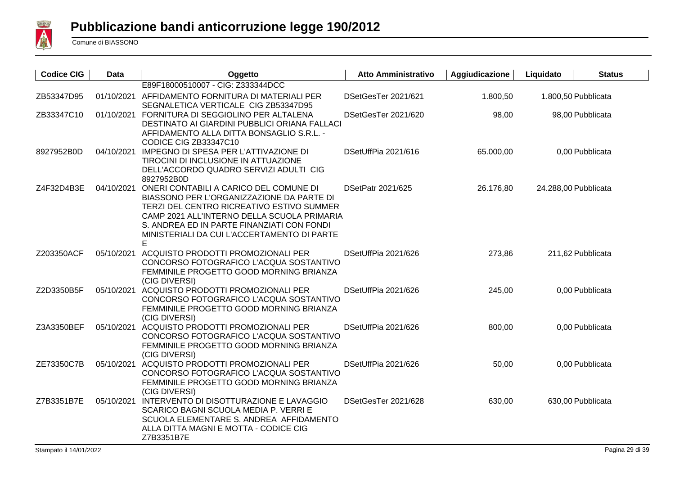

| <b>Codice CIG</b> | Data       | Oggetto                                                                                                                                                                                                                                                                           | <b>Atto Amministrativo</b> | Aggiudicazione | Liquidato            | <b>Status</b>     |
|-------------------|------------|-----------------------------------------------------------------------------------------------------------------------------------------------------------------------------------------------------------------------------------------------------------------------------------|----------------------------|----------------|----------------------|-------------------|
|                   |            | E89F18000510007 - CIG: Z333344DCC                                                                                                                                                                                                                                                 |                            |                |                      |                   |
| ZB53347D95        |            | 01/10/2021 AFFIDAMENTO FORNITURA DI MATERIALI PER<br>SEGNALETICA VERTICALE CIG ZB53347D95                                                                                                                                                                                         | DSetGesTer 2021/621        | 1.800,50       | 1.800,50 Pubblicata  |                   |
| ZB33347C10        |            | 01/10/2021 FORNITURA DI SEGGIOLINO PER ALTALENA<br>DESTINATO AI GIARDINI PUBBLICI ORIANA FALLACI<br>AFFIDAMENTO ALLA DITTA BONSAGLIO S.R.L. -<br>CODICE CIG ZB33347C10                                                                                                            | DSetGesTer 2021/620        | 98,00          |                      | 98,00 Pubblicata  |
| 8927952B0D        | 04/10/2021 | IMPEGNO DI SPESA PER L'ATTIVAZIONE DI<br>TIROCINI DI INCLUSIONE IN ATTUAZIONE<br>DELL'ACCORDO QUADRO SERVIZI ADULTI CIG<br>8927952B0D                                                                                                                                             | DSetUffPia 2021/616        | 65.000,00      |                      | 0,00 Pubblicata   |
| Z4F32D4B3E        | 04/10/2021 | ONERI CONTABILI A CARICO DEL COMUNE DI<br>BIASSONO PER L'ORGANIZZAZIONE DA PARTE DI<br>TERZI DEL CENTRO RICREATIVO ESTIVO SUMMER<br>CAMP 2021 ALL'INTERNO DELLA SCUOLA PRIMARIA<br>S. ANDREA ED IN PARTE FINANZIATI CON FONDI<br>MINISTERIALI DA CUI L'ACCERTAMENTO DI PARTE<br>Е | <b>DSetPatr 2021/625</b>   | 26.176,80      | 24.288,00 Pubblicata |                   |
| Z203350ACF        | 05/10/2021 | ACQUISTO PRODOTTI PROMOZIONALI PER<br>CONCORSO FOTOGRAFICO L'ACQUA SOSTANTIVO<br>FEMMINILE PROGETTO GOOD MORNING BRIANZA<br>(CIG DIVERSI)                                                                                                                                         | DSetUffPia 2021/626        | 273,86         |                      | 211,62 Pubblicata |
| Z2D3350B5F        |            | 05/10/2021 ACQUISTO PRODOTTI PROMOZIONALI PER<br>CONCORSO FOTOGRAFICO L'ACQUA SOSTANTIVO<br>FEMMINILE PROGETTO GOOD MORNING BRIANZA<br>(CIG DIVERSI)                                                                                                                              | DSetUffPia 2021/626        | 245,00         |                      | 0,00 Pubblicata   |
| Z3A3350BEF        | 05/10/2021 | ACQUISTO PRODOTTI PROMOZIONALI PER<br>CONCORSO FOTOGRAFICO L'ACQUA SOSTANTIVO<br>FEMMINILE PROGETTO GOOD MORNING BRIANZA<br>(CIG DIVERSI)                                                                                                                                         | DSetUffPia 2021/626        | 800,00         |                      | 0,00 Pubblicata   |
| ZE73350C7B        |            | 05/10/2021 ACQUISTO PRODOTTI PROMOZIONALI PER<br>CONCORSO FOTOGRAFICO L'ACQUA SOSTANTIVO<br>FEMMINILE PROGETTO GOOD MORNING BRIANZA<br>(CIG DIVERSI)                                                                                                                              | DSetUffPia 2021/626        | 50,00          |                      | 0,00 Pubblicata   |
| Z7B3351B7E        | 05/10/2021 | INTERVENTO DI DISOTTURAZIONE E LAVAGGIO<br>SCARICO BAGNI SCUOLA MEDIA P. VERRI E<br>SCUOLA ELEMENTARE S. ANDREA AFFIDAMENTO<br>ALLA DITTA MAGNI E MOTTA - CODICE CIG<br>Z7B3351B7E                                                                                                | DSetGesTer 2021/628        | 630,00         |                      | 630,00 Pubblicata |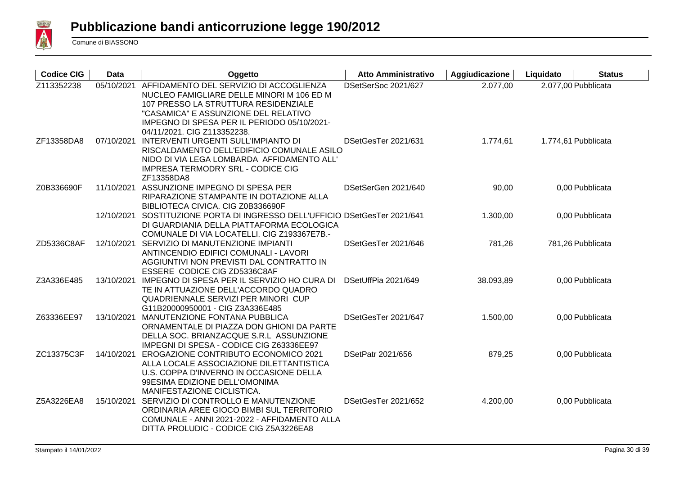

| <b>Codice CIG</b> | <b>Data</b> | Oggetto                                                                                                                                                                                                                                            | <b>Atto Amministrativo</b> | Aggiudicazione | Liquidato | <b>Status</b>       |
|-------------------|-------------|----------------------------------------------------------------------------------------------------------------------------------------------------------------------------------------------------------------------------------------------------|----------------------------|----------------|-----------|---------------------|
| Z113352238        | 05/10/2021  | AFFIDAMENTO DEL SERVIZIO DI ACCOGLIENZA<br>NUCLEO FAMIGLIARE DELLE MINORI M 106 ED M<br>107 PRESSO LA STRUTTURA RESIDENZIALE<br>"CASAMICA" E ASSUNZIONE DEL RELATIVO<br>IMPEGNO DI SPESA PER IL PERIODO 05/10/2021-<br>04/11/2021. CIG Z113352238. | DSetSerSoc 2021/627        | 2.077,00       |           | 2.077,00 Pubblicata |
| ZF13358DA8        |             | 07/10/2021 INTERVENTI URGENTI SULL'IMPIANTO DI<br>RISCALDAMENTO DELL'EDIFICIO COMUNALE ASILO<br>NIDO DI VIA LEGA LOMBARDA AFFIDAMENTO ALL'<br><b>IMPRESA TERMODRY SRL - CODICE CIG</b><br>ZF13358DA8                                               | DSetGesTer 2021/631        | 1.774,61       |           | 1.774,61 Pubblicata |
| Z0B336690F        |             | 11/10/2021 ASSUNZIONE IMPEGNO DI SPESA PER<br>RIPARAZIONE STAMPANTE IN DOTAZIONE ALLA<br>BIBLIOTECA CIVICA. CIG Z0B336690F                                                                                                                         | DSetSerGen 2021/640        | 90,00          |           | 0,00 Pubblicata     |
|                   |             | 12/10/2021 SOSTITUZIONE PORTA DI INGRESSO DELL'UFFICIO DSetGesTer 2021/641<br>DI GUARDIANIA DELLA PIATTAFORMA ECOLOGICA<br>COMUNALE DI VIA LOCATELLI. CIG Z193367E7B.-                                                                             |                            | 1.300,00       |           | 0,00 Pubblicata     |
| ZD5336C8AF        |             | 12/10/2021 SERVIZIO DI MANUTENZIONE IMPIANTI<br>ANTINCENDIO EDIFICI COMUNALI - LAVORI<br>AGGIUNTIVI NON PREVISTI DAL CONTRATTO IN<br>ESSERE CODICE CIG ZD5336C8AF                                                                                  | DSetGesTer 2021/646        | 781,26         |           | 781,26 Pubblicata   |
| Z3A336E485        | 13/10/2021  | IMPEGNO DI SPESA PER IL SERVIZIO HO CURA DI<br>TE IN ATTUAZIONE DELL'ACCORDO QUADRO<br>QUADRIENNALE SERVIZI PER MINORI CUP<br>G11B20000950001 - CIG Z3A336E485                                                                                     | DSetUffPia 2021/649        | 38.093,89      |           | 0,00 Pubblicata     |
| Z63336EE97        |             | 13/10/2021 MANUTENZIONE FONTANA PUBBLICA<br>ORNAMENTALE DI PIAZZA DON GHIONI DA PARTE<br>DELLA SOC. BRIANZACQUE S.R.L ASSUNZIONE<br>IMPEGNI DI SPESA - CODICE CIG Z63336EE97                                                                       | DSetGesTer 2021/647        | 1.500,00       |           | 0,00 Pubblicata     |
| ZC13375C3F        | 14/10/2021  | EROGAZIONE CONTRIBUTO ECONOMICO 2021<br>ALLA LOCALE ASSOCIAZIONE DILETTANTISTICA<br>U.S. COPPA D'INVERNO IN OCCASIONE DELLA<br>99ESIMA EDIZIONE DELL'OMONIMA<br>MANIFESTAZIONE CICLISTICA.                                                         | DSetPatr 2021/656          | 879,25         |           | 0,00 Pubblicata     |
| Z5A3226EA8        |             | 15/10/2021 SERVIZIO DI CONTROLLO E MANUTENZIONE<br>ORDINARIA AREE GIOCO BIMBI SUL TERRITORIO<br>COMUNALE - ANNI 2021-2022 - AFFIDAMENTO ALLA<br>DITTA PROLUDIC - CODICE CIG Z5A3226EA8                                                             | DSetGesTer 2021/652        | 4.200,00       |           | 0,00 Pubblicata     |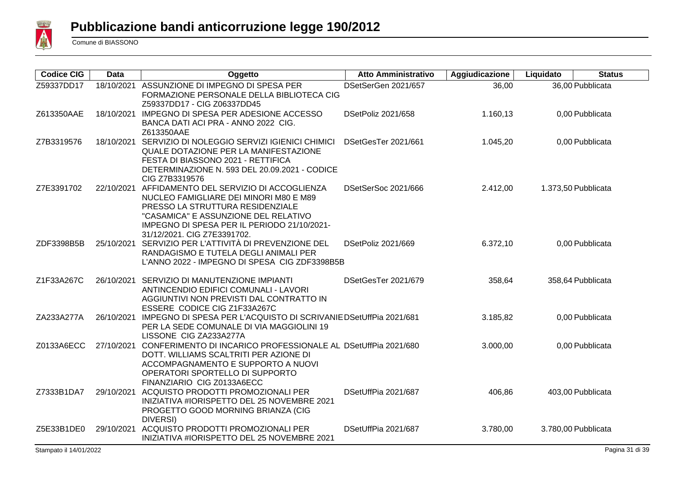

| <b>Codice CIG</b> | <b>Data</b> | Oggetto                                                                                                                                                                                                                                                | <b>Atto Amministrativo</b> | Aggiudicazione | Liquidato | <b>Status</b>       |
|-------------------|-------------|--------------------------------------------------------------------------------------------------------------------------------------------------------------------------------------------------------------------------------------------------------|----------------------------|----------------|-----------|---------------------|
| Z59337DD17        |             | 18/10/2021 ASSUNZIONE DI IMPEGNO DI SPESA PER<br>FORMAZIONE PERSONALE DELLA BIBLIOTECA CIG<br>Z59337DD17 - CIG Z06337DD45                                                                                                                              | DSetSerGen 2021/657        | 36,00          |           | 36,00 Pubblicata    |
| Z613350AAE        |             | 18/10/2021 IMPEGNO DI SPESA PER ADESIONE ACCESSO<br>BANCA DATI ACI PRA - ANNO 2022 CIG.<br>Z613350AAE                                                                                                                                                  | DSetPoliz 2021/658         | 1.160,13       |           | 0,00 Pubblicata     |
| Z7B3319576        | 18/10/2021  | SERVIZIO DI NOLEGGIO SERVIZI IGIENICI CHIMICI<br>QUALE DOTAZIONE PER LA MANIFESTAZIONE<br>FESTA DI BIASSONO 2021 - RETTIFICA<br>DETERMINAZIONE N. 593 DEL 20.09.2021 - CODICE<br>CIG Z7B3319576                                                        | DSetGesTer 2021/661        | 1.045,20       |           | 0,00 Pubblicata     |
| Z7E3391702        |             | 22/10/2021 AFFIDAMENTO DEL SERVIZIO DI ACCOGLIENZA<br>NUCLEO FAMIGLIARE DEI MINORI M80 E M89<br>PRESSO LA STRUTTURA RESIDENZIALE<br>"CASAMICA" E ASSUNZIONE DEL RELATIVO<br>IMPEGNO DI SPESA PER IL PERIODO 21/10/2021-<br>31/12/2021. CIG Z7E3391702. | DSetSerSoc 2021/666        | 2.412,00       |           | 1.373,50 Pubblicata |
| ZDF3398B5B        | 25/10/2021  | SERVIZIO PER L'ATTIVITÀ DI PREVENZIONE DEL<br>RANDAGISMO E TUTELA DEGLI ANIMALI PER<br>L'ANNO 2022 - IMPEGNO DI SPESA CIG ZDF3398B5B                                                                                                                   | DSetPoliz 2021/669         | 6.372,10       |           | 0,00 Pubblicata     |
| Z1F33A267C        |             | 26/10/2021 SERVIZIO DI MANUTENZIONE IMPIANTI<br>ANTINCENDIO EDIFICI COMUNALI - LAVORI<br>AGGIUNTIVI NON PREVISTI DAL CONTRATTO IN<br>ESSERE CODICE CIG Z1F33A267C                                                                                      | DSetGesTer 2021/679        | 358,64         |           | 358,64 Pubblicata   |
| ZA233A277A        |             | 26/10/2021 IMPEGNO DI SPESA PER L'ACQUISTO DI SCRIVANIE DSetUffPia 2021/681<br>PER LA SEDE COMUNALE DI VIA MAGGIOLINI 19<br>LISSONE CIG ZA233A277A                                                                                                     |                            | 3.185,82       |           | 0,00 Pubblicata     |
| Z0133A6ECC        |             | 27/10/2021 CONFERIMENTO DI INCARICO PROFESSIONALE AL DSetUffPia 2021/680<br>DOTT. WILLIAMS SCALTRITI PER AZIONE DI<br>ACCOMPAGNAMENTO E SUPPORTO A NUOVI<br>OPERATORI SPORTELLO DI SUPPORTO<br>FINANZIARIO CIG Z0133A6ECC                              |                            | 3.000,00       |           | 0,00 Pubblicata     |
| Z7333B1DA7        |             | 29/10/2021 ACQUISTO PRODOTTI PROMOZIONALI PER<br>INIZIATIVA #IORISPETTO DEL 25 NOVEMBRE 2021<br>PROGETTO GOOD MORNING BRIANZA (CIG<br><b>DIVERSI</b> )                                                                                                 | DSetUffPia 2021/687        | 406,86         |           | 403,00 Pubblicata   |
| Z5E33B1DE0        | 29/10/2021  | ACQUISTO PRODOTTI PROMOZIONALI PER<br>INIZIATIVA #IORISPETTO DEL 25 NOVEMBRE 2021                                                                                                                                                                      | DSetUffPia 2021/687        | 3.780,00       |           | 3.780,00 Pubblicata |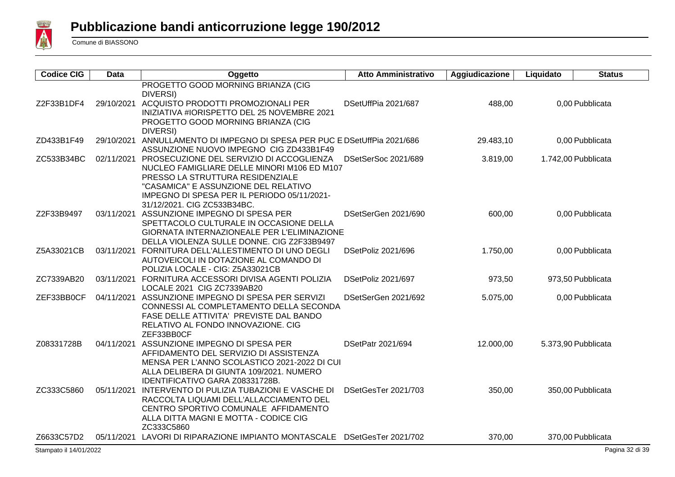

| <b>Codice CIG</b> | Data       | Oggetto                                                                                                                                                                                                                                                      | <b>Atto Amministrativo</b> | Aggiudicazione | Liquidato | <b>Status</b>       |
|-------------------|------------|--------------------------------------------------------------------------------------------------------------------------------------------------------------------------------------------------------------------------------------------------------------|----------------------------|----------------|-----------|---------------------|
| Z2F33B1DF4        |            | PROGETTO GOOD MORNING BRIANZA (CIG<br><b>DIVERSI</b> )<br>29/10/2021 ACQUISTO PRODOTTI PROMOZIONALI PER<br>INIZIATIVA #IORISPETTO DEL 25 NOVEMBRE 2021<br>PROGETTO GOOD MORNING BRIANZA (CIG                                                                 | DSetUffPia 2021/687        | 488,00         |           | 0,00 Pubblicata     |
| ZD433B1F49        | 29/10/2021 | <b>DIVERSI</b> )<br>ANNULLAMENTO DI IMPEGNO DI SPESA PER PUC E DSetUffPia 2021/686<br>ASSUNZIONE NUOVO IMPEGNO CIG ZD433B1F49                                                                                                                                |                            | 29.483,10      |           | 0,00 Pubblicata     |
| ZC533B34BC        |            | 02/11/2021 PROSECUZIONE DEL SERVIZIO DI ACCOGLIENZA<br>NUCLEO FAMIGLIARE DELLE MINORI M106 ED M107<br>PRESSO LA STRUTTURA RESIDENZIALE<br>"CASAMICA" E ASSUNZIONE DEL RELATIVO<br>IMPEGNO DI SPESA PER IL PERIODO 05/11/2021-<br>31/12/2021. CIG ZC533B34BC. | DSetSerSoc 2021/689        | 3.819,00       |           | 1.742,00 Pubblicata |
| Z2F33B9497        |            | 03/11/2021 ASSUNZIONE IMPEGNO DI SPESA PER<br>SPETTACOLO CULTURALE IN OCCASIONE DELLA<br>GIORNATA INTERNAZIONEALE PER L'ELIMINAZIONE<br>DELLA VIOLENZA SULLE DONNE. CIG Z2F33B9497                                                                           | DSetSerGen 2021/690        | 600,00         |           | 0,00 Pubblicata     |
| Z5A33021CB        |            | 03/11/2021 FORNITURA DELL'ALLESTIMENTO DI UNO DEGLI<br>AUTOVEICOLI IN DOTAZIONE AL COMANDO DI<br>POLIZIA LOCALE - CIG: Z5A33021CB                                                                                                                            | DSetPoliz 2021/696         | 1.750,00       |           | 0,00 Pubblicata     |
| ZC7339AB20        |            | 03/11/2021 FORNITURA ACCESSORI DIVISA AGENTI POLIZIA<br>LOCALE 2021 CIG ZC7339AB20                                                                                                                                                                           | DSetPoliz 2021/697         | 973,50         |           | 973,50 Pubblicata   |
| ZEF33BB0CF        |            | 04/11/2021 ASSUNZIONE IMPEGNO DI SPESA PER SERVIZI<br>CONNESSI AL COMPLETAMENTO DELLA SECONDA<br>FASE DELLE ATTIVITA' PREVISTE DAL BANDO<br>RELATIVO AL FONDO INNOVAZIONE. CIG<br>ZEF33BB0CF                                                                 | DSetSerGen 2021/692        | 5.075,00       |           | 0.00 Pubblicata     |
| Z08331728B        | 04/11/2021 | ASSUNZIONE IMPEGNO DI SPESA PER<br>AFFIDAMENTO DEL SERVIZIO DI ASSISTENZA<br>MENSA PER L'ANNO SCOLASTICO 2021-2022 DI CUI<br>ALLA DELIBERA DI GIUNTA 109/2021. NUMERO<br>IDENTIFICATIVO GARA Z08331728B.                                                     | <b>DSetPatr 2021/694</b>   | 12.000,00      |           | 5.373,90 Pubblicata |
| ZC333C5860        | 05/11/2021 | INTERVENTO DI PULIZIA TUBAZIONI E VASCHE DI<br>RACCOLTA LIQUAMI DELL'ALLACCIAMENTO DEL<br>CENTRO SPORTIVO COMUNALE AFFIDAMENTO<br>ALLA DITTA MAGNI E MOTTA - CODICE CIG<br>ZC333C5860                                                                        | DSetGesTer 2021/703        | 350,00         |           | 350,00 Pubblicata   |
| Z6633C57D2        |            | 05/11/2021 LAVORI DI RIPARAZIONE IMPIANTO MONTASCALE DSetGesTer 2021/702                                                                                                                                                                                     |                            | 370,00         |           | 370,00 Pubblicata   |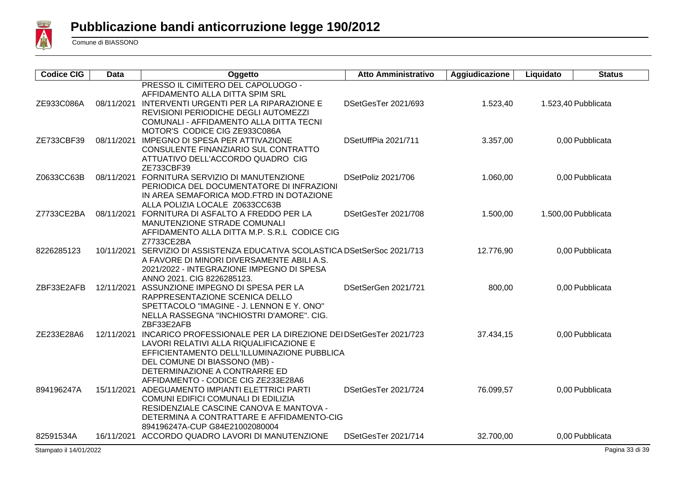

| <b>Codice CIG</b> | <b>Data</b> | Oggetto                                                                                                                                                                                                                                                                       | <b>Atto Amministrativo</b> | Aggiudicazione | Liquidato | <b>Status</b>       |
|-------------------|-------------|-------------------------------------------------------------------------------------------------------------------------------------------------------------------------------------------------------------------------------------------------------------------------------|----------------------------|----------------|-----------|---------------------|
| ZE933C086A        |             | PRESSO IL CIMITERO DEL CAPOLUOGO -<br>AFFIDAMENTO ALLA DITTA SPIM SRL<br>08/11/2021 INTERVENTI URGENTI PER LA RIPARAZIONE E<br>REVISIONI PERIODICHE DEGLI AUTOMEZZI<br>COMUNALI - AFFIDAMENTO ALLA DITTA TECNI                                                                | DSetGesTer 2021/693        | 1.523,40       |           | 1.523,40 Pubblicata |
| ZE733CBF39        | 08/11/2021  | MOTOR'S CODICE CIG ZE933C086A<br>IMPEGNO DI SPESA PER ATTIVAZIONE<br>CONSULENTE FINANZIARIO SUL CONTRATTO<br>ATTUATIVO DELL'ACCORDO QUADRO CIG<br>ZE733CBF39                                                                                                                  | DSetUffPia 2021/711        | 3.357,00       |           | 0,00 Pubblicata     |
| Z0633CC63B        |             | 08/11/2021 FORNITURA SERVIZIO DI MANUTENZIONE<br>PERIODICA DEL DOCUMENTATORE DI INFRAZIONI<br>IN AREA SEMAFORICA MOD.FTRD IN DOTAZIONE<br>ALLA POLIZIA LOCALE Z0633CC63B                                                                                                      | DSetPoliz 2021/706         | 1.060,00       |           | 0,00 Pubblicata     |
| Z7733CE2BA        |             | 08/11/2021 FORNITURA DI ASFALTO A FREDDO PER LA<br>MANUTENZIONE STRADE COMUNALI<br>AFFIDAMENTO ALLA DITTA M.P. S.R.L CODICE CIG<br>Z7733CE2BA                                                                                                                                 | DSetGesTer 2021/708        | 1.500,00       |           | 1.500,00 Pubblicata |
| 8226285123        | 10/11/2021  | SERVIZIO DI ASSISTENZA EDUCATIVA SCOLASTICA DSetSerSoc 2021/713<br>A FAVORE DI MINORI DIVERSAMENTE ABILI A.S.<br>2021/2022 - INTEGRAZIONE IMPEGNO DI SPESA<br>ANNO 2021. CIG 8226285123.                                                                                      |                            | 12.776,90      |           | 0,00 Pubblicata     |
| ZBF33E2AFB        |             | 12/11/2021 ASSUNZIONE IMPEGNO DI SPESA PER LA<br>RAPPRESENTAZIONE SCENICA DELLO<br>SPETTACOLO "IMAGINE - J. LENNON E Y. ONO"<br>NELLA RASSEGNA "INCHIOSTRI D'AMORE". CIG.<br>ZBF33E2AFB                                                                                       | DSetSerGen 2021/721        | 800,00         |           | 0,00 Pubblicata     |
| ZE233E28A6        |             | 12/11/2021 INCARICO PROFESSIONALE PER LA DIREZIONE DEI DSetGesTer 2021/723<br>LAVORI RELATIVI ALLA RIQUALIFICAZIONE E<br>EFFICIENTAMENTO DELL'ILLUMINAZIONE PUBBLICA<br>DEL COMUNE DI BIASSONO (MB) -<br>DETERMINAZIONE A CONTRARRE ED<br>AFFIDAMENTO - CODICE CIG ZE233E28A6 |                            | 37.434,15      |           | 0,00 Pubblicata     |
| 894196247A        |             | 15/11/2021 ADEGUAMENTO IMPIANTI ELETTRICI PARTI<br>COMUNI EDIFICI COMUNALI DI EDILIZIA<br>RESIDENZIALE CASCINE CANOVA E MANTOVA -<br>DETERMINA A CONTRATTARE E AFFIDAMENTO-CIG<br>894196247A-CUP G84E21002080004                                                              | DSetGesTer 2021/724        | 76.099,57      |           | 0,00 Pubblicata     |
| 82591534A         |             | 16/11/2021 ACCORDO QUADRO LAVORI DI MANUTENZIONE                                                                                                                                                                                                                              | DSetGesTer 2021/714        | 32.700,00      |           | 0,00 Pubblicata     |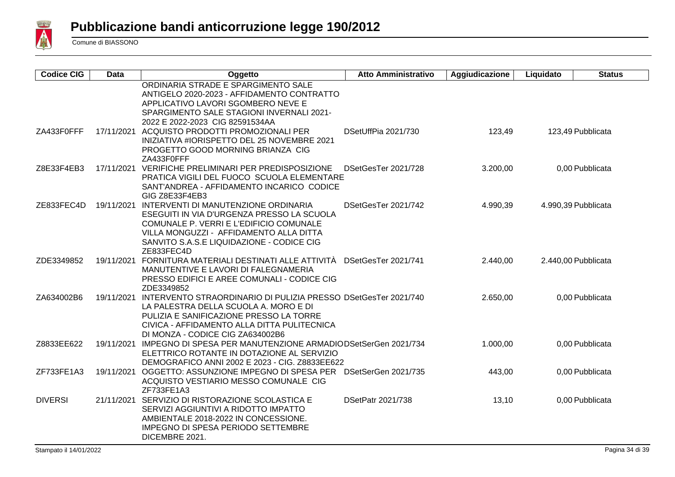

| <b>Codice CIG</b> | <b>Data</b> | Oggetto                                                                                                                                                                                                                                          | <b>Atto Amministrativo</b> | Aggiudicazione | Liquidato | <b>Status</b>       |
|-------------------|-------------|--------------------------------------------------------------------------------------------------------------------------------------------------------------------------------------------------------------------------------------------------|----------------------------|----------------|-----------|---------------------|
|                   |             | ORDINARIA STRADE E SPARGIMENTO SALE<br>ANTIGELO 2020-2023 - AFFIDAMENTO CONTRATTO<br>APPLICATIVO LAVORI SGOMBERO NEVE E<br>SPARGIMENTO SALE STAGIONI INVERNALI 2021-<br>2022 E 2022-2023 CIG 82591534AA                                          |                            |                |           |                     |
| ZA433F0FFF        | 17/11/2021  | ACQUISTO PRODOTTI PROMOZIONALI PER<br>INIZIATIVA #IORISPETTO DEL 25 NOVEMBRE 2021<br>PROGETTO GOOD MORNING BRIANZA CIG<br>ZA433F0FFF                                                                                                             | DSetUffPia 2021/730        | 123,49         |           | 123,49 Pubblicata   |
| Z8E33F4EB3        |             | 17/11/2021 VERIFICHE PRELIMINARI PER PREDISPOSIZIONE<br>PRATICA VIGILI DEL FUOCO SCUOLA ELEMENTARE<br>SANT'ANDREA - AFFIDAMENTO INCARICO CODICE<br>GIG Z8E33F4EB3                                                                                | DSetGesTer 2021/728        | 3.200,00       |           | 0,00 Pubblicata     |
| ZE833FEC4D        |             | 19/11/2021 INTERVENTI DI MANUTENZIONE ORDINARIA<br>ESEGUITI IN VIA D'URGENZA PRESSO LA SCUOLA<br>COMUNALE P. VERRI E L'EDIFICIO COMUNALE<br>VILLA MONGUZZI - AFFIDAMENTO ALLA DITTA<br>SANVITO S.A.S.E LIQUIDAZIONE - CODICE CIG<br>ZE833FEC4D   | DSetGesTer 2021/742        | 4.990,39       |           | 4.990,39 Pubblicata |
| ZDE3349852        |             | 19/11/2021 FORNITURA MATERIALI DESTINATI ALLE ATTIVITÀ<br>MANUTENTIVE E LAVORI DI FALEGNAMERIA<br>PRESSO EDIFICI E AREE COMUNALI - CODICE CIG<br>ZDE3349852                                                                                      | DSetGesTer 2021/741        | 2.440,00       |           | 2.440,00 Pubblicata |
| ZA634002B6        |             | 19/11/2021 INTERVENTO STRAORDINARIO DI PULIZIA PRESSO DSetGesTer 2021/740<br>LA PALESTRA DELLA SCUOLA A. MORO E DI<br>PULIZIA E SANIFICAZIONE PRESSO LA TORRE<br>CIVICA - AFFIDAMENTO ALLA DITTA PULITECNICA<br>DI MONZA - CODICE CIG ZA634002B6 |                            | 2.650,00       |           | 0,00 Pubblicata     |
| Z8833EE622        |             | 19/11/2021 IMPEGNO DI SPESA PER MANUTENZIONE ARMADIODSetSerGen 2021/734<br>ELETTRICO ROTANTE IN DOTAZIONE AL SERVIZIO<br>DEMOGRAFICO ANNI 2002 E 2023 - CIG. Z8833EE622                                                                          |                            | 1.000,00       |           | 0,00 Pubblicata     |
| ZF733FE1A3        | 19/11/2021  | OGGETTO: ASSUNZIONE IMPEGNO DI SPESA PER DSetSerGen 2021/735<br>ACQUISTO VESTIARIO MESSO COMUNALE CIG<br>ZF733FE1A3                                                                                                                              |                            | 443,00         |           | 0,00 Pubblicata     |
| <b>DIVERSI</b>    |             | 21/11/2021 SERVIZIO DI RISTORAZIONE SCOLASTICA E<br>SERVIZI AGGIUNTIVI A RIDOTTO IMPATTO<br>AMBIENTALE 2018-2022 IN CONCESSIONE.<br>IMPEGNO DI SPESA PERIODO SETTEMBRE<br>DICEMBRE 2021.                                                         | DSetPatr 2021/738          | 13,10          |           | 0,00 Pubblicata     |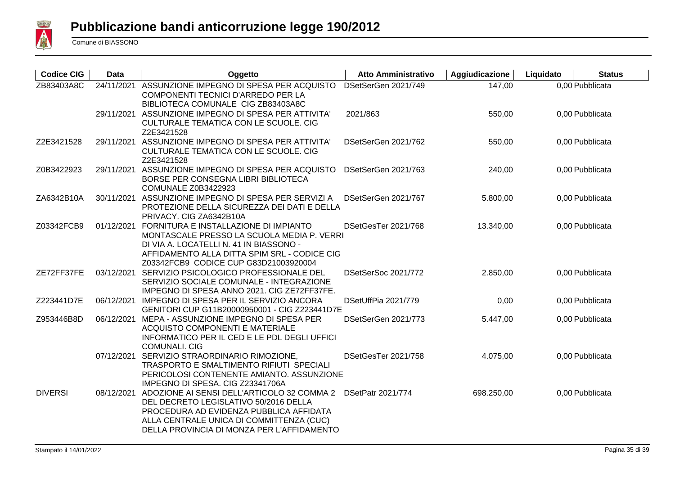

| <b>Codice CIG</b> | <b>Data</b> | Oggetto                                                                                                                                                                                                                            | <b>Atto Amministrativo</b> | Aggiudicazione | Liquidato | <b>Status</b>   |
|-------------------|-------------|------------------------------------------------------------------------------------------------------------------------------------------------------------------------------------------------------------------------------------|----------------------------|----------------|-----------|-----------------|
| ZB83403A8C        | 24/11/2021  | ASSUNZIONE IMPEGNO DI SPESA PER ACQUISTO<br>COMPONENTI TECNICI D'ARREDO PER LA<br>BIBLIOTECA COMUNALE CIG ZB83403A8C                                                                                                               | DSetSerGen 2021/749        | 147,00         |           | 0,00 Pubblicata |
|                   |             | 29/11/2021 ASSUNZIONE IMPEGNO DI SPESA PER ATTIVITA'<br>CULTURALE TEMATICA CON LE SCUOLE. CIG<br>Z2E3421528                                                                                                                        | 2021/863                   | 550,00         |           | 0,00 Pubblicata |
| Z2E3421528        |             | 29/11/2021 ASSUNZIONE IMPEGNO DI SPESA PER ATTIVITA'<br>CULTURALE TEMATICA CON LE SCUOLE. CIG<br>Z2E3421528                                                                                                                        | DSetSerGen 2021/762        | 550,00         |           | 0,00 Pubblicata |
| Z0B3422923        |             | 29/11/2021 ASSUNZIONE IMPEGNO DI SPESA PER ACQUISTO<br>BORSE PER CONSEGNA LIBRI BIBLIOTECA<br>COMUNALE Z0B3422923                                                                                                                  | DSetSerGen 2021/763        | 240,00         |           | 0,00 Pubblicata |
| ZA6342B10A        |             | 30/11/2021 ASSUNZIONE IMPEGNO DI SPESA PER SERVIZI A<br>PROTEZIONE DELLA SICUREZZA DEI DATI E DELLA<br>PRIVACY. CIG ZA6342B10A                                                                                                     | DSetSerGen 2021/767        | 5.800,00       |           | 0,00 Pubblicata |
| Z03342FCB9        |             | 01/12/2021 FORNITURA E INSTALLAZIONE DI IMPIANTO<br>MONTASCALE PRESSO LA SCUOLA MEDIA P. VERRI<br>DI VIA A. LOCATELLI N. 41 IN BIASSONO -<br>AFFIDAMENTO ALLA DITTA SPIM SRL - CODICE CIG<br>Z03342FCB9 CODICE CUP G83D21003920004 | DSetGesTer 2021/768        | 13.340,00      |           | 0,00 Pubblicata |
| ZE72FF37FE        |             | 03/12/2021 SERVIZIO PSICOLOGICO PROFESSIONALE DEL<br>SERVIZIO SOCIALE COMUNALE - INTEGRAZIONE<br>IMPEGNO DI SPESA ANNO 2021. CIG ZE72FF37FE.                                                                                       | DSetSerSoc 2021/772        | 2.850,00       |           | 0,00 Pubblicata |
| Z223441D7E        | 06/12/2021  | IMPEGNO DI SPESA PER IL SERVIZIO ANCORA<br>GENITORI CUP G11B20000950001 - CIG Z223441D7E                                                                                                                                           | DSetUffPia 2021/779        | 0,00           |           | 0,00 Pubblicata |
| Z953446B8D        |             | 06/12/2021 MEPA - ASSUNZIONE IMPEGNO DI SPESA PER<br>ACQUISTO COMPONENTI E MATERIALE<br>INFORMATICO PER IL CED E LE PDL DEGLI UFFICI<br><b>COMUNALI. CIG</b>                                                                       | DSetSerGen 2021/773        | 5.447,00       |           | 0,00 Pubblicata |
|                   |             | 07/12/2021 SERVIZIO STRAORDINARIO RIMOZIONE,<br>TRASPORTO E SMALTIMENTO RIFIUTI SPECIALI<br>PERICOLOSI CONTENENTE AMIANTO. ASSUNZIONE<br>IMPEGNO DI SPESA. CIG Z23341706A                                                          | DSetGesTer 2021/758        | 4.075,00       |           | 0,00 Pubblicata |
| <b>DIVERSI</b>    | 08/12/2021  | ADOZIONE AI SENSI DELL'ARTICOLO 32 COMMA 2<br>DEL DECRETO LEGISLATIVO 50/2016 DELLA<br>PROCEDURA AD EVIDENZA PUBBLICA AFFIDATA<br>ALLA CENTRALE UNICA DI COMMITTENZA (CUC)<br>DELLA PROVINCIA DI MONZA PER L'AFFIDAMENTO           | <b>DSetPatr 2021/774</b>   | 698.250,00     |           | 0,00 Pubblicata |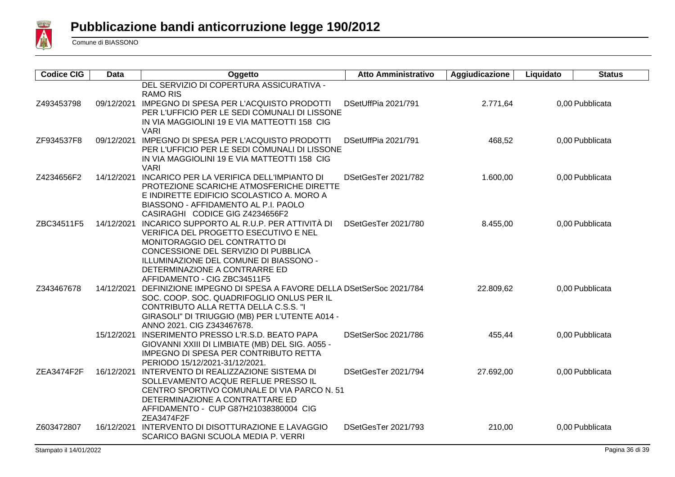

| <b>Codice CIG</b> | Data       | Oggetto                                                                                                                                                                                                                                                                             | <b>Atto Amministrativo</b> | Aggiudicazione | Liquidato | <b>Status</b>   |
|-------------------|------------|-------------------------------------------------------------------------------------------------------------------------------------------------------------------------------------------------------------------------------------------------------------------------------------|----------------------------|----------------|-----------|-----------------|
| Z493453798        |            | DEL SERVIZIO DI COPERTURA ASSICURATIVA -<br><b>RAMO RIS</b><br>09/12/2021 IMPEGNO DI SPESA PER L'ACQUISTO PRODOTTI<br>PER L'UFFICIO PER LE SEDI COMUNALI DI LISSONE<br>IN VIA MAGGIOLINI 19 E VIA MATTEOTTI 158 CIG<br><b>VARI</b>                                                  | DSetUffPia 2021/791        | 2.771,64       |           | 0,00 Pubblicata |
| ZF934537F8        |            | 09/12/2021 IMPEGNO DI SPESA PER L'ACQUISTO PRODOTTI<br>PER L'UFFICIO PER LE SEDI COMUNALI DI LISSONE<br>IN VIA MAGGIOLINI 19 E VIA MATTEOTTI 158 CIG<br><b>VARI</b>                                                                                                                 | DSetUffPia 2021/791        | 468,52         |           | 0,00 Pubblicata |
| Z4234656F2        |            | 14/12/2021 INCARICO PER LA VERIFICA DELL'IMPIANTO DI<br>PROTEZIONE SCARICHE ATMOSFERICHE DIRETTE<br>E INDIRETTE EDIFICIO SCOLASTICO A. MORO A<br>BIASSONO - AFFIDAMENTO AL P.I. PAOLO<br>CASIRAGHI CODICE GIG Z4234656F2                                                            | DSetGesTer 2021/782        | 1.600,00       |           | 0,00 Pubblicata |
| ZBC34511F5        |            | 14/12/2021 INCARICO SUPPORTO AL R.U.P. PER ATTIVITÀ DI<br>VERIFICA DEL PROGETTO ESECUTIVO E NEL<br>MONITORAGGIO DEL CONTRATTO DI<br>CONCESSIONE DEL SERVIZIO DI PUBBLICA<br>ILLUMINAZIONE DEL COMUNE DI BIASSONO -<br>DETERMINAZIONE A CONTRARRE ED<br>AFFIDAMENTO - CIG ZBC34511F5 | DSetGesTer 2021/780        | 8.455,00       |           | 0,00 Pubblicata |
| Z343467678        |            | 14/12/2021 DEFINIZIONE IMPEGNO DI SPESA A FAVORE DELLA DSetSerSoc 2021/784<br>SOC. COOP. SOC. QUADRIFOGLIO ONLUS PER IL<br>CONTRIBUTO ALLA RETTA DELLA C.S.S. "I<br>GIRASOLI" DI TRIUGGIO (MB) PER L'UTENTE A014 -<br>ANNO 2021. CIG Z343467678.                                    |                            | 22.809,62      |           | 0,00 Pubblicata |
|                   |            | 15/12/2021 INSERIMENTO PRESSO L'R.S.D. BEATO PAPA<br>GIOVANNI XXIII DI LIMBIATE (MB) DEL SIG. A055 -<br><b>IMPEGNO DI SPESA PER CONTRIBUTO RETTA</b><br>PERIODO 15/12/2021-31/12/2021.                                                                                              | DSetSerSoc 2021/786        | 455,44         |           | 0,00 Pubblicata |
| ZEA3474F2F        | 16/12/2021 | INTERVENTO DI REALIZZAZIONE SISTEMA DI<br>SOLLEVAMENTO ACQUE REFLUE PRESSO IL<br>CENTRO SPORTIVO COMUNALE DI VIA PARCO N. 51<br>DETERMINAZIONE A CONTRATTARE ED<br>AFFIDAMENTO - CUP G87H21038380004 CIG<br>ZEA3474F2F                                                              | DSetGesTer 2021/794        | 27.692,00      |           | 0,00 Pubblicata |
| Z603472807        | 16/12/2021 | INTERVENTO DI DISOTTURAZIONE E LAVAGGIO<br>SCARICO BAGNI SCUOLA MEDIA P. VERRI                                                                                                                                                                                                      | DSetGesTer 2021/793        | 210,00         |           | 0.00 Pubblicata |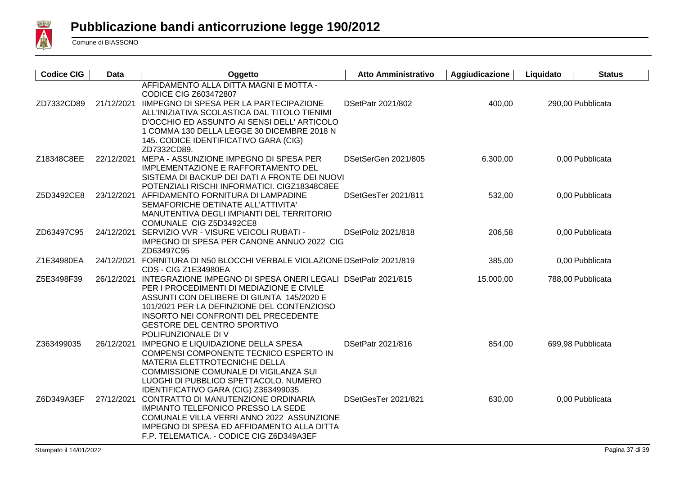

| <b>Codice CIG</b> | <b>Data</b> | Oggetto                                                                                                                                                                                                                                                                                                          | <b>Atto Amministrativo</b> | Aggiudicazione | Liquidato       | <b>Status</b>     |
|-------------------|-------------|------------------------------------------------------------------------------------------------------------------------------------------------------------------------------------------------------------------------------------------------------------------------------------------------------------------|----------------------------|----------------|-----------------|-------------------|
| ZD7332CD89        | 21/12/2021  | AFFIDAMENTO ALLA DITTA MAGNI E MOTTA -<br><b>CODICE CIG Z603472807</b><br><b>IIMPEGNO DI SPESA PER LA PARTECIPAZIONE</b><br>ALL'INIZIATIVA SCOLASTICA DAL TITOLO TIENIMI<br>D'OCCHIO ED ASSUNTO AI SENSI DELL' ARTICOLO<br>1 COMMA 130 DELLA LEGGE 30 DICEMBRE 2018 N<br>145. CODICE IDENTIFICATIVO GARA (CIG)   | DSetPatr 2021/802          | 400,00         |                 | 290,00 Pubblicata |
| Z18348C8EE        | 22/12/2021  | ZD7332CD89.<br>MEPA - ASSUNZIONE IMPEGNO DI SPESA PER<br><b>IMPLEMENTAZIONE E RAFFORTAMENTO DEL</b><br>SISTEMA DI BACKUP DEI DATI A FRONTE DEI NUOVI                                                                                                                                                             | DSetSerGen 2021/805        | 6.300,00       |                 | 0,00 Pubblicata   |
| Z5D3492CE8        | 23/12/2021  | POTENZIALI RISCHI INFORMATICI. CIGZ18348C8EE<br>AFFIDAMENTO FORNITURA DI LAMPADINE<br>SEMAFORICHE DETINATE ALL'ATTIVITA'<br>MANUTENTIVA DEGLI IMPIANTI DEL TERRITORIO<br>COMUNALE CIG Z5D3492CE8                                                                                                                 | DSetGesTer 2021/811        | 532,00         | 0,00 Pubblicata |                   |
| ZD63497C95        |             | 24/12/2021 SERVIZIO VVR - VISURE VEICOLI RUBATI -<br>IMPEGNO DI SPESA PER CANONE ANNUO 2022 CIG<br>ZD63497C95                                                                                                                                                                                                    | DSetPoliz 2021/818         | 206,58         |                 | 0,00 Pubblicata   |
| Z1E34980EA        | 24/12/2021  | FORNITURA DI N50 BLOCCHI VERBALE VIOLAZIONE DSetPoliz 2021/819<br><b>CDS - CIG Z1E34980EA</b>                                                                                                                                                                                                                    |                            | 385,00         |                 | 0,00 Pubblicata   |
| Z5E3498F39        | 26/12/2021  | INTEGRAZIONE IMPEGNO DI SPESA ONERI LEGALI DSetPatr 2021/815<br>PER I PROCEDIMENTI DI MEDIAZIONE E CIVILE<br>ASSUNTI CON DELIBERE DI GIUNTA 145/2020 E<br>101/2021 PER LA DEFINZIONE DEL CONTENZIOSO<br><b>INSORTO NEI CONFRONTI DEL PRECEDENTE</b><br><b>GESTORE DEL CENTRO SPORTIVO</b><br>POLIFUNZIONALE DI V |                            | 15.000,00      |                 | 788,00 Pubblicata |
| Z363499035        | 26/12/2021  | IMPEGNO E LIQUIDAZIONE DELLA SPESA<br>COMPENSI COMPONENTE TECNICO ESPERTO IN<br>MATERIA ELETTROTECNICHE DELLA<br>COMMISSIONE COMUNALE DI VIGILANZA SUI<br>LUOGHI DI PUBBLICO SPETTACOLO. NUMERO<br>IDENTIFICATIVO GARA (CIG) Z363499035.                                                                         | DSetPatr 2021/816          | 854,00         |                 | 699,98 Pubblicata |
| Z6D349A3EF        | 27/12/2021  | CONTRATTO DI MANUTENZIONE ORDINARIA<br><b>IMPIANTO TELEFONICO PRESSO LA SEDE</b><br>COMUNALE VILLA VERRI ANNO 2022 ASSUNZIONE<br>IMPEGNO DI SPESA ED AFFIDAMENTO ALLA DITTA<br>F.P. TELEMATICA. - CODICE CIG Z6D349A3EF                                                                                          | DSetGesTer 2021/821        | 630,00         |                 | 0,00 Pubblicata   |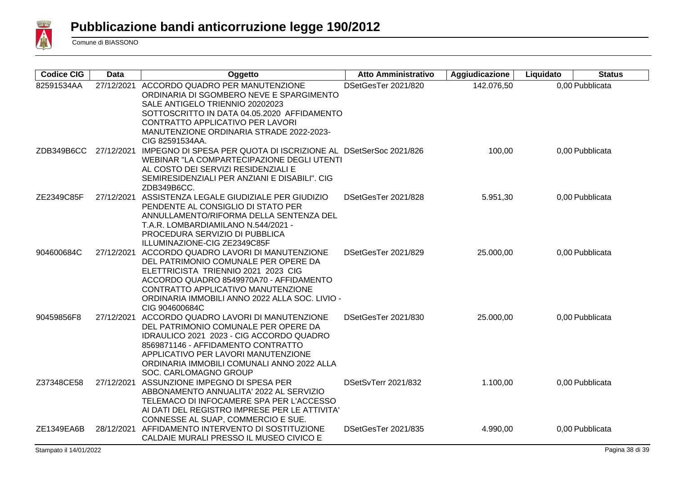

| <b>Codice CIG</b> | <b>Data</b> | Oggetto                                                                                                                                                                                                                                                                       | <b>Atto Amministrativo</b> | Aggiudicazione | Liquidato | <b>Status</b>   |
|-------------------|-------------|-------------------------------------------------------------------------------------------------------------------------------------------------------------------------------------------------------------------------------------------------------------------------------|----------------------------|----------------|-----------|-----------------|
| 82591534AA        | 27/12/2021  | ACCORDO QUADRO PER MANUTENZIONE<br>ORDINARIA DI SGOMBERO NEVE E SPARGIMENTO<br>SALE ANTIGELO TRIENNIO 20202023<br>SOTTOSCRITTO IN DATA 04.05.2020 AFFIDAMENTO<br>CONTRATTO APPLICATIVO PER LAVORI<br>MANUTENZIONE ORDINARIA STRADE 2022-2023-<br>CIG 82591534AA.              | DSetGesTer 2021/820        | 142.076,50     |           | 0,00 Pubblicata |
| ZDB349B6CC        | 27/12/2021  | IMPEGNO DI SPESA PER QUOTA DI ISCRIZIONE AL DSetSerSoc 2021/826<br>WEBINAR "LA COMPARTECIPAZIONE DEGLI UTENTI<br>AL COSTO DEI SERVIZI RESIDENZIALI E<br>SEMIRESIDENZIALI PER ANZIANI E DISABILI". CIG<br>ZDB349B6CC.                                                          |                            | 100,00         |           | 0,00 Pubblicata |
| ZE2349C85F        | 27/12/2021  | ASSISTENZA LEGALE GIUDIZIALE PER GIUDIZIO<br>PENDENTE AL CONSIGLIO DI STATO PER<br>ANNULLAMENTO/RIFORMA DELLA SENTENZA DEL<br>T.A.R. LOMBARDIAMILANO N.544/2021 -<br>PROCEDURA SERVIZIO DI PUBBLICA<br>ILLUMINAZIONE-CIG ZE2349C85F                                           | DSetGesTer 2021/828        | 5.951,30       |           | 0,00 Pubblicata |
| 904600684C        | 27/12/2021  | ACCORDO QUADRO LAVORI DI MANUTENZIONE<br>DEL PATRIMONIO COMUNALE PER OPERE DA<br>ELETTRICISTA TRIENNIO 2021 2023 CIG<br>ACCORDO QUADRO 8549970A70 - AFFIDAMENTO<br>CONTRATTO APPLICATIVO MANUTENZIONE<br>ORDINARIA IMMOBILI ANNO 2022 ALLA SOC. LIVIO -<br>CIG 904600684C     | DSetGesTer 2021/829        | 25.000,00      |           | 0,00 Pubblicata |
| 90459856F8        | 27/12/2021  | ACCORDO QUADRO LAVORI DI MANUTENZIONE<br>DEL PATRIMONIO COMUNALE PER OPERE DA<br>IDRAULICO 2021 2023 - CIG ACCORDO QUADRO<br>8569871146 - AFFIDAMENTO CONTRATTO<br>APPLICATIVO PER LAVORI MANUTENZIONE<br>ORDINARIA IMMOBILI COMUNALI ANNO 2022 ALLA<br>SOC. CARLOMAGNO GROUP | DSetGesTer 2021/830        | 25.000,00      |           | 0,00 Pubblicata |
| Z37348CE58        | 27/12/2021  | ASSUNZIONE IMPEGNO DI SPESA PER<br>ABBONAMENTO ANNUALITA' 2022 AL SERVIZIO<br>TELEMACO DI INFOCAMERE SPA PER L'ACCESSO<br>AI DATI DEL REGISTRO IMPRESE PER LE ATTIVITA'<br>CONNESSE AL SUAP, COMMERCIO E SUE.                                                                 | DSetSvTerr 2021/832        | 1.100,00       |           | 0,00 Pubblicata |
| ZE1349EA6B        | 28/12/2021  | AFFIDAMENTO INTERVENTO DI SOSTITUZIONE<br>CALDAIE MURALI PRESSO IL MUSEO CIVICO E                                                                                                                                                                                             | DSetGesTer 2021/835        | 4.990,00       |           | 0,00 Pubblicata |